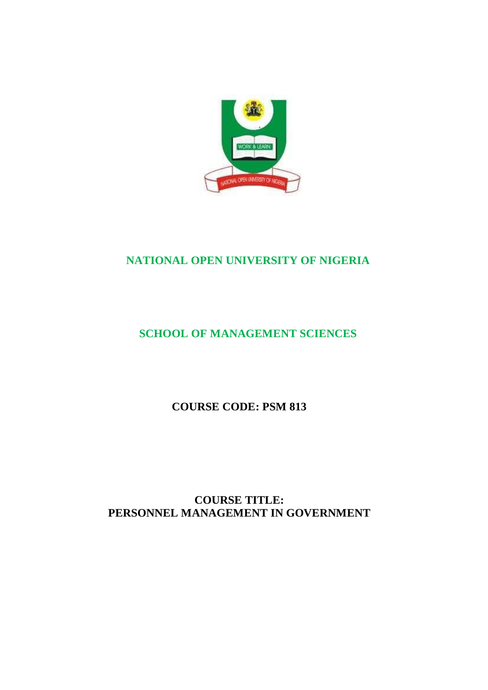

# **NATIONAL OPEN UNIVERSITY OF NIGERIA**

# **SCHOOL OF MANAGEMENT SCIENCES**

# **COURSE CODE: PSM 813**

# **COURSE TITLE: PERSONNEL MANAGEMENT IN GOVERNMENT**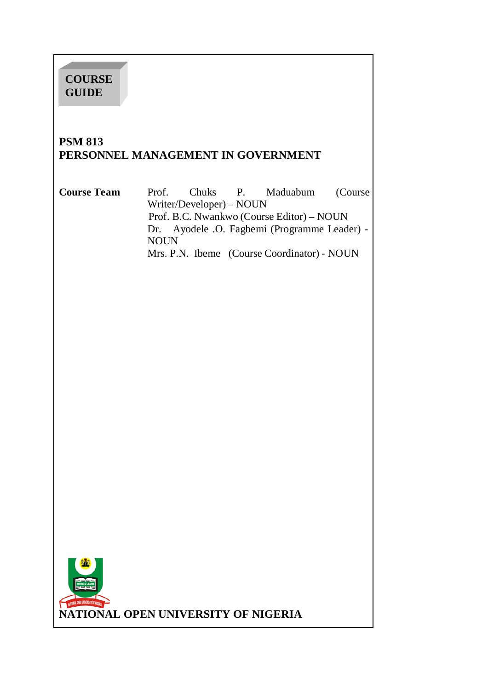# **COURSE GUIDE**

# **PSM 813 PERSONNEL MANAGEMENT IN GOVERNMENT**

**Course Team** Prof. Chuks P. Maduabum (Course Writer/Developer) – NOUN Prof. B.C. Nwankwo (Course Editor) – NOUN Dr. Ayodele .O. Fagbemi (Programme Leader) - NOUN Mrs. P.N. Ibeme (Course Coordinator) - NOUN

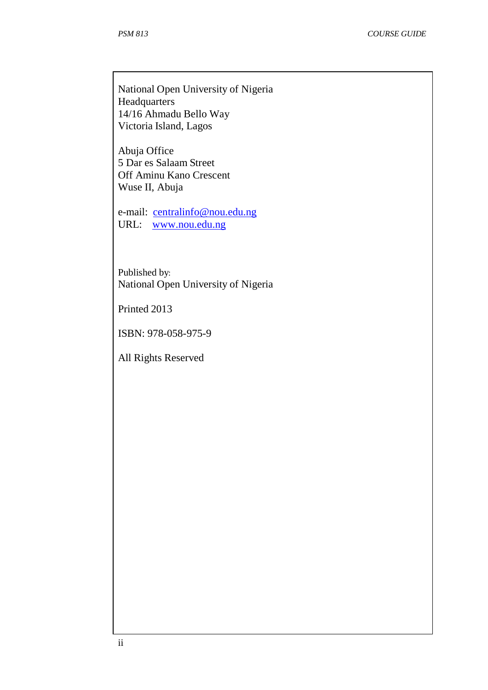National Open University of Nigeria Headquarters 14/16 Ahmadu Bello Way Victoria Island, Lagos

Abuja Office 5 Dar es Salaam Street Off Aminu Kano Crescent Wuse II, Abuja

e-mail: [centralinfo@nou.edu.ng](mailto:centralinfo@nou.edu.ng) URL: [www.nou.edu.ng](http://www.nou.edu.ng/)

Published by: National Open University of Nigeria

Printed 2013

ISBN: 978-058-975-9

All Rights Reserved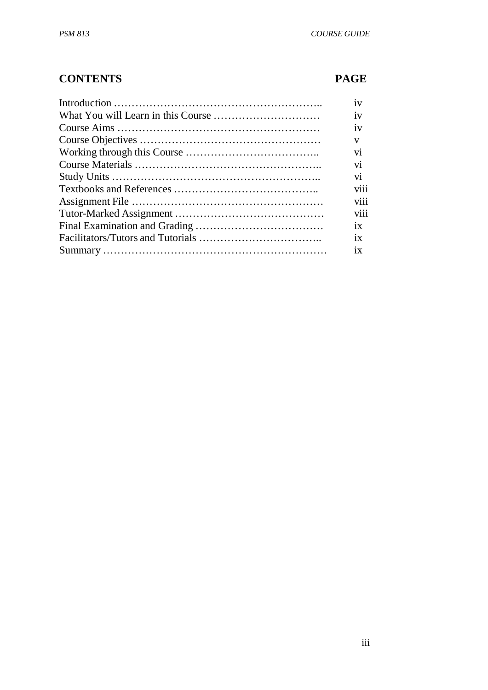# **CONTENTS PAGE**

| 1V   |
|------|
| 1V   |
| 1V   |
| V    |
| V1   |
| vi   |
| vi   |
| viii |
| V111 |
| V111 |
| 1X   |
| 1X   |
| 1X   |
|      |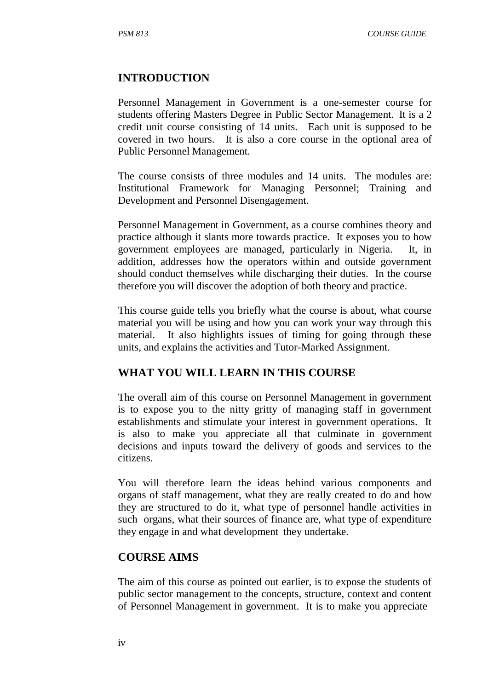## **INTRODUCTION**

Personnel Management in Government is a one-semester course for students offering Masters Degree in Public Sector Management. It is a 2 credit unit course consisting of 14 units. Each unit is supposed to be covered in two hours. It is also a core course in the optional area of Public Personnel Management.

The course consists of three modules and 14 units. The modules are: Institutional Framework for Managing Personnel; Training and Development and Personnel Disengagement.

Personnel Management in Government, as a course combines theory and practice although it slants more towards practice. It exposes you to how government employees are managed, particularly in Nigeria. It, in addition, addresses how the operators within and outside government should conduct themselves while discharging their duties. In the course therefore you will discover the adoption of both theory and practice.

This course guide tells you briefly what the course is about, what course material you will be using and how you can work your way through this material. It also highlights issues of timing for going through these units, and explains the activities and Tutor-Marked Assignment.

## **WHAT YOU WILL LEARN IN THIS COURSE**

The overall aim of this course on Personnel Management in government is to expose you to the nitty gritty of managing staff in government establishments and stimulate your interest in government operations. It is also to make you appreciate all that culminate in government decisions and inputs toward the delivery of goods and services to the citizens.

You will therefore learn the ideas behind various components and organs of staff management, what they are really created to do and how they are structured to do it, what type of personnel handle activities in such organs, what their sources of finance are, what type of expenditure they engage in and what development they undertake.

## **COURSE AIMS**

The aim of this course as pointed out earlier, is to expose the students of public sector management to the concepts, structure, context and content of Personnel Management in government. It is to make you appreciate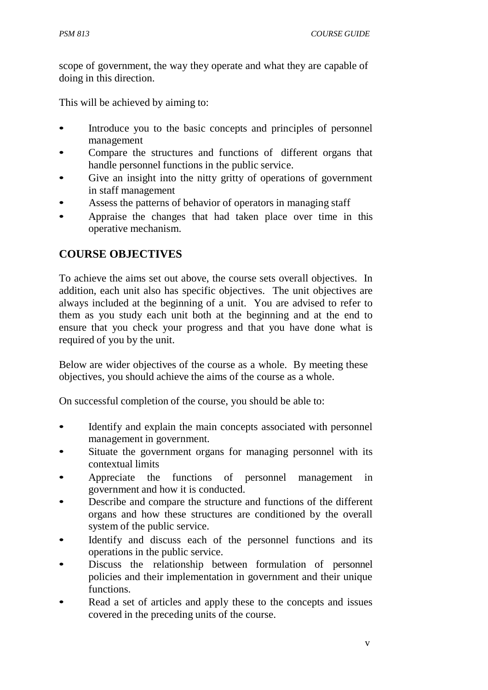scope of government, the way they operate and what they are capable of doing in this direction.

This will be achieved by aiming to:

- Introduce you to the basic concepts and principles of personnel management
- Compare the structures and functions of different organs that handle personnel functions in the public service.
- Give an insight into the nitty gritty of operations of government in staff management
- Assess the patterns of behavior of operators in managing staff
- Appraise the changes that had taken place over time in this operative mechanism.

# **COURSE OBJECTIVES**

To achieve the aims set out above, the course sets overall objectives. In addition, each unit also has specific objectives. The unit objectives are always included at the beginning of a unit. You are advised to refer to them as you study each unit both at the beginning and at the end to ensure that you check your progress and that you have done what is required of you by the unit.

Below are wider objectives of the course as a whole. By meeting these objectives, you should achieve the aims of the course as a whole.

On successful completion of the course, you should be able to:

- Identify and explain the main concepts associated with personnel management in government.
- Situate the government organs for managing personnel with its contextual limits
- Appreciate the functions of personnel management in government and how it is conducted.
- Describe and compare the structure and functions of the different organs and how these structures are conditioned by the overall system of the public service.
- Identify and discuss each of the personnel functions and its operations in the public service.
- Discuss the relationship between formulation of personnel policies and their implementation in government and their unique functions.
- Read a set of articles and apply these to the concepts and issues covered in the preceding units of the course.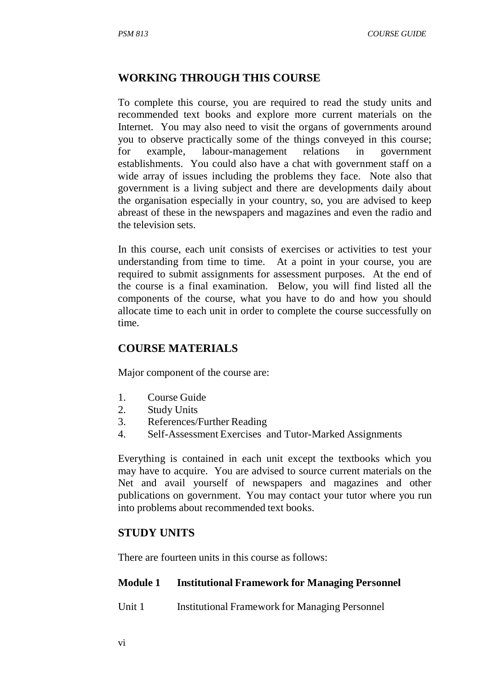# **WORKING THROUGH THIS COURSE**

To complete this course, you are required to read the study units and recommended text books and explore more current materials on the Internet. You may also need to visit the organs of governments around you to observe practically some of the things conveyed in this course; for example, labour-management relations in government establishments. You could also have a chat with government staff on a wide array of issues including the problems they face. Note also that government is a living subject and there are developments daily about the organisation especially in your country, so, you are advised to keep abreast of these in the newspapers and magazines and even the radio and the television sets.

In this course, each unit consists of exercises or activities to test your understanding from time to time. At a point in your course, you are required to submit assignments for assessment purposes. At the end of the course is a final examination. Below, you will find listed all the components of the course, what you have to do and how you should allocate time to each unit in order to complete the course successfully on time.

## **COURSE MATERIALS**

Major component of the course are:

- 1. Course Guide
- 2. Study Units
- 3. References/Further Reading
- 4. Self-Assessment Exercises and Tutor-Marked Assignments

Everything is contained in each unit except the textbooks which you may have to acquire. You are advised to source current materials on the Net and avail yourself of newspapers and magazines and other publications on government. You may contact your tutor where you run into problems about recommended text books.

## **STUDY UNITS**

There are fourteen units in this course as follows:

#### **Module 1 Institutional Framework for Managing Personnel**

Unit 1 Institutional Framework for Managing Personnel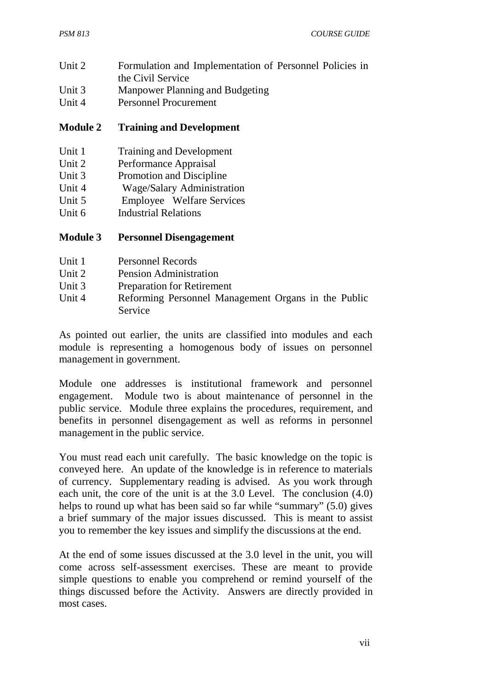- Unit 2 Formulation and Implementation of Personnel Policies in the Civil Service
- Unit 3 Manpower Planning and Budgeting
- Unit 4 Personnel Procurement

## **Module 2 Training and Development**

- Unit 1 Training and Development
- Unit 2 Performance Appraisal
- Unit 3 Promotion and Discipline
- Unit 4 Wage/Salary Administration
- Unit 5 Employee Welfare Services
- Unit 6 Industrial Relations

## **Module 3 Personnel Disengagement**

- Unit 1 Personnel Records
- Unit 2 Pension Administration
- Unit 3 Preparation for Retirement
- Unit 4 Reforming Personnel Management Organs in the Public Service

As pointed out earlier, the units are classified into modules and each module is representing a homogenous body of issues on personnel management in government.

Module one addresses is institutional framework and personnel engagement. Module two is about maintenance of personnel in the public service. Module three explains the procedures, requirement, and benefits in personnel disengagement as well as reforms in personnel management in the public service.

You must read each unit carefully. The basic knowledge on the topic is conveyed here. An update of the knowledge is in reference to materials of currency. Supplementary reading is advised. As you work through each unit, the core of the unit is at the 3.0 Level. The conclusion (4.0) helps to round up what has been said so far while "summary" (5.0) gives a brief summary of the major issues discussed. This is meant to assist you to remember the key issues and simplify the discussions at the end.

At the end of some issues discussed at the 3.0 level in the unit, you will come across self-assessment exercises. These are meant to provide simple questions to enable you comprehend or remind yourself of the things discussed before the Activity. Answers are directly provided in most cases.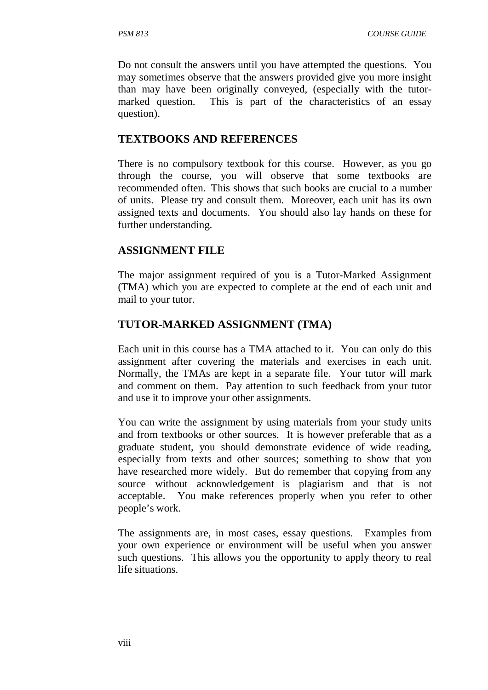Do not consult the answers until you have attempted the questions. You may sometimes observe that the answers provided give you more insight than may have been originally conveyed, (especially with the tutormarked question. This is part of the characteristics of an essay question).

## **TEXTBOOKS AND REFERENCES**

There is no compulsory textbook for this course. However, as you go through the course, you will observe that some textbooks are recommended often. This shows that such books are crucial to a number of units. Please try and consult them. Moreover, each unit has its own assigned texts and documents. You should also lay hands on these for further understanding.

## **ASSIGNMENT FILE**

The major assignment required of you is a Tutor-Marked Assignment (TMA) which you are expected to complete at the end of each unit and mail to your tutor.

## **TUTOR-MARKED ASSIGNMENT (TMA)**

Each unit in this course has a TMA attached to it. You can only do this assignment after covering the materials and exercises in each unit. Normally, the TMAs are kept in a separate file. Your tutor will mark and comment on them. Pay attention to such feedback from your tutor and use it to improve your other assignments.

You can write the assignment by using materials from your study units and from textbooks or other sources. It is however preferable that as a graduate student, you should demonstrate evidence of wide reading, especially from texts and other sources; something to show that you have researched more widely. But do remember that copying from any source without acknowledgement is plagiarism and that is not acceptable. You make references properly when you refer to other people's work.

The assignments are, in most cases, essay questions. Examples from your own experience or environment will be useful when you answer such questions. This allows you the opportunity to apply theory to real life situations.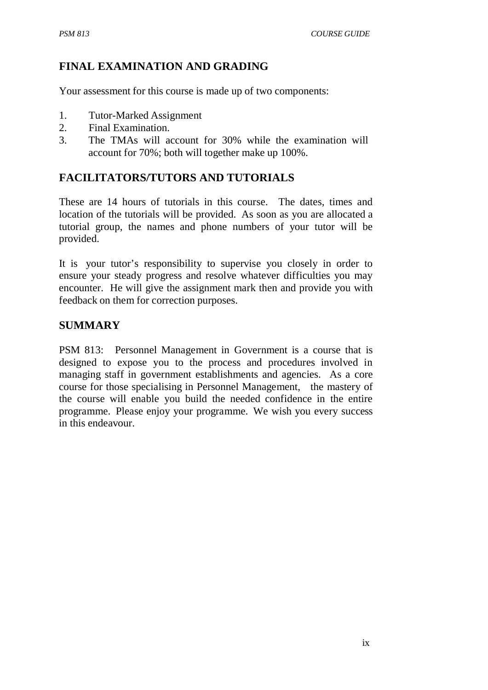# **FINAL EXAMINATION AND GRADING**

Your assessment for this course is made up of two components:

- 1. Tutor-Marked Assignment
- 2. Final Examination.
- 3. The TMAs will account for 30% while the examination will account for 70%; both will together make up 100%.

# **FACILITATORS/TUTORS AND TUTORIALS**

These are 14 hours of tutorials in this course. The dates, times and location of the tutorials will be provided. As soon as you are allocated a tutorial group, the names and phone numbers of your tutor will be provided.

It is your tutor's responsibility to supervise you closely in order to ensure your steady progress and resolve whatever difficulties you may encounter. He will give the assignment mark then and provide you with feedback on them for correction purposes.

# **SUMMARY**

PSM 813: Personnel Management in Government is a course that is designed to expose you to the process and procedures involved in managing staff in government establishments and agencies. As a core course for those specialising in Personnel Management, the mastery of the course will enable you build the needed confidence in the entire programme. Please enjoy your programme. We wish you every success in this endeavour.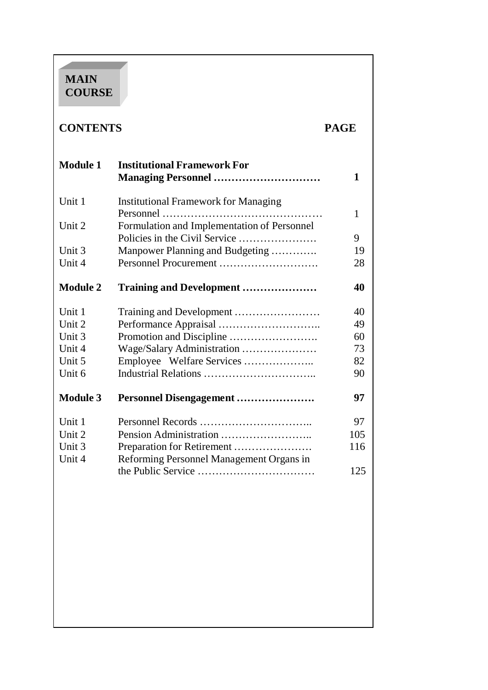# **MAIN COURSE**

# **CONTENTS PAGE**

| <b>Module 1</b> | <b>Institutional Framework For</b><br><b>Managing Personnel </b>             | 1   |
|-----------------|------------------------------------------------------------------------------|-----|
| Unit 1          | <b>Institutional Framework for Managing</b><br>Personnel                     | 1   |
| Unit 2          | Formulation and Implementation of Personnel<br>Policies in the Civil Service | 9   |
| Unit 3          | Manpower Planning and Budgeting                                              | 19  |
| Unit 4          | Personnel Procurement                                                        | 28  |
| <b>Module 2</b> | Training and Development                                                     | 40  |
| Unit 1          |                                                                              | 40  |
| Unit 2          |                                                                              | 49  |
| Unit 3          |                                                                              | 60  |
| Unit 4          | Wage/Salary Administration                                                   | 73  |
| Unit 5          |                                                                              | 82  |
| Unit 6          |                                                                              | 90  |
| <b>Module 3</b> | Personnel Disengagement                                                      | 97  |
| Unit 1          |                                                                              | 97  |
| Unit 2          |                                                                              | 105 |
| Unit 3          | Preparation for Retirement                                                   | 116 |
| Unit 4          | Reforming Personnel Management Organs in                                     |     |
|                 |                                                                              | 125 |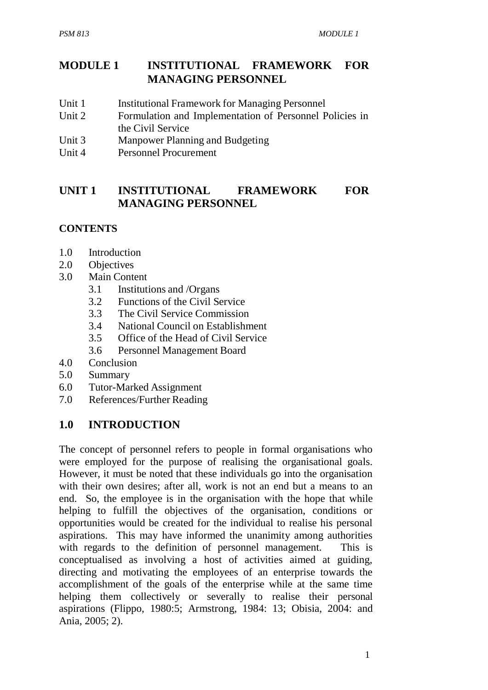# **MODULE 1 INSTITUTIONAL FRAMEWORK FOR MANAGING PERSONNEL**

- Unit 1 Institutional Framework for Managing Personnel
- Unit 2 Formulation and Implementation of Personnel Policies in the Civil Service
- Unit 3 Manpower Planning and Budgeting
- Unit 4 Personnel Procurement

## **UNIT 1 INSTITUTIONAL FRAMEWORK FOR MANAGING PERSONNEL**

#### **CONTENTS**

- 1.0 Introduction
- 2.0 Objectives
- 3.0 Main Content
	- 3.1 Institutions and /Organs
	- 3.2 Functions of the Civil Service
	- 3.3 The Civil Service Commission
	- 3.4 National Council on Establishment
	- 3.5 Office of the Head of Civil Service
	- 3.6 Personnel Management Board
- 4.0 Conclusion
- 5.0 Summary
- 6.0 Tutor-Marked Assignment
- 7.0 References/Further Reading

## **1.0 INTRODUCTION**

The concept of personnel refers to people in formal organisations who were employed for the purpose of realising the organisational goals. However, it must be noted that these individuals go into the organisation with their own desires; after all, work is not an end but a means to an end. So, the employee is in the organisation with the hope that while helping to fulfill the objectives of the organisation, conditions or opportunities would be created for the individual to realise his personal aspirations. This may have informed the unanimity among authorities with regards to the definition of personnel management. This is conceptualised as involving a host of activities aimed at guiding, directing and motivating the employees of an enterprise towards the accomplishment of the goals of the enterprise while at the same time helping them collectively or severally to realise their personal aspirations (Flippo, 1980:5; Armstrong, 1984: 13; Obisia, 2004: and Ania, 2005; 2).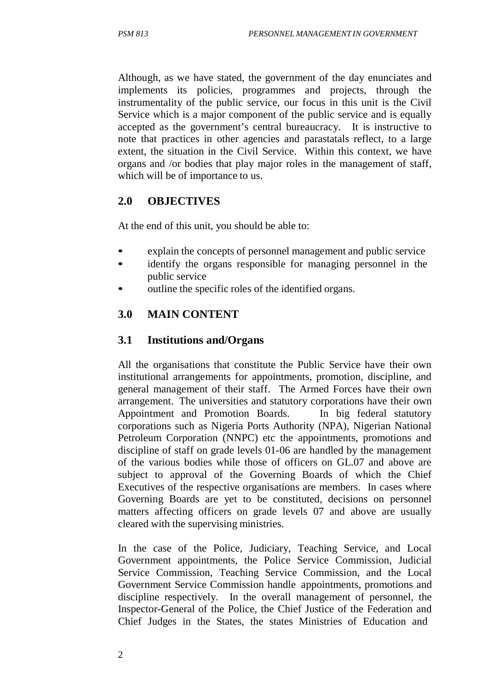Although, as we have stated, the government of the day enunciates and implements its policies, programmes and projects, through the instrumentality of the public service, our focus in this unit is the Civil Service which is a major component of the public service and is equally accepted as the government's central bureaucracy. It is instructive to note that practices in other agencies and parastatals reflect, to a large extent, the situation in the Civil Service. Within this context, we have organs and /or bodies that play major roles in the management of staff, which will be of importance to us.

# **2.0 OBJECTIVES**

At the end of this unit, you should be able to:

- explain the concepts of personnel management and public service
- identify the organs responsible for managing personnel in the public service
- outline the specific roles of the identified organs.

# **3.0 MAIN CONTENT**

## **3.1 Institutions and/Organs**

All the organisations that constitute the Public Service have their own institutional arrangements for appointments, promotion, discipline, and general management of their staff. The Armed Forces have their own arrangement. The universities and statutory corporations have their own Appointment and Promotion Boards. In big federal statutory corporations such as Nigeria Ports Authority (NPA), Nigerian National Petroleum Corporation (NNPC) etc the appointments, promotions and discipline of staff on grade levels 01-06 are handled by the management of the various bodies while those of officers on GL.07 and above are subject to approval of the Governing Boards of which the Chief Executives of the respective organisations are members. In cases where Governing Boards are yet to be constituted, decisions on personnel matters affecting officers on grade levels 07 and above are usually cleared with the supervising ministries.

In the case of the Police, Judiciary, Teaching Service, and Local Government appointments, the Police Service Commission, Judicial Service Commission, Teaching Service Commission, and the Local Government Service Commission handle appointments, promotions and discipline respectively. In the overall management of personnel, the Inspector-General of the Police, the Chief Justice of the Federation and Chief Judges in the States, the states Ministries of Education and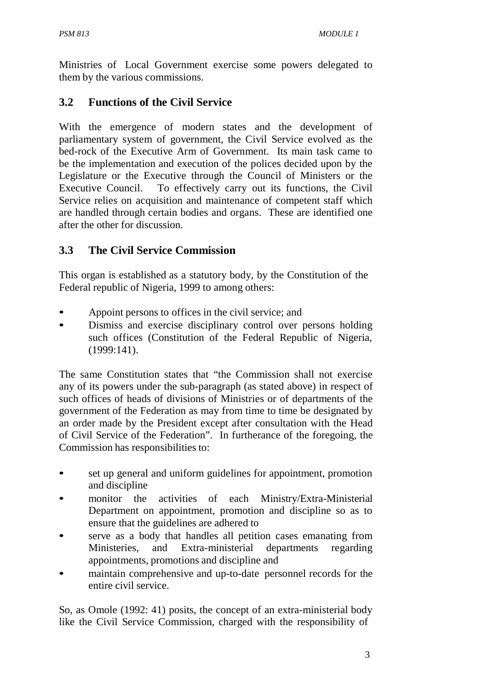Ministries of Local Government exercise some powers delegated to them by the various commissions.

# **3.2 Functions of the Civil Service**

With the emergence of modern states and the development of parliamentary system of government, the Civil Service evolved as the bed-rock of the Executive Arm of Government. Its main task came to be the implementation and execution of the polices decided upon by the Legislature or the Executive through the Council of Ministers or the Executive Council. To effectively carry out its functions, the Civil Service relies on acquisition and maintenance of competent staff which are handled through certain bodies and organs. These are identified one after the other for discussion.

# **3.3 The Civil Service Commission**

This organ is established as a statutory body, by the Constitution of the Federal republic of Nigeria, 1999 to among others:

- Appoint persons to offices in the civil service; and
- Dismiss and exercise disciplinary control over persons holding such offices (Constitution of the Federal Republic of Nigeria, (1999:141).

The same Constitution states that "the Commission shall not exercise any of its powers under the sub-paragraph (as stated above) in respect of such offices of heads of divisions of Ministries or of departments of the government of the Federation as may from time to time be designated by an order made by the President except after consultation with the Head of Civil Service of the Federation". In furtherance of the foregoing, the Commission has responsibilities to:

- set up general and uniform guidelines for appointment, promotion and discipline
- monitor the activities of each Ministry/Extra-Ministerial Department on appointment, promotion and discipline so as to ensure that the guidelines are adhered to
- serve as a body that handles all petition cases emanating from Ministeries, and Extra-ministerial departments regarding appointments, promotions and discipline and
- maintain comprehensive and up-to-date personnel records for the entire civil service.

So, as Omole (1992: 41) posits, the concept of an extra-ministerial body like the Civil Service Commission, charged with the responsibility of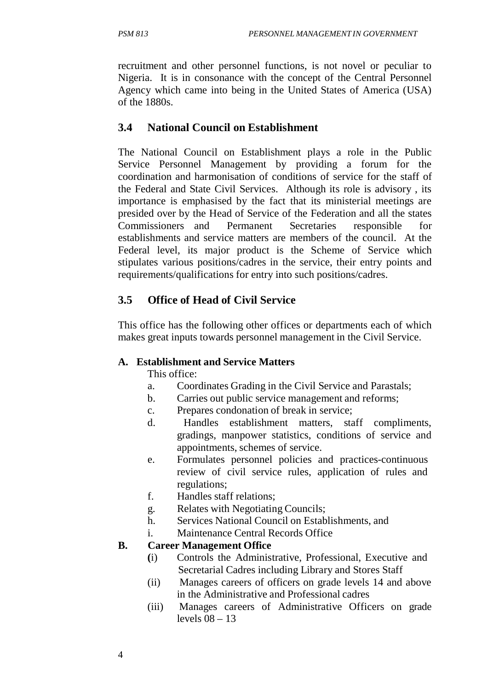recruitment and other personnel functions, is not novel or peculiar to Nigeria. It is in consonance with the concept of the Central Personnel Agency which came into being in the United States of America (USA) of the 1880s.

# **3.4 National Council on Establishment**

The National Council on Establishment plays a role in the Public Service Personnel Management by providing a forum for the coordination and harmonisation of conditions of service for the staff of the Federal and State Civil Services. Although its role is advisory , its importance is emphasised by the fact that its ministerial meetings are presided over by the Head of Service of the Federation and all the states Commissioners and Permanent Secretaries responsible for establishments and service matters are members of the council. At the Federal level, its major product is the Scheme of Service which stipulates various positions/cadres in the service, their entry points and requirements/qualifications for entry into such positions/cadres.

# **3.5 Office of Head of Civil Service**

This office has the following other offices or departments each of which makes great inputs towards personnel management in the Civil Service.

## **A. Establishment and Service Matters**

This office:

- a. Coordinates Grading in the Civil Service and Parastals;
- b. Carries out public service management and reforms;
- c. Prepares condonation of break in service;
- d. Handles establishment matters, staff compliments, gradings, manpower statistics, conditions of service and appointments, schemes of service.
- e. Formulates personnel policies and practices-continuous review of civil service rules, application of rules and regulations;
- f. Handles staff relations;
- g. Relates with Negotiating Councils;
- h. Services National Council on Establishments, and
- i. Maintenance Central Records Office

# **B. Career Management Office**

- **(**i) Controls the Administrative, Professional, Executive and Secretarial Cadres including Library and Stores Staff
- (ii) Manages careers of officers on grade levels 14 and above in the Administrative and Professional cadres
- (iii) Manages careers of Administrative Officers on grade levels  $08 - 13$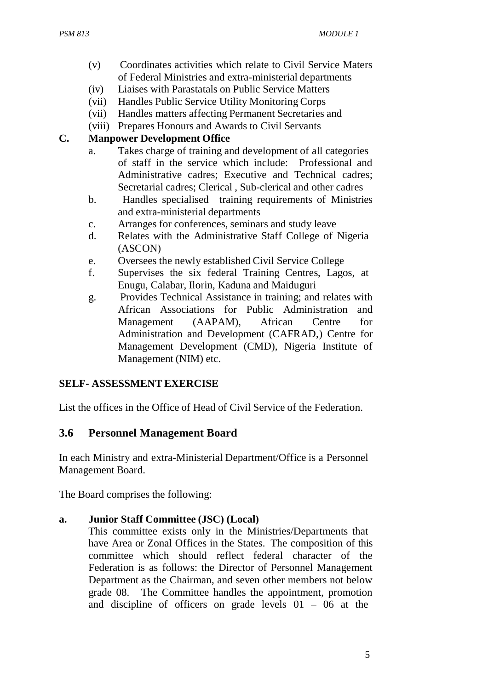- (v) Coordinates activities which relate to Civil Service Maters of Federal Ministries and extra-ministerial departments
- (iv) Liaises with Parastatals on Public Service Matters
- (vii) Handles Public Service Utility Monitoring Corps
- (vii) Handles matters affecting Permanent Secretaries and
- (viii) Prepares Honours and Awards to Civil Servants

## **C. Manpower Development Office**

- a. Takes charge of training and development of all categories of staff in the service which include: Professional and Administrative cadres; Executive and Technical cadres; Secretarial cadres; Clerical , Sub-clerical and other cadres
- b. Handles specialised training requirements of Ministries and extra-ministerial departments
- c. Arranges for conferences, seminars and study leave
- d. Relates with the Administrative Staff College of Nigeria (ASCON)
- e. Oversees the newly established Civil Service College
- f. Supervises the six federal Training Centres, Lagos, at Enugu, Calabar, Ilorin, Kaduna and Maiduguri
- g. Provides Technical Assistance in training; and relates with African Associations for Public Administration and Management (AAPAM), African Centre for Administration and Development (CAFRAD,) Centre for Management Development (CMD), Nigeria Institute of Management (NIM) etc.

# **SELF- ASSESSMENT EXERCISE**

List the offices in the Office of Head of Civil Service of the Federation.

# **3.6 Personnel Management Board**

In each Ministry and extra-Ministerial Department/Office is a Personnel Management Board.

The Board comprises the following:

# **a. Junior Staff Committee (JSC) (Local)**

This committee exists only in the Ministries/Departments that have Area or Zonal Offices in the States. The composition of this committee which should reflect federal character of the Federation is as follows: the Director of Personnel Management Department as the Chairman, and seven other members not below grade 08. The Committee handles the appointment, promotion and discipline of officers on grade levels 01 – 06 at the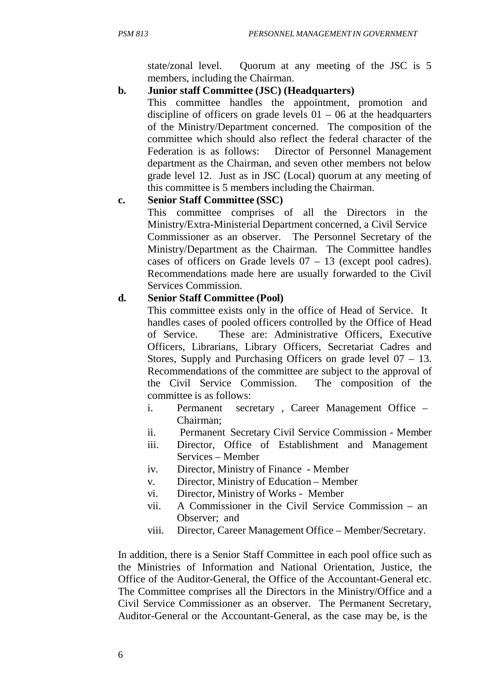state/zonal level. Quorum at any meeting of the JSC is 5 members, including the Chairman.

## **b. Junior staff Committee (JSC) (Headquarters)**

This committee handles the appointment, promotion and discipline of officers on grade levels  $01 - 06$  at the headquarters of the Ministry/Department concerned. The composition of the committee which should also reflect the federal character of the Federation is as follows: Director of Personnel Management department as the Chairman, and seven other members not below grade level 12. Just as in JSC (Local) quorum at any meeting of this committee is 5 members including the Chairman.

## **c. Senior Staff Committee (SSC)**

This committee comprises of all the Directors in the Ministry/Extra-Ministerial Department concerned, a Civil Service Commissioner as an observer. The Personnel Secretary of the Ministry/Department as the Chairman. The Committee handles cases of officers on Grade levels 07 – 13 (except pool cadres). Recommendations made here are usually forwarded to the Civil Services Commission.

## **d. Senior Staff Committee (Pool)**

This committee exists only in the office of Head of Service. It handles cases of pooled officers controlled by the Office of Head of Service. These are: Administrative Officers, Executive Officers, Librarians, Library Officers, Secretariat Cadres and Stores, Supply and Purchasing Officers on grade level 07 – 13. Recommendations of the committee are subject to the approval of the Civil Service Commission. The composition of the committee is as follows:

- i. Permanent secretary , Career Management Office Chairman;
- ii. Permanent Secretary Civil Service Commission Member
- iii. Director, Office of Establishment and Management Services – Member
- iv. Director, Ministry of Finance Member
- v. Director, Ministry of Education Member
- vi. Director, Ministry of Works Member
- vii. A Commissioner in the Civil Service Commission an Observer; and
- viii. Director, Career Management Office Member/Secretary.

In addition, there is a Senior Staff Committee in each pool office such as the Ministries of Information and National Orientation, Justice, the Office of the Auditor-General, the Office of the Accountant-General etc. The Committee comprises all the Directors in the Ministry/Office and a Civil Service Commissioner as an observer. The Permanent Secretary, Auditor-General or the Accountant-General, as the case may be, is the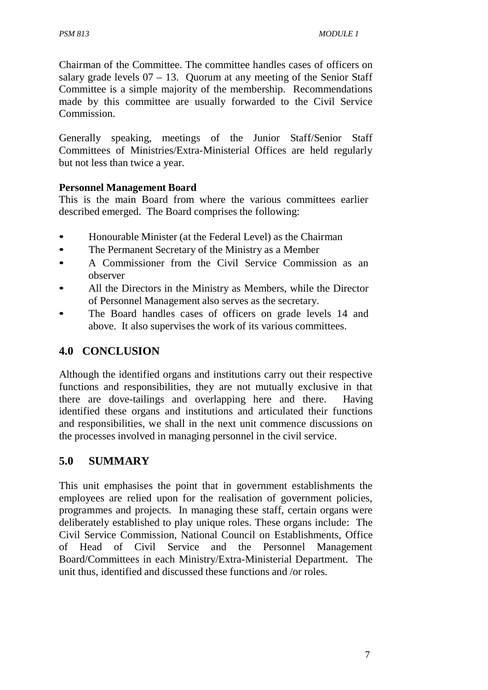Chairman of the Committee. The committee handles cases of officers on salary grade levels  $07 - 13$ . Ouorum at any meeting of the Senior Staff Committee is a simple majority of the membership. Recommendations made by this committee are usually forwarded to the Civil Service Commission.

Generally speaking, meetings of the Junior Staff/Senior Staff Committees of Ministries/Extra-Ministerial Offices are held regularly but not less than twice a year.

## **Personnel Management Board**

This is the main Board from where the various committees earlier described emerged. The Board comprises the following:

- Honourable Minister (at the Federal Level) as the Chairman
- The Permanent Secretary of the Ministry as a Member
- A Commissioner from the Civil Service Commission as an observer
- All the Directors in the Ministry as Members, while the Director of Personnel Management also serves as the secretary.
- The Board handles cases of officers on grade levels 14 and above. It also supervises the work of its various committees.

# **4.0 CONCLUSION**

Although the identified organs and institutions carry out their respective functions and responsibilities, they are not mutually exclusive in that there are dove-tailings and overlapping here and there. Having identified these organs and institutions and articulated their functions and responsibilities, we shall in the next unit commence discussions on the processes involved in managing personnel in the civil service.

# **5.0 SUMMARY**

This unit emphasises the point that in government establishments the employees are relied upon for the realisation of government policies, programmes and projects. In managing these staff, certain organs were deliberately established to play unique roles. These organs include: The Civil Service Commission, National Council on Establishments, Office of Head of Civil Service and the Personnel Management Board/Committees in each Ministry/Extra-Ministerial Department. The unit thus, identified and discussed these functions and /or roles.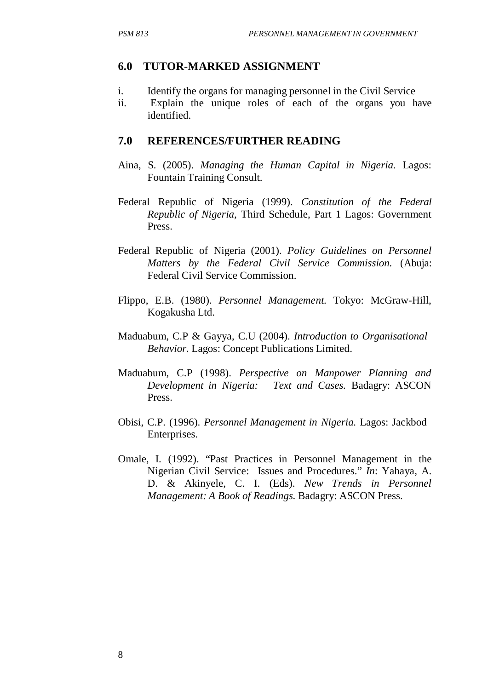## **6.0 TUTOR-MARKED ASSIGNMENT**

- i. Identify the organs for managing personnel in the Civil Service
- ii. Explain the unique roles of each of the organs you have identified.

#### **7.0 REFERENCES/FURTHER READING**

- Aina, S. (2005). *Managing the Human Capital in Nigeria.* Lagos: Fountain Training Consult.
- Federal Republic of Nigeria (1999). *Constitution of the Federal Republic of Nigeria,* Third Schedule, Part 1 Lagos: Government Press.
- Federal Republic of Nigeria (2001). *Policy Guidelines on Personnel Matters by the Federal Civil Service Commission.* (Abuja: Federal Civil Service Commission.
- Flippo, E.B. (1980). *Personnel Management.* Tokyo: McGraw-Hill, Kogakusha Ltd.
- Maduabum, C.P & Gayya, C.U (2004). *Introduction to Organisational Behavior.* Lagos: Concept Publications Limited.
- Maduabum, C.P (1998). *Perspective on Manpower Planning and Development in Nigeria: Text and Cases.* Badagry: ASCON Press.
- Obisi, C.P. (1996). *Personnel Management in Nigeria.* Lagos: Jackbod Enterprises.
- Omale, I. (1992). "Past Practices in Personnel Management in the Nigerian Civil Service: Issues and Procedures." *In*: Yahaya, A. D. & Akinyele, C. I. (Eds). *New Trends in Personnel Management: A Book of Readings.* Badagry: ASCON Press.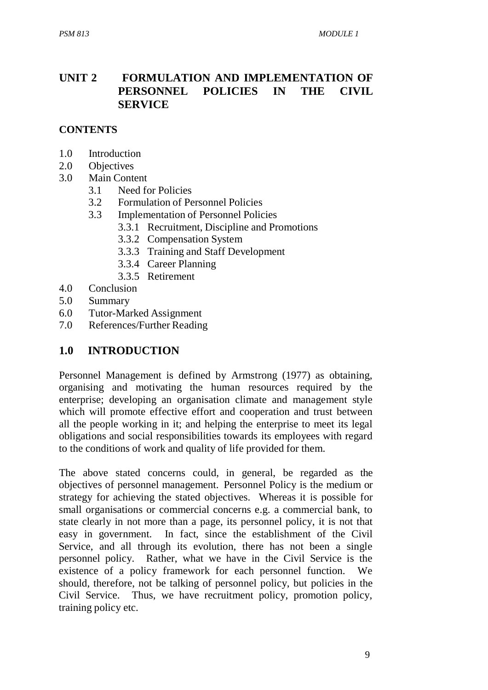# **UNIT 2 FORMULATION AND IMPLEMENTATION OF PERSONNEL POLICIES IN THE CIVIL SERVICE**

## **CONTENTS**

- 1.0 Introduction
- 2.0 Objectives
- 3.0 Main Content
	- 3.1 Need for Policies
	- 3.2 Formulation of Personnel Policies
	- 3.3 Implementation of Personnel Policies
		- 3.3.1 Recruitment, Discipline and Promotions
		- 3.3.2 Compensation System
		- 3.3.3 Training and Staff Development
		- 3.3.4 Career Planning
		- 3.3.5 Retirement
- 4.0 Conclusion
- 5.0 Summary
- 6.0 Tutor-Marked Assignment
- 7.0 References/Further Reading

## **1.0 INTRODUCTION**

Personnel Management is defined by Armstrong (1977) as obtaining, organising and motivating the human resources required by the enterprise; developing an organisation climate and management style which will promote effective effort and cooperation and trust between all the people working in it; and helping the enterprise to meet its legal obligations and social responsibilities towards its employees with regard to the conditions of work and quality of life provided for them.

The above stated concerns could, in general, be regarded as the objectives of personnel management. Personnel Policy is the medium or strategy for achieving the stated objectives. Whereas it is possible for small organisations or commercial concerns e.g. a commercial bank, to state clearly in not more than a page, its personnel policy, it is not that easy in government. In fact, since the establishment of the Civil Service, and all through its evolution, there has not been a single personnel policy. Rather, what we have in the Civil Service is the existence of a policy framework for each personnel function. We should, therefore, not be talking of personnel policy, but policies in the Civil Service. Thus, we have recruitment policy, promotion policy, training policy etc.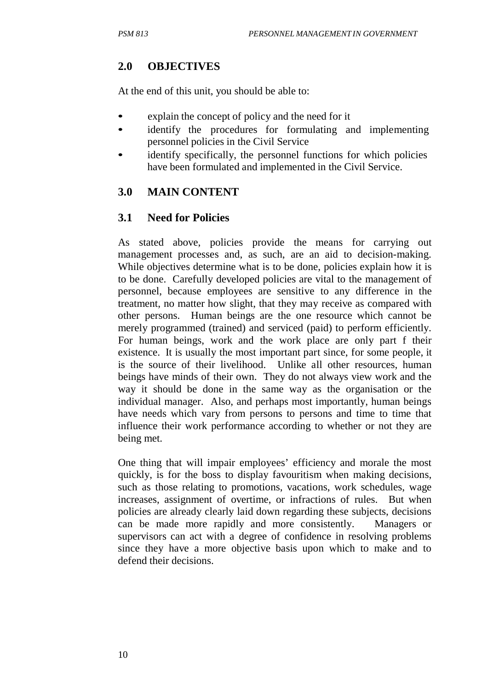# **2.0 OBJECTIVES**

At the end of this unit, you should be able to:

- explain the concept of policy and the need for it
- identify the procedures for formulating and implementing personnel policies in the Civil Service
- identify specifically, the personnel functions for which policies have been formulated and implemented in the Civil Service.

# **3.0 MAIN CONTENT**

# **3.1 Need for Policies**

As stated above, policies provide the means for carrying out management processes and, as such, are an aid to decision-making. While objectives determine what is to be done, policies explain how it is to be done. Carefully developed policies are vital to the management of personnel, because employees are sensitive to any difference in the treatment, no matter how slight, that they may receive as compared with other persons. Human beings are the one resource which cannot be merely programmed (trained) and serviced (paid) to perform efficiently. For human beings, work and the work place are only part f their existence. It is usually the most important part since, for some people, it is the source of their livelihood. Unlike all other resources, human beings have minds of their own. They do not always view work and the way it should be done in the same way as the organisation or the individual manager. Also, and perhaps most importantly, human beings have needs which vary from persons to persons and time to time that influence their work performance according to whether or not they are being met.

One thing that will impair employees' efficiency and morale the most quickly, is for the boss to display favouritism when making decisions, such as those relating to promotions, vacations, work schedules, wage increases, assignment of overtime, or infractions of rules. But when policies are already clearly laid down regarding these subjects, decisions can be made more rapidly and more consistently. Managers or supervisors can act with a degree of confidence in resolving problems since they have a more objective basis upon which to make and to defend their decisions.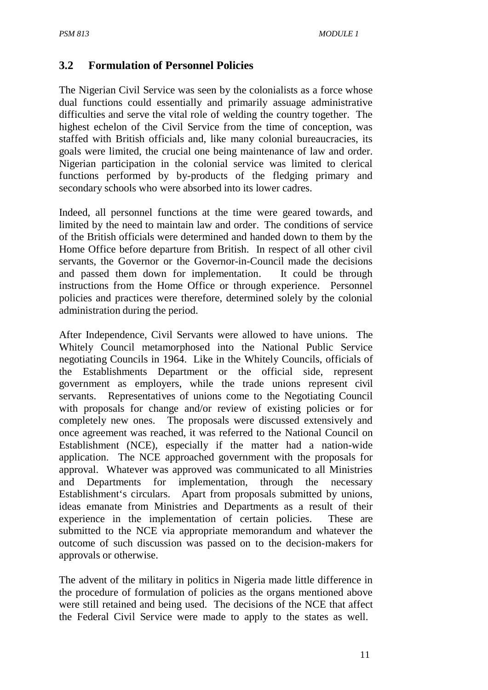## **3.2 Formulation of Personnel Policies**

The Nigerian Civil Service was seen by the colonialists as a force whose dual functions could essentially and primarily assuage administrative difficulties and serve the vital role of welding the country together. The highest echelon of the Civil Service from the time of conception, was staffed with British officials and, like many colonial bureaucracies, its goals were limited, the crucial one being maintenance of law and order. Nigerian participation in the colonial service was limited to clerical functions performed by by-products of the fledging primary and secondary schools who were absorbed into its lower cadres.

Indeed, all personnel functions at the time were geared towards, and limited by the need to maintain law and order. The conditions of service of the British officials were determined and handed down to them by the Home Office before departure from British. In respect of all other civil servants, the Governor or the Governor-in-Council made the decisions and passed them down for implementation. It could be through instructions from the Home Office or through experience. Personnel policies and practices were therefore, determined solely by the colonial administration during the period.

After Independence, Civil Servants were allowed to have unions. The Whitely Council metamorphosed into the National Public Service negotiating Councils in 1964. Like in the Whitely Councils, officials of the Establishments Department or the official side, represent government as employers, while the trade unions represent civil servants. Representatives of unions come to the Negotiating Council with proposals for change and/or review of existing policies or for completely new ones. The proposals were discussed extensively and once agreement was reached, it was referred to the National Council on Establishment (NCE), especially if the matter had a nation-wide application. The NCE approached government with the proposals for approval. Whatever was approved was communicated to all Ministries and Departments for implementation, through the necessary Establishment's circulars. Apart from proposals submitted by unions, ideas emanate from Ministries and Departments as a result of their experience in the implementation of certain policies. These are submitted to the NCE via appropriate memorandum and whatever the outcome of such discussion was passed on to the decision-makers for approvals or otherwise.

The advent of the military in politics in Nigeria made little difference in the procedure of formulation of policies as the organs mentioned above were still retained and being used. The decisions of the NCE that affect the Federal Civil Service were made to apply to the states as well.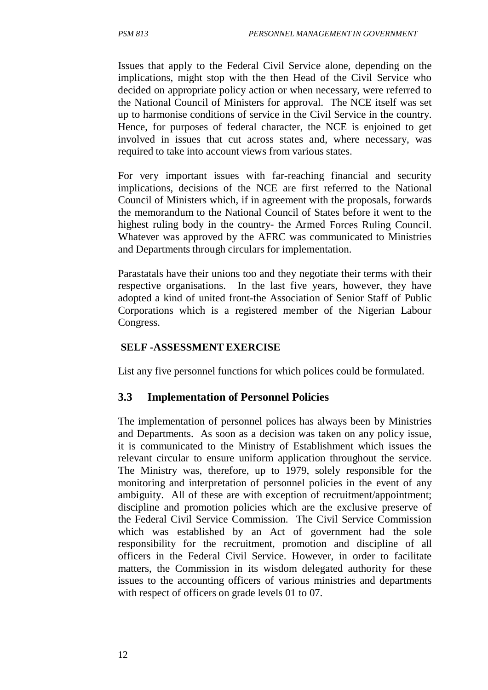Issues that apply to the Federal Civil Service alone, depending on the implications, might stop with the then Head of the Civil Service who decided on appropriate policy action or when necessary, were referred to the National Council of Ministers for approval. The NCE itself was set up to harmonise conditions of service in the Civil Service in the country. Hence, for purposes of federal character, the NCE is enjoined to get involved in issues that cut across states and, where necessary, was required to take into account views from various states.

For very important issues with far-reaching financial and security implications, decisions of the NCE are first referred to the National Council of Ministers which, if in agreement with the proposals, forwards the memorandum to the National Council of States before it went to the highest ruling body in the country- the Armed Forces Ruling Council. Whatever was approved by the AFRC was communicated to Ministries and Departments through circulars for implementation.

Parastatals have their unions too and they negotiate their terms with their respective organisations. In the last five years, however, they have adopted a kind of united front-the Association of Senior Staff of Public Corporations which is a registered member of the Nigerian Labour Congress.

## **SELF -ASSESSMENT EXERCISE**

List any five personnel functions for which polices could be formulated.

# **3.3 Implementation of Personnel Policies**

The implementation of personnel polices has always been by Ministries and Departments. As soon as a decision was taken on any policy issue, it is communicated to the Ministry of Establishment which issues the relevant circular to ensure uniform application throughout the service. The Ministry was, therefore, up to 1979, solely responsible for the monitoring and interpretation of personnel policies in the event of any ambiguity. All of these are with exception of recruitment/appointment; discipline and promotion policies which are the exclusive preserve of the Federal Civil Service Commission. The Civil Service Commission which was established by an Act of government had the sole responsibility for the recruitment, promotion and discipline of all officers in the Federal Civil Service. However, in order to facilitate matters, the Commission in its wisdom delegated authority for these issues to the accounting officers of various ministries and departments with respect of officers on grade levels 01 to 07.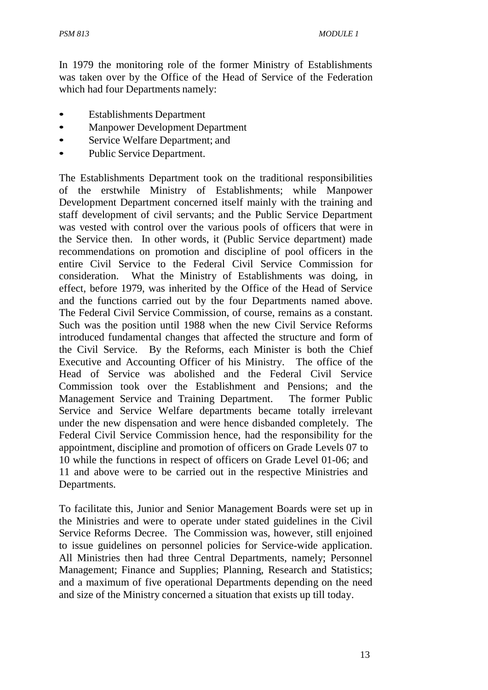In 1979 the monitoring role of the former Ministry of Establishments was taken over by the Office of the Head of Service of the Federation which had four Departments namely:

- Establishments Department
- Manpower Development Department
- Service Welfare Department: and
- Public Service Department.

The Establishments Department took on the traditional responsibilities of the erstwhile Ministry of Establishments; while Manpower Development Department concerned itself mainly with the training and staff development of civil servants; and the Public Service Department was vested with control over the various pools of officers that were in the Service then. In other words, it (Public Service department) made recommendations on promotion and discipline of pool officers in the entire Civil Service to the Federal Civil Service Commission for consideration. What the Ministry of Establishments was doing, in effect, before 1979, was inherited by the Office of the Head of Service and the functions carried out by the four Departments named above. The Federal Civil Service Commission, of course, remains as a constant. Such was the position until 1988 when the new Civil Service Reforms introduced fundamental changes that affected the structure and form of the Civil Service. By the Reforms, each Minister is both the Chief Executive and Accounting Officer of his Ministry. The office of the Head of Service was abolished and the Federal Civil Service Commission took over the Establishment and Pensions; and the Management Service and Training Department. The former Public Service and Service Welfare departments became totally irrelevant under the new dispensation and were hence disbanded completely. The Federal Civil Service Commission hence, had the responsibility for the appointment, discipline and promotion of officers on Grade Levels 07 to 10 while the functions in respect of officers on Grade Level 01-06; and 11 and above were to be carried out in the respective Ministries and Departments.

To facilitate this, Junior and Senior Management Boards were set up in the Ministries and were to operate under stated guidelines in the Civil Service Reforms Decree. The Commission was, however, still enjoined to issue guidelines on personnel policies for Service-wide application. All Ministries then had three Central Departments, namely; Personnel Management; Finance and Supplies; Planning, Research and Statistics; and a maximum of five operational Departments depending on the need and size of the Ministry concerned a situation that exists up till today.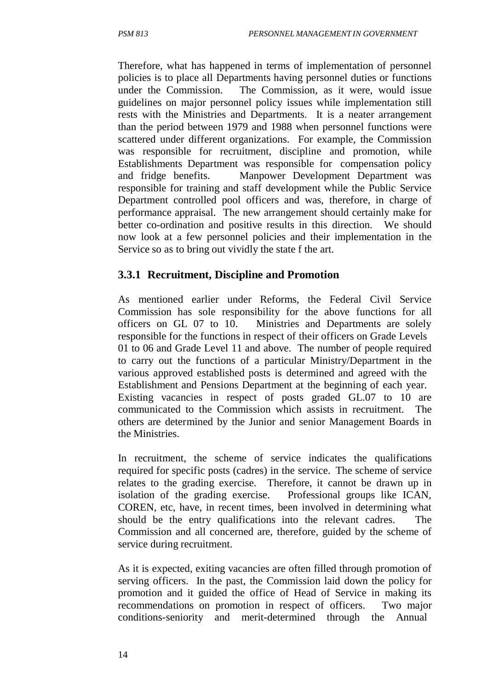Therefore, what has happened in terms of implementation of personnel policies is to place all Departments having personnel duties or functions under the Commission. The Commission, as it were, would issue guidelines on major personnel policy issues while implementation still rests with the Ministries and Departments. It is a neater arrangement than the period between 1979 and 1988 when personnel functions were scattered under different organizations. For example, the Commission was responsible for recruitment, discipline and promotion, while Establishments Department was responsible for compensation policy and fridge benefits. Manpower Development Department was responsible for training and staff development while the Public Service Department controlled pool officers and was, therefore, in charge of performance appraisal. The new arrangement should certainly make for better co-ordination and positive results in this direction. We should now look at a few personnel policies and their implementation in the Service so as to bring out vividly the state f the art.

## **3.3.1 Recruitment, Discipline and Promotion**

As mentioned earlier under Reforms, the Federal Civil Service Commission has sole responsibility for the above functions for all officers on GL 07 to 10. Ministries and Departments are solely responsible for the functions in respect of their officers on Grade Levels 01 to 06 and Grade Level 11 and above. The number of people required to carry out the functions of a particular Ministry/Department in the various approved established posts is determined and agreed with the Establishment and Pensions Department at the beginning of each year. Existing vacancies in respect of posts graded GL.07 to 10 are communicated to the Commission which assists in recruitment. The others are determined by the Junior and senior Management Boards in the Ministries.

In recruitment, the scheme of service indicates the qualifications required for specific posts (cadres) in the service. The scheme of service relates to the grading exercise. Therefore, it cannot be drawn up in isolation of the grading exercise. Professional groups like ICAN, COREN, etc, have, in recent times, been involved in determining what should be the entry qualifications into the relevant cadres. The Commission and all concerned are, therefore, guided by the scheme of service during recruitment.

As it is expected, exiting vacancies are often filled through promotion of serving officers. In the past, the Commission laid down the policy for promotion and it guided the office of Head of Service in making its recommendations on promotion in respect of officers. Two major conditions-seniority and merit-determined through the Annual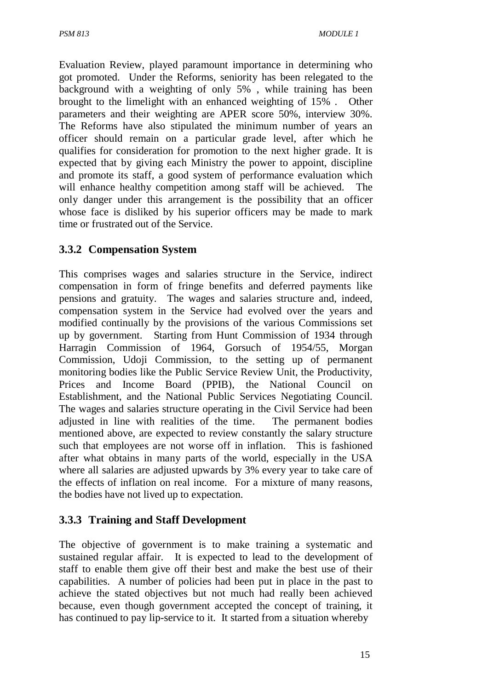Evaluation Review, played paramount importance in determining who got promoted. Under the Reforms, seniority has been relegated to the background with a weighting of only 5% , while training has been brought to the limelight with an enhanced weighting of 15% . Other parameters and their weighting are APER score 50%, interview 30%. The Reforms have also stipulated the minimum number of years an officer should remain on a particular grade level, after which he qualifies for consideration for promotion to the next higher grade. It is expected that by giving each Ministry the power to appoint, discipline and promote its staff, a good system of performance evaluation which will enhance healthy competition among staff will be achieved. The only danger under this arrangement is the possibility that an officer whose face is disliked by his superior officers may be made to mark time or frustrated out of the Service.

# **3.3.2 Compensation System**

This comprises wages and salaries structure in the Service, indirect compensation in form of fringe benefits and deferred payments like pensions and gratuity. The wages and salaries structure and, indeed, compensation system in the Service had evolved over the years and modified continually by the provisions of the various Commissions set up by government. Starting from Hunt Commission of 1934 through Harragin Commission of 1964, Gorsuch of 1954/55, Morgan Commission, Udoji Commission, to the setting up of permanent monitoring bodies like the Public Service Review Unit, the Productivity, Prices and Income Board (PPIB), the National Council on Establishment, and the National Public Services Negotiating Council. The wages and salaries structure operating in the Civil Service had been adjusted in line with realities of the time. The permanent bodies mentioned above, are expected to review constantly the salary structure such that employees are not worse off in inflation. This is fashioned after what obtains in many parts of the world, especially in the USA where all salaries are adjusted upwards by 3% every year to take care of the effects of inflation on real income. For a mixture of many reasons, the bodies have not lived up to expectation.

# **3.3.3 Training and Staff Development**

The objective of government is to make training a systematic and sustained regular affair. It is expected to lead to the development of staff to enable them give off their best and make the best use of their capabilities. A number of policies had been put in place in the past to achieve the stated objectives but not much had really been achieved because, even though government accepted the concept of training, it has continued to pay lip-service to it. It started from a situation whereby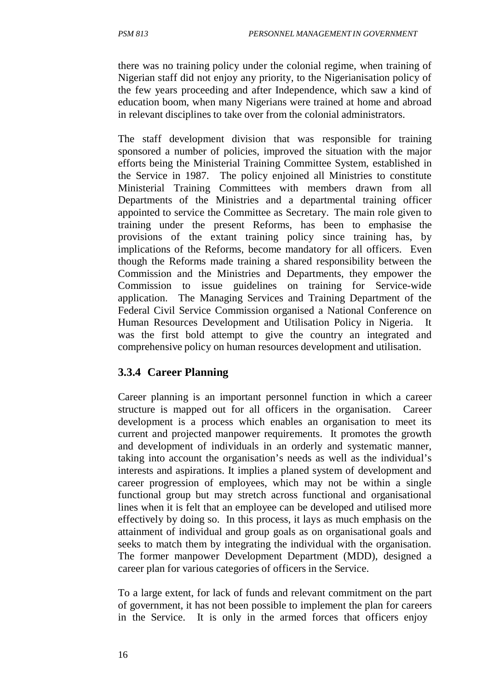there was no training policy under the colonial regime, when training of Nigerian staff did not enjoy any priority, to the Nigerianisation policy of the few years proceeding and after Independence, which saw a kind of education boom, when many Nigerians were trained at home and abroad in relevant disciplines to take over from the colonial administrators.

The staff development division that was responsible for training sponsored a number of policies, improved the situation with the major efforts being the Ministerial Training Committee System, established in the Service in 1987. The policy enjoined all Ministries to constitute Ministerial Training Committees with members drawn from all Departments of the Ministries and a departmental training officer appointed to service the Committee as Secretary. The main role given to training under the present Reforms, has been to emphasise the provisions of the extant training policy since training has, by implications of the Reforms, become mandatory for all officers. Even though the Reforms made training a shared responsibility between the Commission and the Ministries and Departments, they empower the Commission to issue guidelines on training for Service-wide application. The Managing Services and Training Department of the Federal Civil Service Commission organised a National Conference on Human Resources Development and Utilisation Policy in Nigeria. It was the first bold attempt to give the country an integrated and comprehensive policy on human resources development and utilisation.

# **3.3.4 Career Planning**

Career planning is an important personnel function in which a career structure is mapped out for all officers in the organisation. Career development is a process which enables an organisation to meet its current and projected manpower requirements. It promotes the growth and development of individuals in an orderly and systematic manner, taking into account the organisation's needs as well as the individual's interests and aspirations. It implies a planed system of development and career progression of employees, which may not be within a single functional group but may stretch across functional and organisational lines when it is felt that an employee can be developed and utilised more effectively by doing so. In this process, it lays as much emphasis on the attainment of individual and group goals as on organisational goals and seeks to match them by integrating the individual with the organisation. The former manpower Development Department (MDD), designed a career plan for various categories of officers in the Service.

To a large extent, for lack of funds and relevant commitment on the part of government, it has not been possible to implement the plan for careers in the Service. It is only in the armed forces that officers enjoy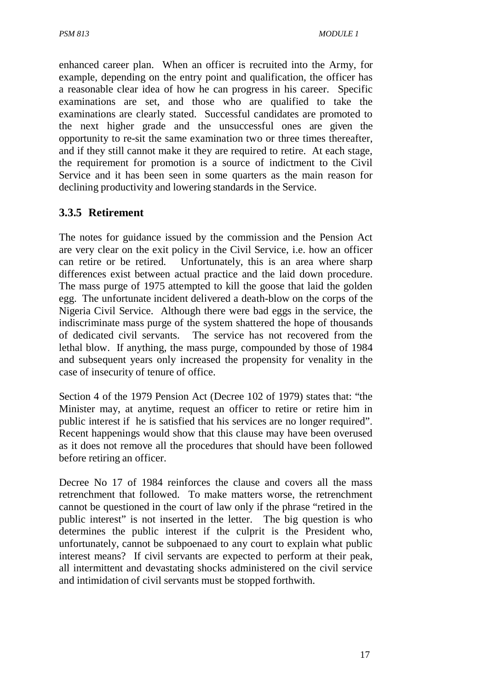enhanced career plan. When an officer is recruited into the Army, for example, depending on the entry point and qualification, the officer has a reasonable clear idea of how he can progress in his career. Specific examinations are set, and those who are qualified to take the examinations are clearly stated. Successful candidates are promoted to the next higher grade and the unsuccessful ones are given the opportunity to re-sit the same examination two or three times thereafter, and if they still cannot make it they are required to retire. At each stage, the requirement for promotion is a source of indictment to the Civil Service and it has been seen in some quarters as the main reason for declining productivity and lowering standards in the Service.

# **3.3.5 Retirement**

The notes for guidance issued by the commission and the Pension Act are very clear on the exit policy in the Civil Service, i.e. how an officer can retire or be retired. Unfortunately, this is an area where sharp differences exist between actual practice and the laid down procedure. The mass purge of 1975 attempted to kill the goose that laid the golden egg. The unfortunate incident delivered a death-blow on the corps of the Nigeria Civil Service. Although there were bad eggs in the service, the indiscriminate mass purge of the system shattered the hope of thousands of dedicated civil servants. The service has not recovered from the lethal blow. If anything, the mass purge, compounded by those of 1984 and subsequent years only increased the propensity for venality in the case of insecurity of tenure of office.

Section 4 of the 1979 Pension Act (Decree 102 of 1979) states that: "the Minister may, at anytime, request an officer to retire or retire him in public interest if he is satisfied that his services are no longer required". Recent happenings would show that this clause may have been overused as it does not remove all the procedures that should have been followed before retiring an officer.

Decree No 17 of 1984 reinforces the clause and covers all the mass retrenchment that followed. To make matters worse, the retrenchment cannot be questioned in the court of law only if the phrase "retired in the public interest" is not inserted in the letter. The big question is who determines the public interest if the culprit is the President who, unfortunately, cannot be subpoenaed to any court to explain what public interest means? If civil servants are expected to perform at their peak, all intermittent and devastating shocks administered on the civil service and intimidation of civil servants must be stopped forthwith.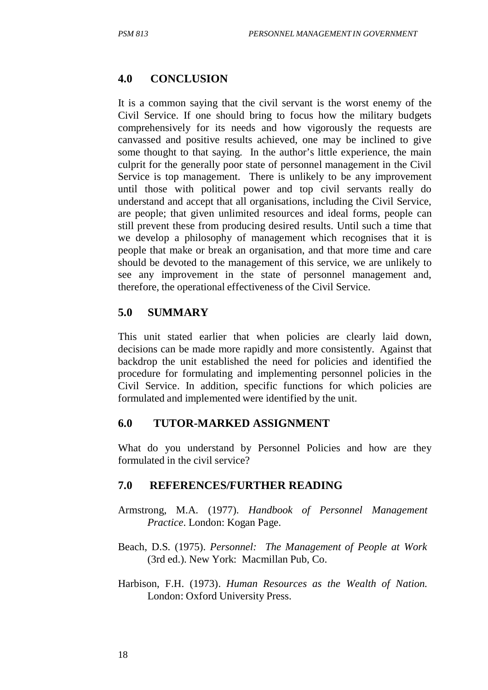# **4.0 CONCLUSION**

It is a common saying that the civil servant is the worst enemy of the Civil Service. If one should bring to focus how the military budgets comprehensively for its needs and how vigorously the requests are canvassed and positive results achieved, one may be inclined to give some thought to that saying. In the author's little experience, the main culprit for the generally poor state of personnel management in the Civil Service is top management. There is unlikely to be any improvement until those with political power and top civil servants really do understand and accept that all organisations, including the Civil Service, are people; that given unlimited resources and ideal forms, people can still prevent these from producing desired results. Until such a time that we develop a philosophy of management which recognises that it is people that make or break an organisation, and that more time and care should be devoted to the management of this service, we are unlikely to see any improvement in the state of personnel management and, therefore, the operational effectiveness of the Civil Service.

# **5.0 SUMMARY**

This unit stated earlier that when policies are clearly laid down, decisions can be made more rapidly and more consistently. Against that backdrop the unit established the need for policies and identified the procedure for formulating and implementing personnel policies in the Civil Service. In addition, specific functions for which policies are formulated and implemented were identified by the unit.

# **6.0 TUTOR-MARKED ASSIGNMENT**

What do you understand by Personnel Policies and how are they formulated in the civil service?

# **7.0 REFERENCES/FURTHER READING**

- Armstrong, M.A. (1977). *Handbook of Personnel Management Practice*. London: Kogan Page.
- Beach, D.S. (1975). *Personnel: The Management of People at Work* (3rd ed.). New York: Macmillan Pub, Co.
- Harbison, F.H. (1973). *Human Resources as the Wealth of Nation.* London: Oxford University Press.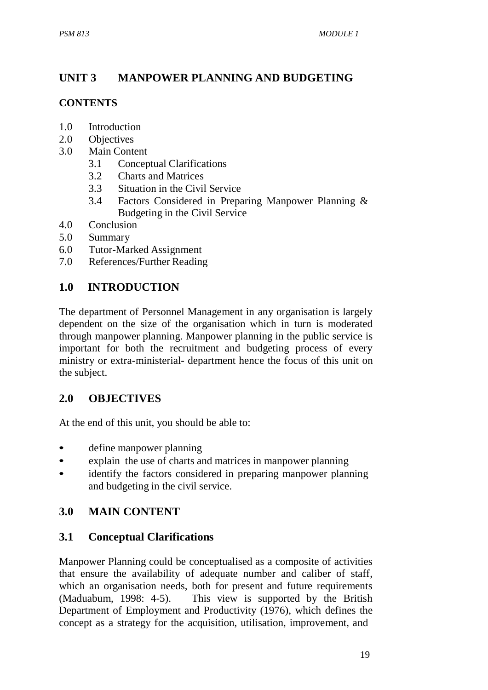# **UNIT 3 MANPOWER PLANNING AND BUDGETING**

# **CONTENTS**

- 1.0 Introduction
- 2.0 Objectives
- 3.0 Main Content
	- 3.1 Conceptual Clarifications
	- 3.2 Charts and Matrices
	- 3.3 Situation in the Civil Service
	- 3.4 Factors Considered in Preparing Manpower Planning & Budgeting in the Civil Service
- 4.0 Conclusion
- 5.0 Summary
- 6.0 Tutor-Marked Assignment
- 7.0 References/Further Reading

# **1.0 INTRODUCTION**

The department of Personnel Management in any organisation is largely dependent on the size of the organisation which in turn is moderated through manpower planning. Manpower planning in the public service is important for both the recruitment and budgeting process of every ministry or extra-ministerial- department hence the focus of this unit on the subject.

# **2.0 OBJECTIVES**

At the end of this unit, you should be able to:

- define manpower planning
- explain the use of charts and matrices in manpower planning
- identify the factors considered in preparing manpower planning and budgeting in the civil service.

# **3.0 MAIN CONTENT**

# **3.1 Conceptual Clarifications**

Manpower Planning could be conceptualised as a composite of activities that ensure the availability of adequate number and caliber of staff, which an organisation needs, both for present and future requirements (Maduabum, 1998: 4-5). This view is supported by the British Department of Employment and Productivity (1976), which defines the concept as a strategy for the acquisition, utilisation, improvement, and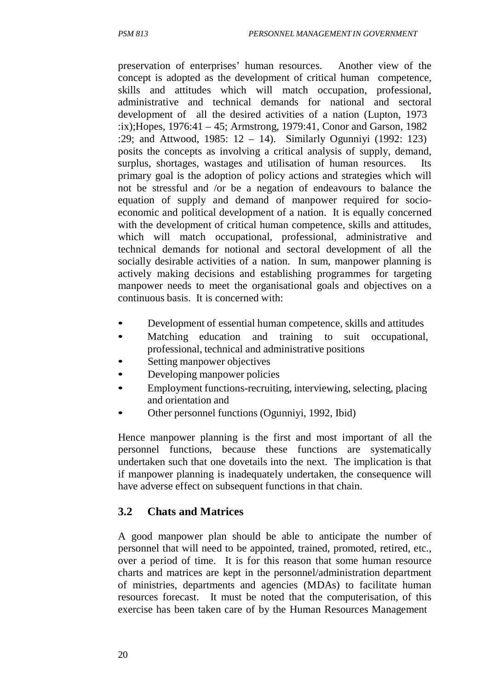preservation of enterprises' human resources. Another view of the concept is adopted as the development of critical human competence, skills and attitudes which will match occupation, professional, administrative and technical demands for national and sectoral development of all the desired activities of a nation (Lupton, 1973 :ix);Hopes, 1976:41 – 45; Armstrong, 1979:41, Conor and Garson, 1982 :29; and Attwood, 1985: 12 – 14). Similarly Ogunniyi (1992: 123) posits the concepts as involving a critical analysis of supply, demand, surplus, shortages, wastages and utilisation of human resources. Its primary goal is the adoption of policy actions and strategies which will not be stressful and /or be a negation of endeavours to balance the equation of supply and demand of manpower required for socioeconomic and political development of a nation. It is equally concerned with the development of critical human competence, skills and attitudes, which will match occupational, professional, administrative and technical demands for notional and sectoral development of all the socially desirable activities of a nation. In sum, manpower planning is actively making decisions and establishing programmes for targeting manpower needs to meet the organisational goals and objectives on a continuous basis. It is concerned with:

- Development of essential human competence, skills and attitudes
- Matching education and training to suit occupational, professional, technical and administrative positions
- Setting manpower objectives
- Developing manpower policies
- Employment functions-recruiting, interviewing, selecting, placing and orientation and
- Other personnel functions (Ogunniyi, 1992, Ibid)

Hence manpower planning is the first and most important of all the personnel functions, because these functions are systematically undertaken such that one dovetails into the next. The implication is that if manpower planning is inadequately undertaken, the consequence will have adverse effect on subsequent functions in that chain.

## **3.2 Chats and Matrices**

A good manpower plan should be able to anticipate the number of personnel that will need to be appointed, trained, promoted, retired, etc., over a period of time. It is for this reason that some human resource charts and matrices are kept in the personnel/administration department of ministries, departments and agencies (MDAs) to facilitate human resources forecast. It must be noted that the computerisation, of this exercise has been taken care of by the Human Resources Management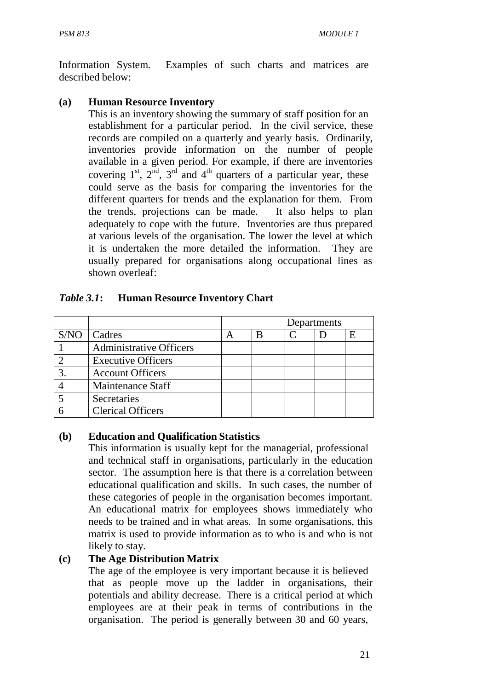Information System. Examples of such charts and matrices are described below:

## **(a) Human Resource Inventory**

This is an inventory showing the summary of staff position for an establishment for a particular period. In the civil service, these records are compiled on a quarterly and yearly basis. Ordinarily, inventories provide information on the number of people available in a given period. For example, if there are inventories covering  $1^{st}$ ,  $2^{nd}$ ,  $3^{rd}$  and  $4^{th}$  quarters of a particular year, these could serve as the basis for comparing the inventories for the different quarters for trends and the explanation for them. From the trends, projections can be made. It also helps to plan adequately to cope with the future. Inventories are thus prepared at various levels of the organisation. The lower the level at which it is undertaken the more detailed the information. They are usually prepared for organisations along occupational lines as shown overleaf:

## *Table 3.1***: Human Resource Inventory Chart**

|      |                                | Departments |   |  |  |   |
|------|--------------------------------|-------------|---|--|--|---|
| S/NO | Cadres                         | А           | В |  |  | E |
|      | <b>Administrative Officers</b> |             |   |  |  |   |
|      | <b>Executive Officers</b>      |             |   |  |  |   |
|      | <b>Account Officers</b>        |             |   |  |  |   |
|      | Maintenance Staff              |             |   |  |  |   |
|      | Secretaries                    |             |   |  |  |   |
|      | <b>Clerical Officers</b>       |             |   |  |  |   |

## **(b) Education and Qualification Statistics**

This information is usually kept for the managerial, professional and technical staff in organisations, particularly in the education sector. The assumption here is that there is a correlation between educational qualification and skills. In such cases, the number of these categories of people in the organisation becomes important. An educational matrix for employees shows immediately who needs to be trained and in what areas. In some organisations, this matrix is used to provide information as to who is and who is not likely to stay.

## **(c) The Age Distribution Matrix**

The age of the employee is very important because it is believed that as people move up the ladder in organisations, their potentials and ability decrease. There is a critical period at which employees are at their peak in terms of contributions in the organisation. The period is generally between 30 and 60 years,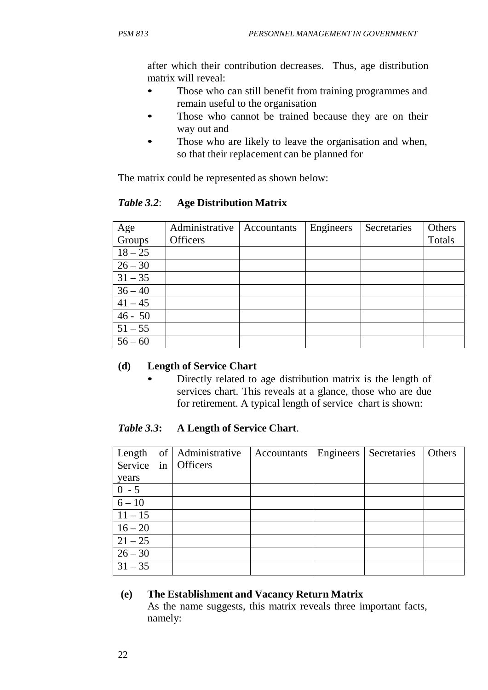after which their contribution decreases. Thus, age distribution matrix will reveal:

- Those who can still benefit from training programmes and remain useful to the organisation
- Those who cannot be trained because they are on their way out and
- Those who are likely to leave the organisation and when, so that their replacement can be planned for

The matrix could be represented as shown below:

## *Table 3.2*: **Age Distribution Matrix**

| Age       | Administrative  | Accountants | Engineers | Secretaries | Others |
|-----------|-----------------|-------------|-----------|-------------|--------|
| Groups    | <b>Officers</b> |             |           |             | Totals |
| $18 - 25$ |                 |             |           |             |        |
| $26 - 30$ |                 |             |           |             |        |
| $31 - 35$ |                 |             |           |             |        |
| $36 - 40$ |                 |             |           |             |        |
| $41 - 45$ |                 |             |           |             |        |
| $46 - 50$ |                 |             |           |             |        |
| $51 - 55$ |                 |             |           |             |        |
| $56 - 60$ |                 |             |           |             |        |

## **(d) Length of Service Chart**

Directly related to age distribution matrix is the length of services chart. This reveals at a glance, those who are due for retirement. A typical length of service chart is shown:

# *Table 3.3***: A Length of Service Chart**.

| Length    |    | of Administrative | Accountants | Engineers | Secretaries | Others |
|-----------|----|-------------------|-------------|-----------|-------------|--------|
| Service   | in | <b>Officers</b>   |             |           |             |        |
| years     |    |                   |             |           |             |        |
| $0 - 5$   |    |                   |             |           |             |        |
| $6 - 10$  |    |                   |             |           |             |        |
| $11 - 15$ |    |                   |             |           |             |        |
| $16 - 20$ |    |                   |             |           |             |        |
| $21 - 25$ |    |                   |             |           |             |        |
| $26 - 30$ |    |                   |             |           |             |        |
| $31 - 35$ |    |                   |             |           |             |        |

# **(e) The Establishment and Vacancy Return Matrix**

As the name suggests, this matrix reveals three important facts, namely: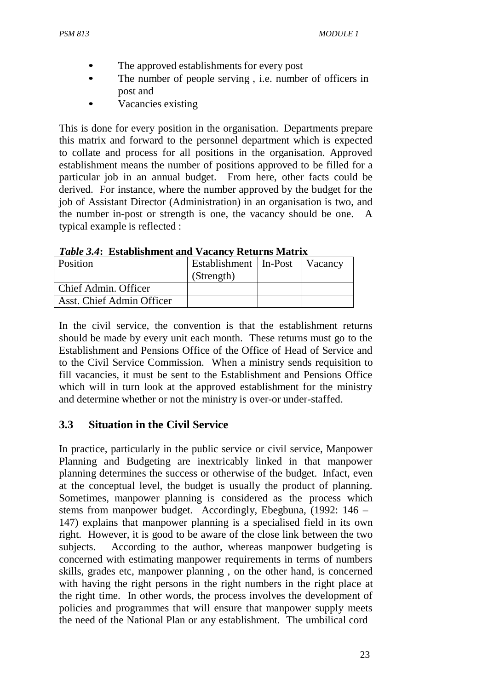- The approved establishments for every post
- The number of people serving, i.e. number of officers in post and
- Vacancies existing

This is done for every position in the organisation. Departments prepare this matrix and forward to the personnel department which is expected to collate and process for all positions in the organisation. Approved establishment means the number of positions approved to be filled for a particular job in an annual budget. From here, other facts could be derived. For instance, where the number approved by the budget for the job of Assistant Director (Administration) in an organisation is two, and the number in-post or strength is one, the vacancy should be one. A typical example is reflected :

| Tubic 9.4. Establishment and Vacancy Ketul iis Matrix |                                   |  |  |  |  |  |  |
|-------------------------------------------------------|-----------------------------------|--|--|--|--|--|--|
| <b>Position</b>                                       | Establishment   In-Post   Vacancy |  |  |  |  |  |  |
|                                                       | (Strength)                        |  |  |  |  |  |  |
| Chief Admin. Officer                                  |                                   |  |  |  |  |  |  |
| Asst. Chief Admin Officer                             |                                   |  |  |  |  |  |  |

*Table 3.4***: Establishment and Vacancy Returns Matrix**

In the civil service, the convention is that the establishment returns should be made by every unit each month. These returns must go to the Establishment and Pensions Office of the Office of Head of Service and to the Civil Service Commission. When a ministry sends requisition to fill vacancies, it must be sent to the Establishment and Pensions Office which will in turn look at the approved establishment for the ministry and determine whether or not the ministry is over-or under-staffed.

# **3.3 Situation in the Civil Service**

In practice, particularly in the public service or civil service, Manpower Planning and Budgeting are inextricably linked in that manpower planning determines the success or otherwise of the budget. Infact, even at the conceptual level, the budget is usually the product of planning. Sometimes, manpower planning is considered as the process which stems from manpower budget. Accordingly, Ebegbuna, (1992: 146 – 147) explains that manpower planning is a specialised field in its own right. However, it is good to be aware of the close link between the two subjects. According to the author, whereas manpower budgeting is concerned with estimating manpower requirements in terms of numbers skills, grades etc, manpower planning , on the other hand, is concerned with having the right persons in the right numbers in the right place at the right time. In other words, the process involves the development of policies and programmes that will ensure that manpower supply meets the need of the National Plan or any establishment. The umbilical cord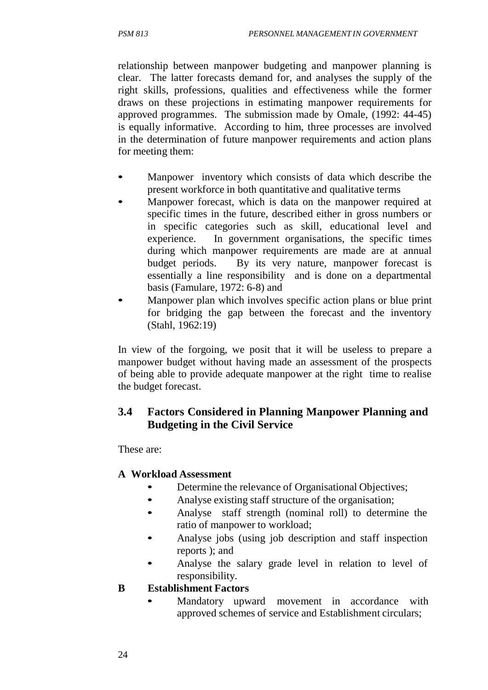relationship between manpower budgeting and manpower planning is clear. The latter forecasts demand for, and analyses the supply of the right skills, professions, qualities and effectiveness while the former draws on these projections in estimating manpower requirements for approved programmes. The submission made by Omale, (1992: 44-45) is equally informative. According to him, three processes are involved in the determination of future manpower requirements and action plans for meeting them:

- Manpower inventory which consists of data which describe the present workforce in both quantitative and qualitative terms
- Manpower forecast, which is data on the manpower required at specific times in the future, described either in gross numbers or in specific categories such as skill, educational level and experience. In government organisations, the specific times during which manpower requirements are made are at annual budget periods. By its very nature, manpower forecast is essentially a line responsibility and is done on a departmental basis (Famulare, 1972: 6-8) and
- Manpower plan which involves specific action plans or blue print for bridging the gap between the forecast and the inventory (Stahl, 1962:19)

In view of the forgoing, we posit that it will be useless to prepare a manpower budget without having made an assessment of the prospects of being able to provide adequate manpower at the right time to realise the budget forecast.

# **3.4 Factors Considered in Planning Manpower Planning and Budgeting in the Civil Service**

These are:

## **A Workload Assessment**

- Determine the relevance of Organisational Objectives;
- Analyse existing staff structure of the organisation;
- Analyse staff strength (nominal roll) to determine the ratio of manpower to workload;
- Analyse jobs (using job description and staff inspection reports ); and
- Analyse the salary grade level in relation to level of responsibility.

## **B Establishment Factors**

Mandatory upward movement in accordance with approved schemes of service and Establishment circulars;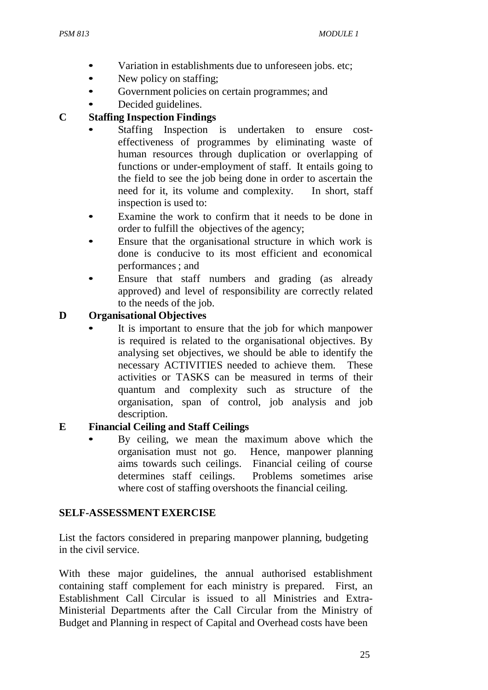- Variation in establishments due to unforeseen jobs. etc;
- New policy on staffing:
- Government policies on certain programmes; and
- Decided guidelines.

## **C Staffing Inspection Findings**

- Staffing Inspection is undertaken to ensure costeffectiveness of programmes by eliminating waste of human resources through duplication or overlapping of functions or under-employment of staff. It entails going to the field to see the job being done in order to ascertain the need for it, its volume and complexity. In short, staff inspection is used to:
- Examine the work to confirm that it needs to be done in order to fulfill the objectives of the agency;
- Ensure that the organisational structure in which work is done is conducive to its most efficient and economical performances ; and
- Ensure that staff numbers and grading (as already approved) and level of responsibility are correctly related to the needs of the job.

## **D Organisational Objectives**

It is important to ensure that the job for which manpower is required is related to the organisational objectives. By analysing set objectives, we should be able to identify the necessary ACTIVITIES needed to achieve them. These activities or TASKS can be measured in terms of their quantum and complexity such as structure of the organisation, span of control, job analysis and job description.

#### **E Financial Ceiling and Staff Ceilings**

By ceiling, we mean the maximum above which the organisation must not go. Hence, manpower planning aims towards such ceilings. Financial ceiling of course determines staff ceilings. Problems sometimes arise where cost of staffing overshoots the financial ceiling.

#### **SELF-ASSESSMENTEXERCISE**

List the factors considered in preparing manpower planning, budgeting in the civil service.

With these major guidelines, the annual authorised establishment containing staff complement for each ministry is prepared. First, an Establishment Call Circular is issued to all Ministries and Extra-Ministerial Departments after the Call Circular from the Ministry of Budget and Planning in respect of Capital and Overhead costs have been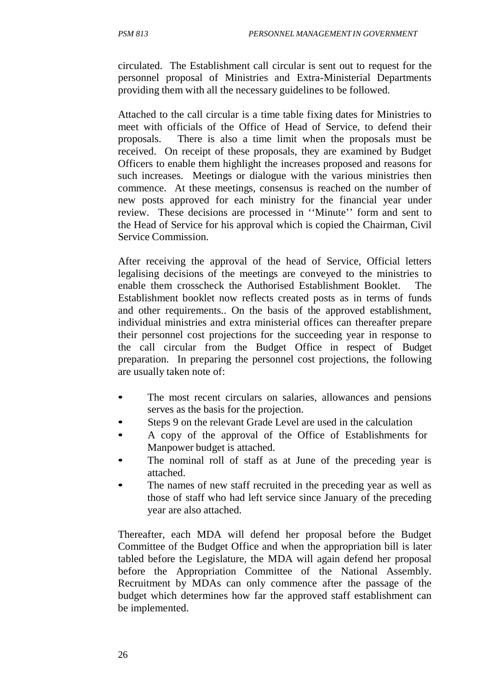circulated. The Establishment call circular is sent out to request for the personnel proposal of Ministries and Extra-Ministerial Departments providing them with all the necessary guidelines to be followed.

Attached to the call circular is a time table fixing dates for Ministries to meet with officials of the Office of Head of Service, to defend their proposals. There is also a time limit when the proposals must be received. On receipt of these proposals, they are examined by Budget Officers to enable them highlight the increases proposed and reasons for such increases. Meetings or dialogue with the various ministries then commence. At these meetings, consensus is reached on the number of new posts approved for each ministry for the financial year under review. These decisions are processed in ''Minute'' form and sent to the Head of Service for his approval which is copied the Chairman, Civil Service Commission.

After receiving the approval of the head of Service, Official letters legalising decisions of the meetings are conveyed to the ministries to enable them crosscheck the Authorised Establishment Booklet. The Establishment booklet now reflects created posts as in terms of funds and other requirements.. On the basis of the approved establishment, individual ministries and extra ministerial offices can thereafter prepare their personnel cost projections for the succeeding year in response to the call circular from the Budget Office in respect of Budget preparation. In preparing the personnel cost projections, the following are usually taken note of:

- The most recent circulars on salaries, allowances and pensions serves as the basis for the projection.
- Steps 9 on the relevant Grade Level are used in the calculation
- A copy of the approval of the Office of Establishments for Manpower budget is attached.
- The nominal roll of staff as at June of the preceding year is attached.
- The names of new staff recruited in the preceding year as well as those of staff who had left service since January of the preceding year are also attached.

Thereafter, each MDA will defend her proposal before the Budget Committee of the Budget Office and when the appropriation bill is later tabled before the Legislature, the MDA will again defend her proposal before the Appropriation Committee of the National Assembly. Recruitment by MDAs can only commence after the passage of the budget which determines how far the approved staff establishment can be implemented.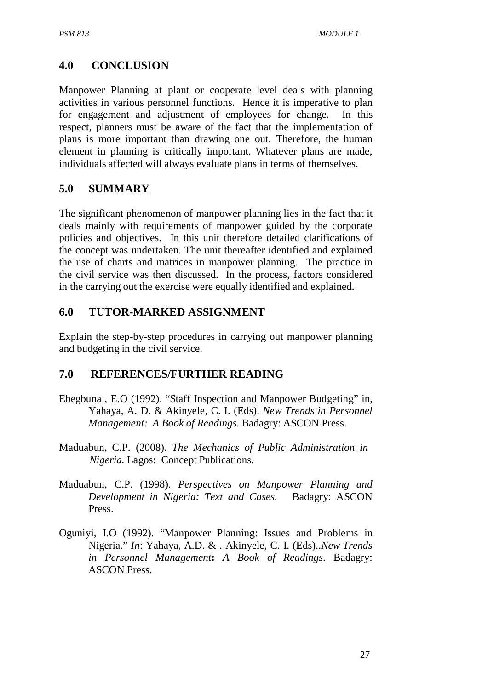## **4.0 CONCLUSION**

Manpower Planning at plant or cooperate level deals with planning activities in various personnel functions. Hence it is imperative to plan for engagement and adjustment of employees for change. In this respect, planners must be aware of the fact that the implementation of plans is more important than drawing one out. Therefore, the human element in planning is critically important. Whatever plans are made, individuals affected will always evaluate plans in terms of themselves.

## **5.0 SUMMARY**

The significant phenomenon of manpower planning lies in the fact that it deals mainly with requirements of manpower guided by the corporate policies and objectives. In this unit therefore detailed clarifications of the concept was undertaken. The unit thereafter identified and explained the use of charts and matrices in manpower planning. The practice in the civil service was then discussed. In the process, factors considered in the carrying out the exercise were equally identified and explained.

## **6.0 TUTOR-MARKED ASSIGNMENT**

Explain the step-by-step procedures in carrying out manpower planning and budgeting in the civil service.

## **7.0 REFERENCES/FURTHER READING**

- Ebegbuna , E.O (1992). "Staff Inspection and Manpower Budgeting" in, Yahaya, A. D. & Akinyele, C. I. (Eds). *New Trends in Personnel Management: A Book of Readings.* Badagry: ASCON Press.
- Maduabun, C.P. (2008). *The Mechanics of Public Administration in Nigeria.* Lagos: Concept Publications.
- Maduabun, C.P. (1998). *Perspectives on Manpower Planning and Development in Nigeria: Text and Cases.* Badagry: ASCON Press.
- Oguniyi, I.O (1992). "Manpower Planning: Issues and Problems in Nigeria." *In*: Yahaya, A.D. & . Akinyele, C. I. (Eds)..*New Trends in Personnel Management***:** *A Book of Readings*. Badagry: ASCON Press.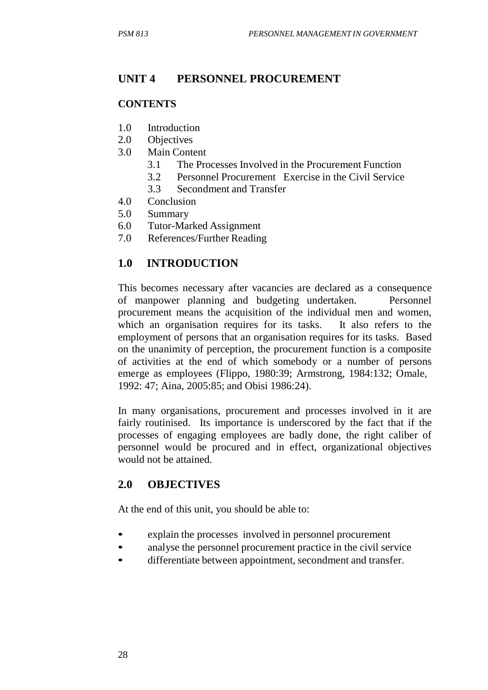## **UNIT 4 PERSONNEL PROCUREMENT**

#### **CONTENTS**

- 1.0 Introduction
- 2.0 Objectives
- 3.0 Main Content
	- 3.1 The Processes Involved in the Procurement Function
	- 3.2 Personnel Procurement Exercise in the Civil Service
	- 3.3 Secondment and Transfer
- 4.0 Conclusion
- 5.0 Summary
- 6.0 Tutor-Marked Assignment
- 7.0 References/Further Reading

## **1.0 INTRODUCTION**

This becomes necessary after vacancies are declared as a consequence of manpower planning and budgeting undertaken. Personnel procurement means the acquisition of the individual men and women, which an organisation requires for its tasks. It also refers to the employment of persons that an organisation requires for its tasks. Based on the unanimity of perception, the procurement function is a composite of activities at the end of which somebody or a number of persons emerge as employees (Flippo, 1980:39; Armstrong, 1984:132; Omale, 1992: 47; Aina, 2005:85; and Obisi 1986:24).

In many organisations, procurement and processes involved in it are fairly routinised. Its importance is underscored by the fact that if the processes of engaging employees are badly done, the right caliber of personnel would be procured and in effect, organizational objectives would not be attained.

## **2.0 OBJECTIVES**

At the end of this unit, you should be able to:

- explain the processes involved in personnel procurement
- analyse the personnel procurement practice in the civil service
- differentiate between appointment, secondment and transfer.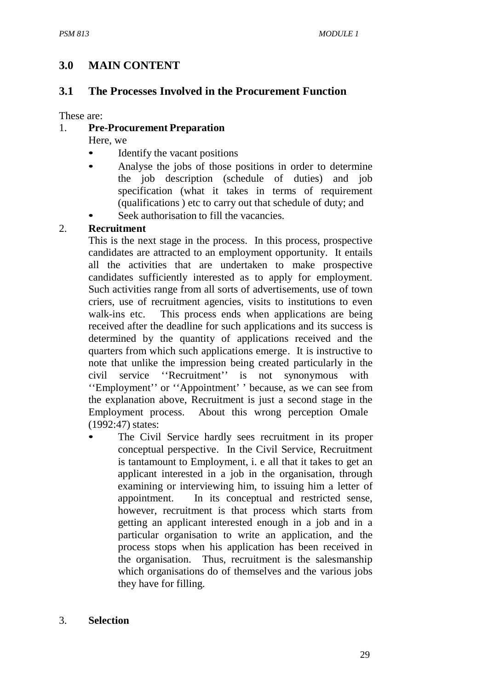## **3.0 MAIN CONTENT**

## **3.1 The Processes Involved in the Procurement Function**

These are:

### 1. **Pre-Procurement Preparation**

- Here, we
- Identify the vacant positions
- Analyse the jobs of those positions in order to determine the job description (schedule of duties) and job specification (what it takes in terms of requirement (qualifications ) etc to carry out that schedule of duty; and
- Seek authorisation to fill the vacancies.

## 2. **Recruitment**

This is the next stage in the process. In this process, prospective candidates are attracted to an employment opportunity. It entails all the activities that are undertaken to make prospective candidates sufficiently interested as to apply for employment. Such activities range from all sorts of advertisements, use of town criers, use of recruitment agencies, visits to institutions to even walk-ins etc. This process ends when applications are being received after the deadline for such applications and its success is determined by the quantity of applications received and the quarters from which such applications emerge. It is instructive to note that unlike the impression being created particularly in the civil service ''Recruitment'' is not synonymous with ''Employment'' or ''Appointment' ' because, as we can see from the explanation above, Recruitment is just a second stage in the Employment process. About this wrong perception Omale (1992:47) states:

The Civil Service hardly sees recruitment in its proper conceptual perspective. In the Civil Service, Recruitment is tantamount to Employment, i. e all that it takes to get an applicant interested in a job in the organisation, through examining or interviewing him, to issuing him a letter of appointment. In its conceptual and restricted sense, however, recruitment is that process which starts from getting an applicant interested enough in a job and in a particular organisation to write an application, and the process stops when his application has been received in the organisation. Thus, recruitment is the salesmanship which organisations do of themselves and the various jobs they have for filling.

#### 3. **Selection**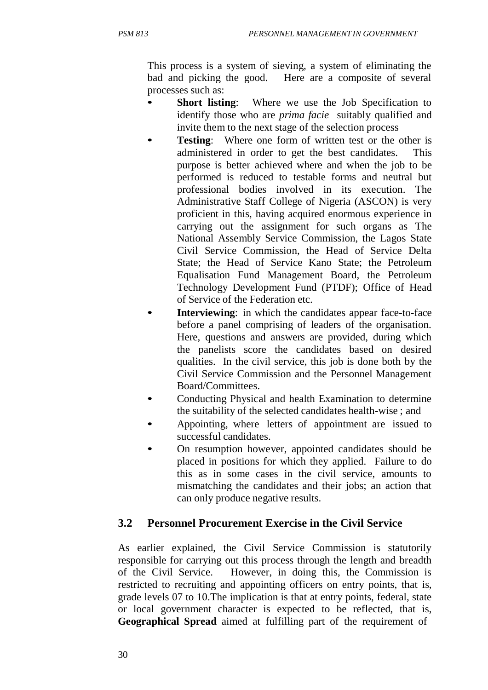This process is a system of sieving, a system of eliminating the bad and picking the good. Here are a composite of several processes such as:

- **Short listing:** Where we use the Job Specification to identify those who are *prima facie* suitably qualified and invite them to the next stage of the selection process
- **Testing:** Where one form of written test or the other is administered in order to get the best candidates. This purpose is better achieved where and when the job to be performed is reduced to testable forms and neutral but professional bodies involved in its execution. The Administrative Staff College of Nigeria (ASCON) is very proficient in this, having acquired enormous experience in carrying out the assignment for such organs as The National Assembly Service Commission, the Lagos State Civil Service Commission, the Head of Service Delta State; the Head of Service Kano State; the Petroleum Equalisation Fund Management Board, the Petroleum Technology Development Fund (PTDF); Office of Head of Service of the Federation etc.
- **Interviewing**: in which the candidates appear face-to-face before a panel comprising of leaders of the organisation. Here, questions and answers are provided, during which the panelists score the candidates based on desired qualities. In the civil service, this job is done both by the Civil Service Commission and the Personnel Management Board/Committees.
- Conducting Physical and health Examination to determine the suitability of the selected candidates health-wise ; and
- Appointing, where letters of appointment are issued to successful candidates.
- On resumption however, appointed candidates should be placed in positions for which they applied. Failure to do this as in some cases in the civil service, amounts to mismatching the candidates and their jobs; an action that can only produce negative results.

## **3.2 Personnel Procurement Exercise in the Civil Service**

As earlier explained, the Civil Service Commission is statutorily responsible for carrying out this process through the length and breadth of the Civil Service. However, in doing this, the Commission is restricted to recruiting and appointing officers on entry points, that is, grade levels 07 to 10.The implication is that at entry points, federal, state or local government character is expected to be reflected, that is, **Geographical Spread** aimed at fulfilling part of the requirement of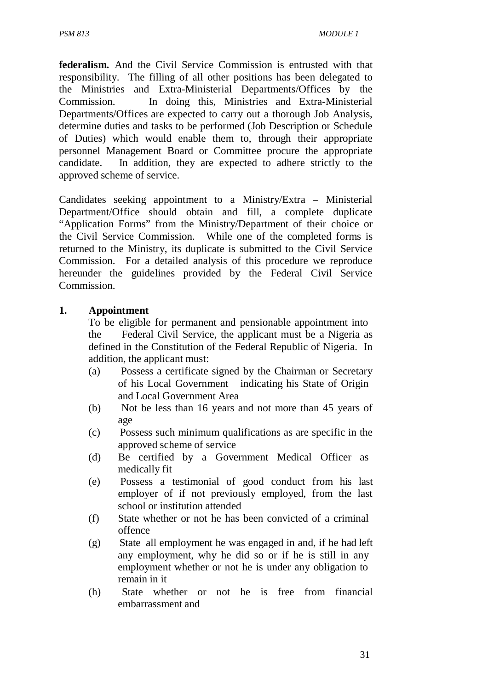**federalism.** And the Civil Service Commission is entrusted with that responsibility. The filling of all other positions has been delegated to the Ministries and Extra-Ministerial Departments/Offices by the Commission. In doing this, Ministries and Extra-Ministerial Departments/Offices are expected to carry out a thorough Job Analysis, determine duties and tasks to be performed (Job Description or Schedule of Duties) which would enable them to, through their appropriate personnel Management Board or Committee procure the appropriate candidate. In addition, they are expected to adhere strictly to the approved scheme of service.

Candidates seeking appointment to a Ministry/Extra – Ministerial Department/Office should obtain and fill, a complete duplicate "Application Forms" from the Ministry/Department of their choice or the Civil Service Commission. While one of the completed forms is returned to the Ministry, its duplicate is submitted to the Civil Service Commission. For a detailed analysis of this procedure we reproduce hereunder the guidelines provided by the Federal Civil Service Commission.

## **1. Appointment**

To be eligible for permanent and pensionable appointment into the Federal Civil Service, the applicant must be a Nigeria as defined in the Constitution of the Federal Republic of Nigeria. In addition, the applicant must:

- (a) Possess a certificate signed by the Chairman or Secretary of his Local Government indicating his State of Origin and Local Government Area
- (b) Not be less than 16 years and not more than 45 years of age
- (c) Possess such minimum qualifications as are specific in the approved scheme of service
- (d) Be certified by a Government Medical Officer as medically fit
- (e) Possess a testimonial of good conduct from his last employer of if not previously employed, from the last school or institution attended
- (f) State whether or not he has been convicted of a criminal offence
- (g) State all employment he was engaged in and, if he had left any employment, why he did so or if he is still in any employment whether or not he is under any obligation to remain in it
- (h) State whether or not he is free from financial embarrassment and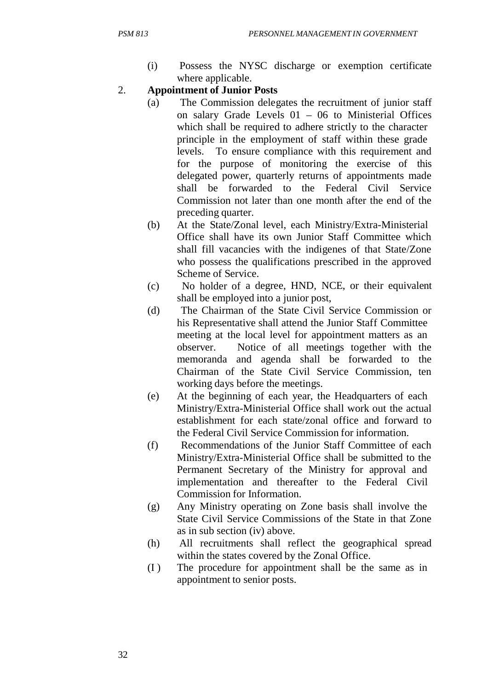(i) Possess the NYSC discharge or exemption certificate where applicable.

### 2. **Appointment of Junior Posts**

- (a) The Commission delegates the recruitment of junior staff on salary Grade Levels 01 – 06 to Ministerial Offices which shall be required to adhere strictly to the character principle in the employment of staff within these grade levels. To ensure compliance with this requirement and for the purpose of monitoring the exercise of this delegated power, quarterly returns of appointments made shall be forwarded to the Federal Civil Service Commission not later than one month after the end of the preceding quarter.
- (b) At the State/Zonal level, each Ministry/Extra-Ministerial Office shall have its own Junior Staff Committee which shall fill vacancies with the indigenes of that State/Zone who possess the qualifications prescribed in the approved Scheme of Service.
- (c) No holder of a degree, HND, NCE, or their equivalent shall be employed into a junior post,
- (d) The Chairman of the State Civil Service Commission or his Representative shall attend the Junior Staff Committee meeting at the local level for appointment matters as an observer. Notice of all meetings together with the memoranda and agenda shall be forwarded to the Chairman of the State Civil Service Commission, ten working days before the meetings.
- (e) At the beginning of each year, the Headquarters of each Ministry/Extra-Ministerial Office shall work out the actual establishment for each state/zonal office and forward to the Federal Civil Service Commission for information.
- (f) Recommendations of the Junior Staff Committee of each Ministry/Extra-Ministerial Office shall be submitted to the Permanent Secretary of the Ministry for approval and implementation and thereafter to the Federal Civil Commission for Information.
- (g) Any Ministry operating on Zone basis shall involve the State Civil Service Commissions of the State in that Zone as in sub section (iv) above.
- (h) All recruitments shall reflect the geographical spread within the states covered by the Zonal Office.
- (I ) The procedure for appointment shall be the same as in appointment to senior posts.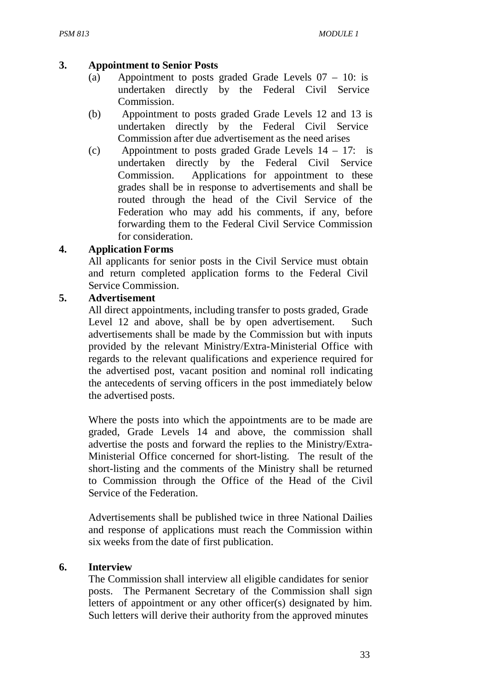### **3. Appointment to Senior Posts**

- (a) Appointment to posts graded Grade Levels  $07 10$ : is undertaken directly by the Federal Civil Service Commission.
- (b) Appointment to posts graded Grade Levels 12 and 13 is undertaken directly by the Federal Civil Service Commission after due advertisement as the need arises
- (c) Appointment to posts graded Grade Levels  $14 17$ : is undertaken directly by the Federal Civil Service Commission. Applications for appointment to these grades shall be in response to advertisements and shall be routed through the head of the Civil Service of the Federation who may add his comments, if any, before forwarding them to the Federal Civil Service Commission for consideration.

#### **4. Application Forms**

All applicants for senior posts in the Civil Service must obtain and return completed application forms to the Federal Civil Service Commission.

#### **5. Advertisement**

All direct appointments, including transfer to posts graded, Grade Level 12 and above, shall be by open advertisement. Such advertisements shall be made by the Commission but with inputs provided by the relevant Ministry/Extra-Ministerial Office with regards to the relevant qualifications and experience required for the advertised post, vacant position and nominal roll indicating the antecedents of serving officers in the post immediately below the advertised posts.

Where the posts into which the appointments are to be made are graded, Grade Levels 14 and above, the commission shall advertise the posts and forward the replies to the Ministry/Extra-Ministerial Office concerned for short-listing. The result of the short-listing and the comments of the Ministry shall be returned to Commission through the Office of the Head of the Civil Service of the Federation.

Advertisements shall be published twice in three National Dailies and response of applications must reach the Commission within six weeks from the date of first publication.

#### **6. Interview**

The Commission shall interview all eligible candidates for senior posts. The Permanent Secretary of the Commission shall sign letters of appointment or any other officer(s) designated by him. Such letters will derive their authority from the approved minutes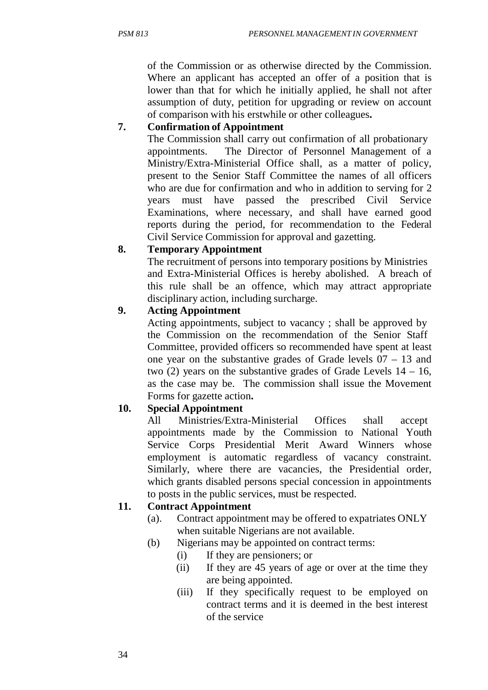of the Commission or as otherwise directed by the Commission. Where an applicant has accepted an offer of a position that is lower than that for which he initially applied, he shall not after assumption of duty, petition for upgrading or review on account of comparison with his erstwhile or other colleagues**.**

## **7. Confirmation of Appointment**

The Commission shall carry out confirmation of all probationary appointments. The Director of Personnel Management of a Ministry/Extra-Ministerial Office shall, as a matter of policy, present to the Senior Staff Committee the names of all officers who are due for confirmation and who in addition to serving for 2 years must have passed the prescribed Civil Service Examinations, where necessary, and shall have earned good reports during the period, for recommendation to the Federal Civil Service Commission for approval and gazetting.

## **8. Temporary Appointment**

The recruitment of persons into temporary positions by Ministries and Extra-Ministerial Offices is hereby abolished. A breach of this rule shall be an offence, which may attract appropriate disciplinary action, including surcharge.

## **9. Acting Appointment**

Acting appointments, subject to vacancy ; shall be approved by the Commission on the recommendation of the Senior Staff Committee, provided officers so recommended have spent at least one year on the substantive grades of Grade levels  $07 - 13$  and two  $(2)$  years on the substantive grades of Grade Levels  $14 - 16$ , as the case may be. The commission shall issue the Movement Forms for gazette action**.**

## **10. Special Appointment**

All Ministries/Extra-Ministerial Offices shall accept appointments made by the Commission to National Youth Service Corps Presidential Merit Award Winners whose employment is automatic regardless of vacancy constraint. Similarly, where there are vacancies, the Presidential order, which grants disabled persons special concession in appointments to posts in the public services, must be respected.

## **11. Contract Appointment**

- (a). Contract appointment may be offered to expatriates ONLY when suitable Nigerians are not available.
- (b) Nigerians may be appointed on contract terms:
	- (i) If they are pensioners; or
	- (ii) If they are 45 years of age or over at the time they are being appointed.
	- (iii) If they specifically request to be employed on contract terms and it is deemed in the best interest of the service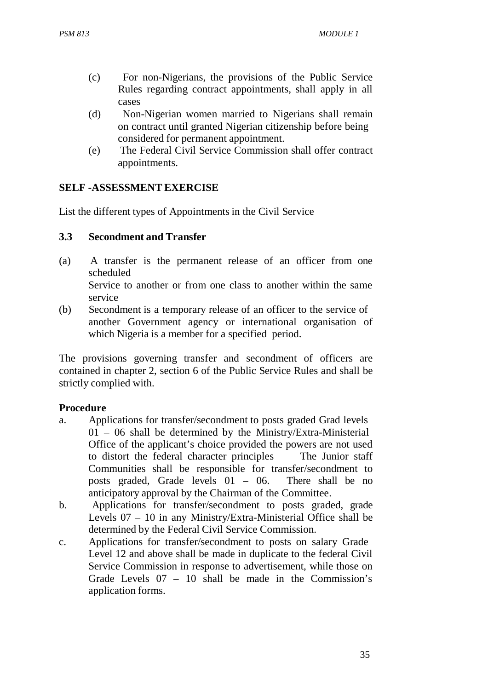- (c) For non-Nigerians, the provisions of the Public Service Rules regarding contract appointments, shall apply in all cases
- (d) Non-Nigerian women married to Nigerians shall remain on contract until granted Nigerian citizenship before being considered for permanent appointment.
- (e) The Federal Civil Service Commission shall offer contract appointments.

#### **SELF -ASSESSMENT EXERCISE**

List the different types of Appointments in the Civil Service

#### **3.3 Secondment and Transfer**

- (a) A transfer is the permanent release of an officer from one scheduled Service to another or from one class to another within the same service
- (b) Secondment is a temporary release of an officer to the service of another Government agency or international organisation of which Nigeria is a member for a specified period.

The provisions governing transfer and secondment of officers are contained in chapter 2, section 6 of the Public Service Rules and shall be strictly complied with.

#### **Procedure**

- a. Applications for transfer/secondment to posts graded Grad levels 01 – 06 shall be determined by the Ministry/Extra-Ministerial Office of the applicant's choice provided the powers are not used to distort the federal character principles The Junior staff Communities shall be responsible for transfer/secondment to posts graded, Grade levels 01 – 06. There shall be no anticipatory approval by the Chairman of the Committee.
- b. Applications for transfer/secondment to posts graded, grade Levels 07 – 10 in any Ministry/Extra-Ministerial Office shall be determined by the Federal Civil Service Commission.
- c. Applications for transfer/secondment to posts on salary Grade Level 12 and above shall be made in duplicate to the federal Civil Service Commission in response to advertisement, while those on Grade Levels 07 – 10 shall be made in the Commission's application forms.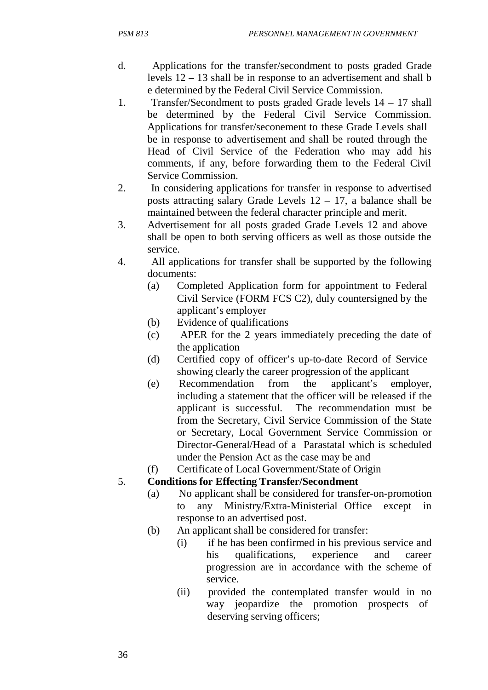- d. Applications for the transfer/secondment to posts graded Grade levels 12 – 13 shall be in response to an advertisement and shall b e determined by the Federal Civil Service Commission.
- 1. Transfer/Secondment to posts graded Grade levels 14 17 shall be determined by the Federal Civil Service Commission. Applications for transfer/seconement to these Grade Levels shall be in response to advertisement and shall be routed through the Head of Civil Service of the Federation who may add his comments, if any, before forwarding them to the Federal Civil Service Commission.
- 2. In considering applications for transfer in response to advertised posts attracting salary Grade Levels 12 – 17, a balance shall be maintained between the federal character principle and merit.
- 3. Advertisement for all posts graded Grade Levels 12 and above shall be open to both serving officers as well as those outside the service.
- 4. All applications for transfer shall be supported by the following documents:
	- (a) Completed Application form for appointment to Federal Civil Service (FORM FCS C2), duly countersigned by the applicant's employer
	- (b) Evidence of qualifications
	- (c) APER for the 2 years immediately preceding the date of the application
	- (d) Certified copy of officer's up-to-date Record of Service showing clearly the career progression of the applicant
	- (e) Recommendation from the applicant's employer, including a statement that the officer will be released if the applicant is successful. The recommendation must be from the Secretary, Civil Service Commission of the State or Secretary, Local Government Service Commission or Director-General/Head of a Parastatal which is scheduled under the Pension Act as the case may be and
	- (f) Certificate of Local Government/State of Origin

#### 5. **Conditions for Effecting Transfer/Secondment**

- (a) No applicant shall be considered for transfer-on-promotion to any Ministry/Extra-Ministerial Office except in response to an advertised post.
- (b) An applicant shall be considered for transfer:
	- (i) if he has been confirmed in his previous service and his qualifications, experience and career progression are in accordance with the scheme of service.
	- (ii) provided the contemplated transfer would in no way jeopardize the promotion prospects of deserving serving officers;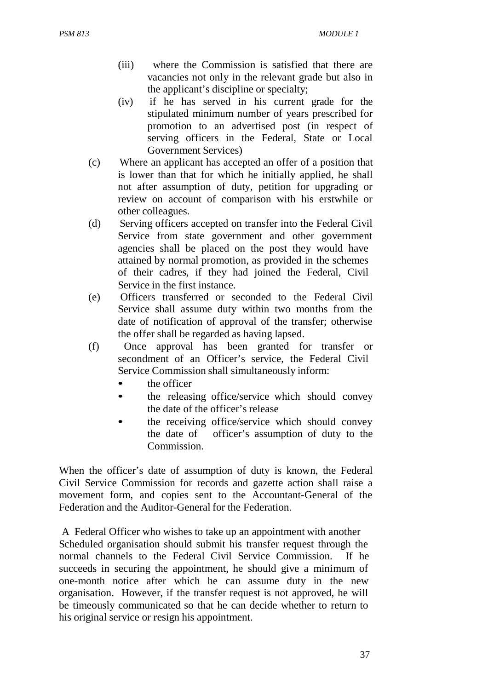- (iii) where the Commission is satisfied that there are vacancies not only in the relevant grade but also in the applicant's discipline or specialty;
- (iv) if he has served in his current grade for the stipulated minimum number of years prescribed for promotion to an advertised post (in respect of serving officers in the Federal, State or Local Government Services)
- (c) Where an applicant has accepted an offer of a position that is lower than that for which he initially applied, he shall not after assumption of duty, petition for upgrading or review on account of comparison with his erstwhile or other colleagues.
- (d) Serving officers accepted on transfer into the Federal Civil Service from state government and other government agencies shall be placed on the post they would have attained by normal promotion, as provided in the schemes of their cadres, if they had joined the Federal, Civil Service in the first instance.
- (e) Officers transferred or seconded to the Federal Civil Service shall assume duty within two months from the date of notification of approval of the transfer; otherwise the offer shall be regarded as having lapsed.
- (f) Once approval has been granted for transfer or secondment of an Officer's service, the Federal Civil Service Commission shall simultaneously inform:
	- the officer
	- the releasing office/service which should convey the date of the officer's release
	- the receiving office/service which should convey the date of officer's assumption of duty to the Commission.

When the officer's date of assumption of duty is known, the Federal Civil Service Commission for records and gazette action shall raise a movement form, and copies sent to the Accountant-General of the Federation and the Auditor-General for the Federation.

A Federal Officer who wishes to take up an appointment with another Scheduled organisation should submit his transfer request through the normal channels to the Federal Civil Service Commission. If he succeeds in securing the appointment, he should give a minimum of one-month notice after which he can assume duty in the new organisation. However, if the transfer request is not approved, he will be timeously communicated so that he can decide whether to return to his original service or resign his appointment.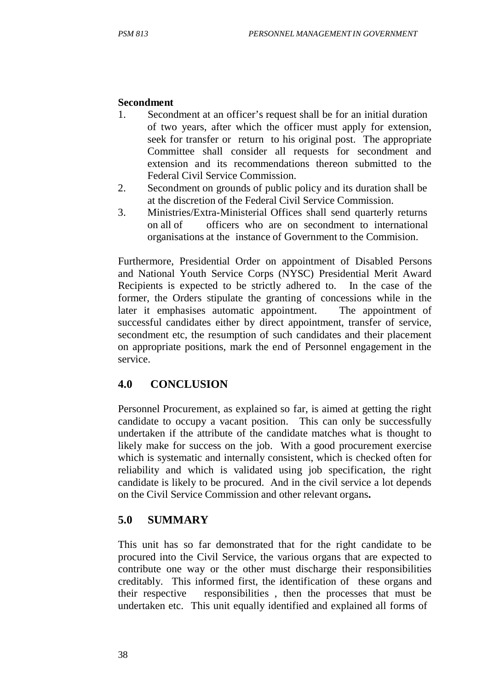#### **Secondment**

- 1. Secondment at an officer's request shall be for an initial duration of two years, after which the officer must apply for extension, seek for transfer or return to his original post. The appropriate Committee shall consider all requests for secondment and extension and its recommendations thereon submitted to the Federal Civil Service Commission.
- 2. Secondment on grounds of public policy and its duration shall be at the discretion of the Federal Civil Service Commission.
- 3. Ministries/Extra-Ministerial Offices shall send quarterly returns on all of officers who are on secondment to international organisations at the instance of Government to the Commision.

Furthermore, Presidential Order on appointment of Disabled Persons and National Youth Service Corps (NYSC) Presidential Merit Award Recipients is expected to be strictly adhered to. In the case of the former, the Orders stipulate the granting of concessions while in the later it emphasises automatic appointment. The appointment of successful candidates either by direct appointment, transfer of service, secondment etc, the resumption of such candidates and their placement on appropriate positions, mark the end of Personnel engagement in the service.

## **4.0 CONCLUSION**

Personnel Procurement, as explained so far, is aimed at getting the right candidate to occupy a vacant position. This can only be successfully undertaken if the attribute of the candidate matches what is thought to likely make for success on the job. With a good procurement exercise which is systematic and internally consistent, which is checked often for reliability and which is validated using job specification, the right candidate is likely to be procured. And in the civil service a lot depends on the Civil Service Commission and other relevant organs**.**

## **5.0 SUMMARY**

This unit has so far demonstrated that for the right candidate to be procured into the Civil Service, the various organs that are expected to contribute one way or the other must discharge their responsibilities creditably. This informed first, the identification of these organs and their respective responsibilities , then the processes that must be undertaken etc. This unit equally identified and explained all forms of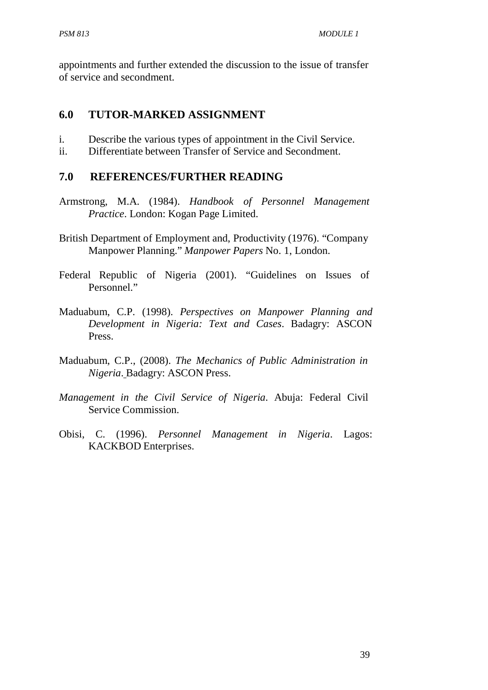appointments and further extended the discussion to the issue of transfer of service and secondment.

## **6.0 TUTOR-MARKED ASSIGNMENT**

- i. Describe the various types of appointment in the Civil Service.
- ii. Differentiate between Transfer of Service and Secondment.

## **7.0 REFERENCES/FURTHER READING**

- Armstrong, M.A. (1984). *Handbook of Personnel Management Practice*. London: Kogan Page Limited.
- British Department of Employment and, Productivity (1976). "Company Manpower Planning." *Manpower Papers* No. 1, London.
- Federal Republic of Nigeria (2001). "Guidelines on Issues of Personnel."
- Maduabum, C.P. (1998). *Perspectives on Manpower Planning and Development in Nigeria: Text and Cases*. Badagry: ASCON Press.
- Maduabum, C.P., (2008). *The Mechanics of Public Administration in Nigeria*. Badagry: ASCON Press.
- *Management in the Civil Service of Nigeria*. Abuja: Federal Civil Service Commission.
- Obisi, C. (1996). *Personnel Management in Nigeria*. Lagos: KACKBOD Enterprises.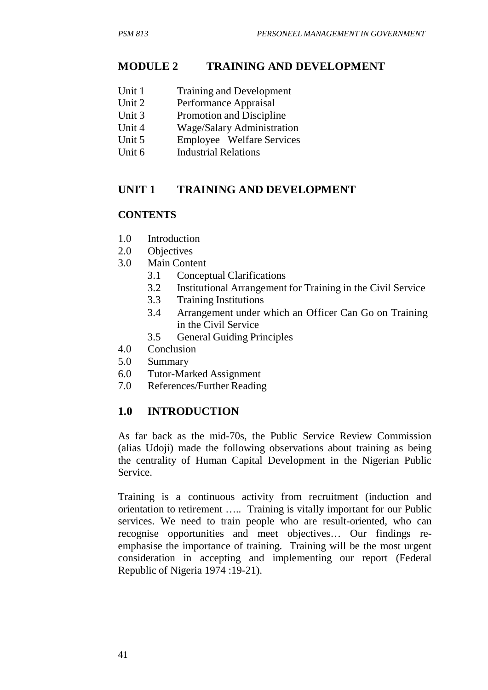## **MODULE 2 TRAINING AND DEVELOPMENT**

- Unit 1 Training and Development
- Unit 2 Performance Appraisal
- Unit 3 Promotion and Discipline
- Unit 4 Wage/Salary Administration
- Unit 5 Employee Welfare Services
- Unit 6 Industrial Relations

## **UNIT 1 TRAINING AND DEVELOPMENT**

#### **CONTENTS**

- 1.0 Introduction
- 2.0 Objectives
- 3.0 Main Content
	- 3.1 Conceptual Clarifications
	- 3.2 Institutional Arrangement for Training in the Civil Service
	- 3.3 Training Institutions
	- 3.4 Arrangement under which an Officer Can Go on Training in the Civil Service
	- 3.5 General Guiding Principles
- 4.0 Conclusion
- 5.0 Summary
- 6.0 Tutor-Marked Assignment
- 7.0 References/Further Reading

### **1.0 INTRODUCTION**

As far back as the mid-70s, the Public Service Review Commission (alias Udoji) made the following observations about training as being the centrality of Human Capital Development in the Nigerian Public Service.

Training is a continuous activity from recruitment (induction and orientation to retirement ….. Training is vitally important for our Public services. We need to train people who are result-oriented, who can recognise opportunities and meet objectives… Our findings reemphasise the importance of training. Training will be the most urgent consideration in accepting and implementing our report (Federal Republic of Nigeria 1974 :19-21).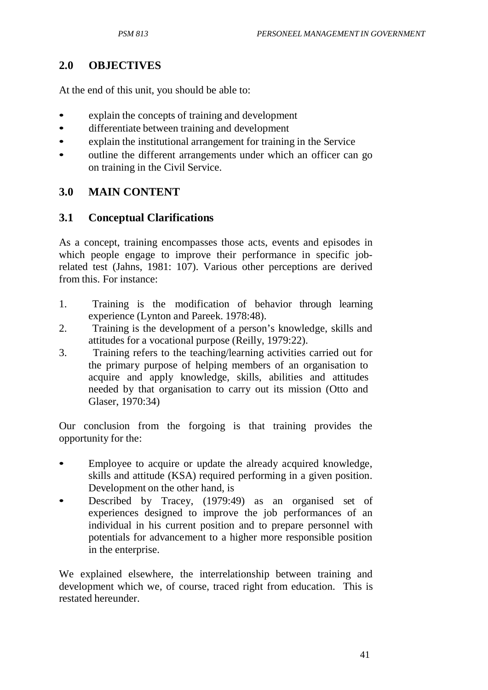## **2.0 OBJECTIVES**

At the end of this unit, you should be able to:

- explain the concepts of training and development
- differentiate between training and development
- explain the institutional arrangement for training in the Service
- outline the different arrangements under which an officer can go on training in the Civil Service.

## **3.0 MAIN CONTENT**

## **3.1 Conceptual Clarifications**

As a concept, training encompasses those acts, events and episodes in which people engage to improve their performance in specific jobrelated test (Jahns, 1981: 107). Various other perceptions are derived from this. For instance:

- 1. Training is the modification of behavior through learning experience (Lynton and Pareek. 1978:48).
- 2. Training is the development of a person's knowledge, skills and attitudes for a vocational purpose (Reilly, 1979:22).
- 3. Training refers to the teaching/learning activities carried out for the primary purpose of helping members of an organisation to acquire and apply knowledge, skills, abilities and attitudes needed by that organisation to carry out its mission (Otto and Glaser, 1970:34)

Our conclusion from the forgoing is that training provides the opportunity for the:

- Employee to acquire or update the already acquired knowledge, skills and attitude (KSA) required performing in a given position. Development on the other hand, is
- Described by Tracey, (1979:49) as an organised set of experiences designed to improve the job performances of an individual in his current position and to prepare personnel with potentials for advancement to a higher more responsible position in the enterprise.

We explained elsewhere, the interrelationship between training and development which we, of course, traced right from education. This is restated hereunder.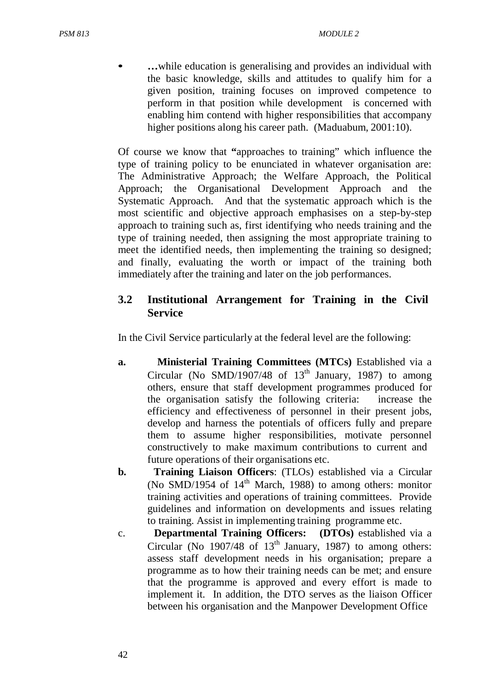**...** while education is generalising and provides an individual with the basic knowledge, skills and attitudes to qualify him for a given position, training focuses on improved competence to perform in that position while development is concerned with enabling him contend with higher responsibilities that accompany higher positions along his career path. (Maduabum, 2001:10).

Of course we know that **"**approaches to training" which influence the type of training policy to be enunciated in whatever organisation are: The Administrative Approach; the Welfare Approach, the Political Approach; the Organisational Development Approach and the Systematic Approach. And that the systematic approach which is the most scientific and objective approach emphasises on a step-by-step approach to training such as, first identifying who needs training and the type of training needed, then assigning the most appropriate training to meet the identified needs, then implementing the training so designed; and finally, evaluating the worth or impact of the training both immediately after the training and later on the job performances.

## **3.2 Institutional Arrangement for Training in the Civil Service**

In the Civil Service particularly at the federal level are the following:

- **a. Ministerial Training Committees (MTCs)** Established via a Circular (No SMD/1907/48 of  $13<sup>th</sup>$  January, 1987) to among others, ensure that staff development programmes produced for the organisation satisfy the following criteria: increase the efficiency and effectiveness of personnel in their present jobs, develop and harness the potentials of officers fully and prepare them to assume higher responsibilities, motivate personnel constructively to make maximum contributions to current and future operations of their organisations etc.
- **b. Training Liaison Officers**: (TLOs) established via a Circular (No SMD/1954 of  $14<sup>th</sup>$  March, 1988) to among others: monitor training activities and operations of training committees. Provide guidelines and information on developments and issues relating to training. Assist in implementing training programme etc.
- c. **Departmental Training Officers: (DTOs)** established via a Circular (No  $1907/48$  of  $13<sup>th</sup>$  January, 1987) to among others: assess staff development needs in his organisation; prepare a programme as to how their training needs can be met; and ensure that the programme is approved and every effort is made to implement it. In addition, the DTO serves as the liaison Officer between his organisation and the Manpower Development Office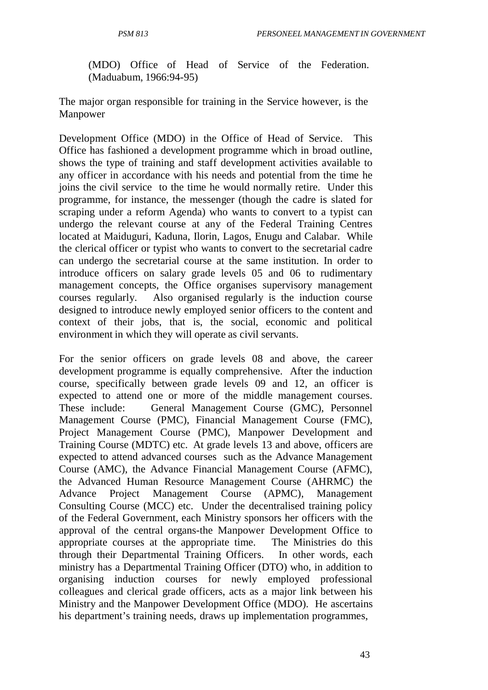(MDO) Office of Head of Service of the Federation. (Maduabum, 1966:94-95)

The major organ responsible for training in the Service however, is the Manpower

Development Office (MDO) in the Office of Head of Service. This Office has fashioned a development programme which in broad outline, shows the type of training and staff development activities available to any officer in accordance with his needs and potential from the time he joins the civil service to the time he would normally retire. Under this programme, for instance, the messenger (though the cadre is slated for scraping under a reform Agenda) who wants to convert to a typist can undergo the relevant course at any of the Federal Training Centres located at Maiduguri, Kaduna, Ilorin, Lagos, Enugu and Calabar. While the clerical officer or typist who wants to convert to the secretarial cadre can undergo the secretarial course at the same institution. In order to introduce officers on salary grade levels 05 and 06 to rudimentary management concepts, the Office organises supervisory management courses regularly. Also organised regularly is the induction course designed to introduce newly employed senior officers to the content and context of their jobs, that is, the social, economic and political environment in which they will operate as civil servants.

For the senior officers on grade levels 08 and above, the career development programme is equally comprehensive. After the induction course, specifically between grade levels 09 and 12, an officer is expected to attend one or more of the middle management courses. These include: General Management Course (GMC), Personnel Management Course (PMC), Financial Management Course (FMC), Project Management Course (PMC), Manpower Development and Training Course (MDTC) etc. At grade levels 13 and above, officers are expected to attend advanced courses such as the Advance Management Course (AMC), the Advance Financial Management Course (AFMC), the Advanced Human Resource Management Course (AHRMC) the Advance Project Management Course (APMC), Management Consulting Course (MCC) etc. Under the decentralised training policy of the Federal Government, each Ministry sponsors her officers with the approval of the central organs-the Manpower Development Office to appropriate courses at the appropriate time. The Ministries do this through their Departmental Training Officers. In other words, each ministry has a Departmental Training Officer (DTO) who, in addition to organising induction courses for newly employed professional colleagues and clerical grade officers, acts as a major link between his Ministry and the Manpower Development Office (MDO). He ascertains his department's training needs, draws up implementation programmes,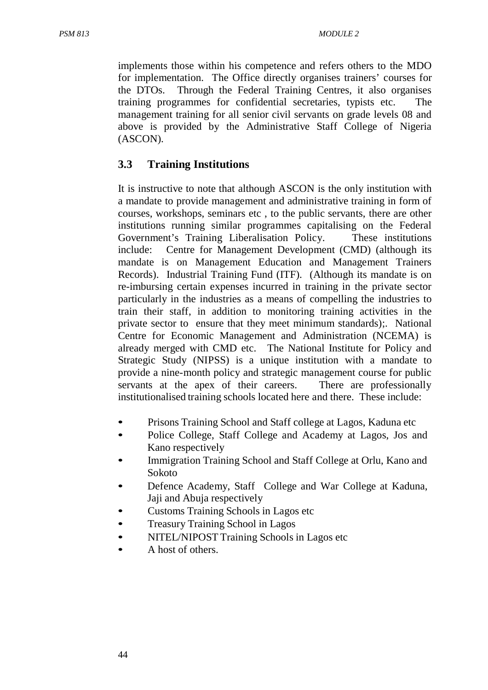implements those within his competence and refers others to the MDO for implementation. The Office directly organises trainers' courses for the DTOs. Through the Federal Training Centres, it also organises training programmes for confidential secretaries, typists etc. The management training for all senior civil servants on grade levels 08 and above is provided by the Administrative Staff College of Nigeria (ASCON).

## **3.3 Training Institutions**

It is instructive to note that although ASCON is the only institution with a mandate to provide management and administrative training in form of courses, workshops, seminars etc , to the public servants, there are other institutions running similar programmes capitalising on the Federal Government's Training Liberalisation Policy. These institutions include: Centre for Management Development (CMD) (although its mandate is on Management Education and Management Trainers Records). Industrial Training Fund (ITF). (Although its mandate is on re-imbursing certain expenses incurred in training in the private sector particularly in the industries as a means of compelling the industries to train their staff, in addition to monitoring training activities in the private sector to ensure that they meet minimum standards);. National Centre for Economic Management and Administration (NCEMA) is already merged with CMD etc. The National Institute for Policy and Strategic Study (NIPSS) is a unique institution with a mandate to provide a nine-month policy and strategic management course for public servants at the apex of their careers. There are professionally institutionalised training schools located here and there. These include:

- Prisons Training School and Staff college at Lagos, Kaduna etc
- Police College, Staff College and Academy at Lagos, Jos and Kano respectively
- Immigration Training School and Staff College at Orlu, Kano and Sokoto
- Defence Academy, Staff College and War College at Kaduna, Jaji and Abuja respectively
- Customs Training Schools in Lagos etc
- Treasury Training School in Lagos
- NITEL/NIPOST Training Schools in Lagos etc
- A host of others.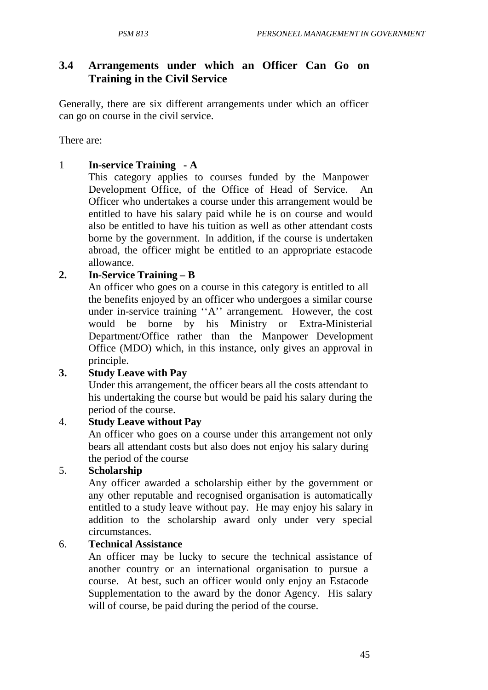## **3.4 Arrangements under which an Officer Can Go on Training in the Civil Service**

Generally, there are six different arrangements under which an officer can go on course in the civil service.

There are:

#### 1 **In-service Training - A**

This category applies to courses funded by the Manpower Development Office, of the Office of Head of Service. An Officer who undertakes a course under this arrangement would be entitled to have his salary paid while he is on course and would also be entitled to have his tuition as well as other attendant costs borne by the government. In addition, if the course is undertaken abroad, the officer might be entitled to an appropriate estacode allowance.

#### **2. In-Service Training – B**

An officer who goes on a course in this category is entitled to all the benefits enjoyed by an officer who undergoes a similar course under in-service training ''A'' arrangement. However, the cost would be borne by his Ministry or Extra-Ministerial Department/Office rather than the Manpower Development Office (MDO) which, in this instance, only gives an approval in principle.

#### **3. Study Leave with Pay**

Under this arrangement, the officer bears all the costs attendant to his undertaking the course but would be paid his salary during the period of the course.

#### 4. **Study Leave without Pay**

An officer who goes on a course under this arrangement not only bears all attendant costs but also does not enjoy his salary during the period of the course

### 5. **Scholarship**

Any officer awarded a scholarship either by the government or any other reputable and recognised organisation is automatically entitled to a study leave without pay. He may enjoy his salary in addition to the scholarship award only under very special circumstances.

#### 6. **Technical Assistance**

An officer may be lucky to secure the technical assistance of another country or an international organisation to pursue a course. At best, such an officer would only enjoy an Estacode Supplementation to the award by the donor Agency. His salary will of course, be paid during the period of the course.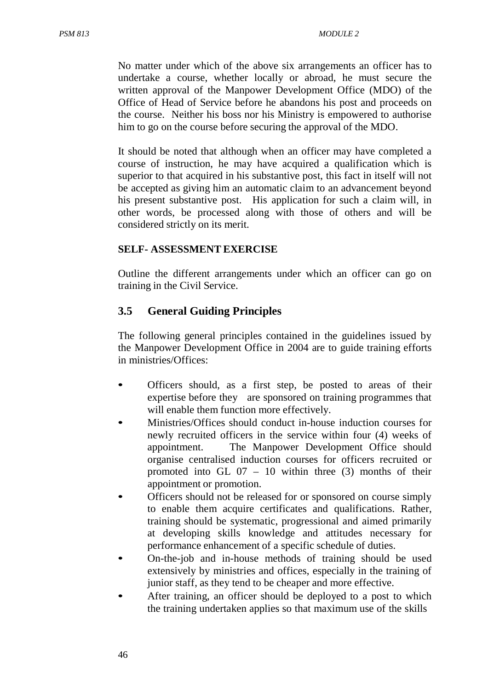No matter under which of the above six arrangements an officer has to undertake a course, whether locally or abroad, he must secure the written approval of the Manpower Development Office (MDO) of the Office of Head of Service before he abandons his post and proceeds on the course. Neither his boss nor his Ministry is empowered to authorise him to go on the course before securing the approval of the MDO.

It should be noted that although when an officer may have completed a course of instruction, he may have acquired a qualification which is superior to that acquired in his substantive post, this fact in itself will not be accepted as giving him an automatic claim to an advancement beyond his present substantive post. His application for such a claim will, in other words, be processed along with those of others and will be considered strictly on its merit.

#### **SELF- ASSESSMENT EXERCISE**

Outline the different arrangements under which an officer can go on training in the Civil Service.

## **3.5 General Guiding Principles**

The following general principles contained in the guidelines issued by the Manpower Development Office in 2004 are to guide training efforts in ministries/Offices:

- Officers should, as a first step, be posted to areas of their expertise before they are sponsored on training programmes that will enable them function more effectively.
- Ministries/Offices should conduct in-house induction courses for newly recruited officers in the service within four (4) weeks of appointment. The Manpower Development Office should organise centralised induction courses for officers recruited or promoted into GL 07 – 10 within three (3) months of their appointment or promotion.
- Officers should not be released for or sponsored on course simply to enable them acquire certificates and qualifications. Rather, training should be systematic, progressional and aimed primarily at developing skills knowledge and attitudes necessary for performance enhancement of a specific schedule of duties.
- On-the-job and in-house methods of training should be used extensively by ministries and offices, especially in the training of junior staff, as they tend to be cheaper and more effective.
- After training, an officer should be deployed to a post to which the training undertaken applies so that maximum use of the skills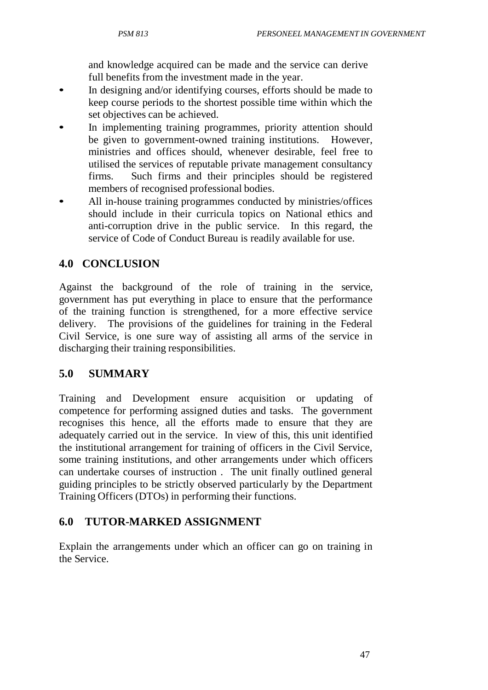and knowledge acquired can be made and the service can derive full benefits from the investment made in the year.

- In designing and/or identifying courses, efforts should be made to keep course periods to the shortest possible time within which the set objectives can be achieved.
- In implementing training programmes, priority attention should be given to government-owned training institutions. However, ministries and offices should, whenever desirable, feel free to utilised the services of reputable private management consultancy firms. Such firms and their principles should be registered members of recognised professional bodies.
- All in-house training programmes conducted by ministries/offices should include in their curricula topics on National ethics and anti-corruption drive in the public service. In this regard, the service of Code of Conduct Bureau is readily available for use.

# **4.0 CONCLUSION**

Against the background of the role of training in the service, government has put everything in place to ensure that the performance of the training function is strengthened, for a more effective service delivery. The provisions of the guidelines for training in the Federal Civil Service, is one sure way of assisting all arms of the service in discharging their training responsibilities.

## **5.0 SUMMARY**

Training and Development ensure acquisition or updating of competence for performing assigned duties and tasks. The government recognises this hence, all the efforts made to ensure that they are adequately carried out in the service. In view of this, this unit identified the institutional arrangement for training of officers in the Civil Service, some training institutions, and other arrangements under which officers can undertake courses of instruction . The unit finally outlined general guiding principles to be strictly observed particularly by the Department Training Officers (DTOs) in performing their functions.

# **6.0 TUTOR-MARKED ASSIGNMENT**

Explain the arrangements under which an officer can go on training in the Service.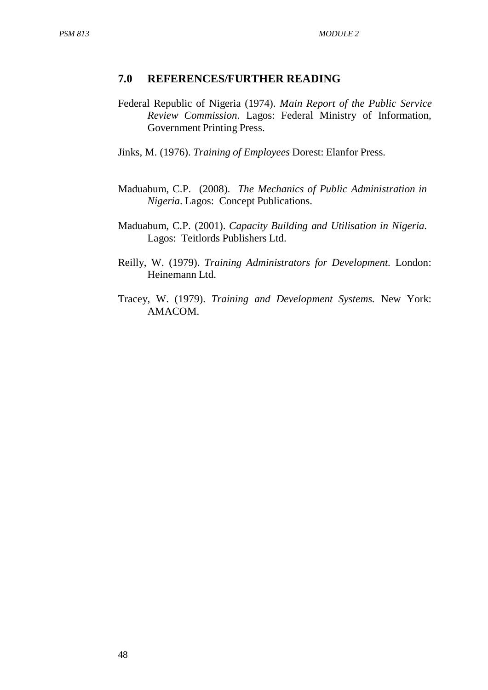### **7.0 REFERENCES/FURTHER READING**

- Federal Republic of Nigeria (1974). *Main Report of the Public Service Review Commission*. Lagos: Federal Ministry of Information, Government Printing Press.
- Jinks, M. (1976). *Training of Employees* Dorest: Elanfor Press.
- Maduabum, C.P. (2008). *The Mechanics of Public Administration in Nigeria*. Lagos: Concept Publications.
- Maduabum, C.P. (2001). *Capacity Building and Utilisation in Nigeria.* Lagos: Teitlords Publishers Ltd.
- Reilly, W. (1979). *Training Administrators for Development.* London: Heinemann Ltd.
- Tracey, W. (1979). *Training and Development Systems.* New York: AMACOM.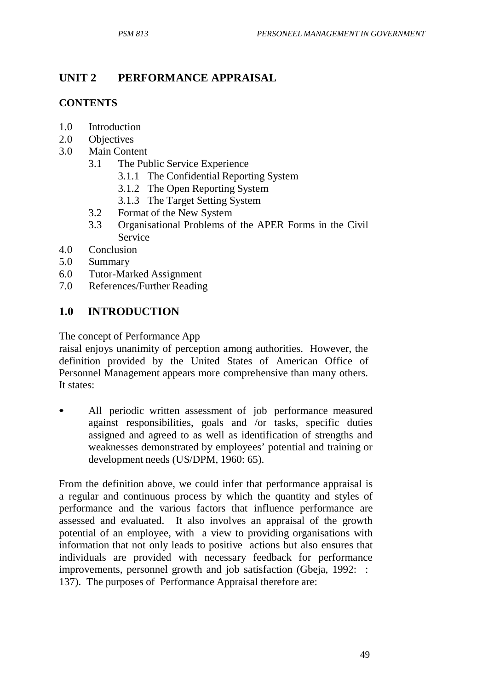# **UNIT 2 PERFORMANCE APPRAISAL**

## **CONTENTS**

- 1.0 Introduction
- 2.0 Objectives
- 3.0 Main Content
	- 3.1 The Public Service Experience
		- 3.1.1 The Confidential Reporting System
		- 3.1.2 The Open Reporting System
		- 3.1.3 The Target Setting System
	- 3.2 Format of the New System
	- 3.3 Organisational Problems of the APER Forms in the Civil Service
- 4.0 Conclusion
- 5.0 Summary
- 6.0 Tutor-Marked Assignment
- 7.0 References/Further Reading

## **1.0 INTRODUCTION**

The concept of Performance App

raisal enjoys unanimity of perception among authorities. However, the definition provided by the United States of American Office of Personnel Management appears more comprehensive than many others. It states:

All periodic written assessment of job performance measured against responsibilities, goals and /or tasks, specific duties assigned and agreed to as well as identification of strengths and weaknesses demonstrated by employees' potential and training or development needs (US/DPM, 1960: 65).

From the definition above, we could infer that performance appraisal is a regular and continuous process by which the quantity and styles of performance and the various factors that influence performance are assessed and evaluated. It also involves an appraisal of the growth potential of an employee, with a view to providing organisations with information that not only leads to positive actions but also ensures that individuals are provided with necessary feedback for performance improvements, personnel growth and job satisfaction (Gbeja, 1992: : 137). The purposes of Performance Appraisal therefore are: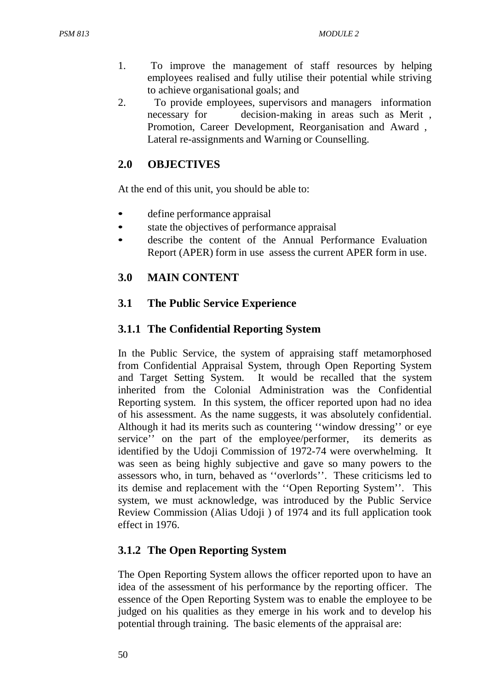- 1. To improve the management of staff resources by helping employees realised and fully utilise their potential while striving to achieve organisational goals; and
- 2. To provide employees, supervisors and managers information necessary for decision-making in areas such as Merit , Promotion, Career Development, Reorganisation and Award , Lateral re-assignments and Warning or Counselling.

## **2.0 OBJECTIVES**

At the end of this unit, you should be able to:

- define performance appraisal
- state the objectives of performance appraisal
- describe the content of the Annual Performance Evaluation Report (APER) form in use assess the current APER form in use.

#### **3.0 MAIN CONTENT**

#### **3.1 The Public Service Experience**

#### **3.1.1 The Confidential Reporting System**

In the Public Service, the system of appraising staff metamorphosed from Confidential Appraisal System, through Open Reporting System and Target Setting System. It would be recalled that the system inherited from the Colonial Administration was the Confidential Reporting system. In this system, the officer reported upon had no idea of his assessment. As the name suggests, it was absolutely confidential. Although it had its merits such as countering ''window dressing'' or eye service'' on the part of the employee/performer, its demerits as identified by the Udoji Commission of 1972-74 were overwhelming. It was seen as being highly subjective and gave so many powers to the assessors who, in turn, behaved as ''overlords''. These criticisms led to its demise and replacement with the ''Open Reporting System''. This system, we must acknowledge, was introduced by the Public Service Review Commission (Alias Udoji ) of 1974 and its full application took effect in 1976.

#### **3.1.2 The Open Reporting System**

The Open Reporting System allows the officer reported upon to have an idea of the assessment of his performance by the reporting officer. The essence of the Open Reporting System was to enable the employee to be judged on his qualities as they emerge in his work and to develop his potential through training. The basic elements of the appraisal are: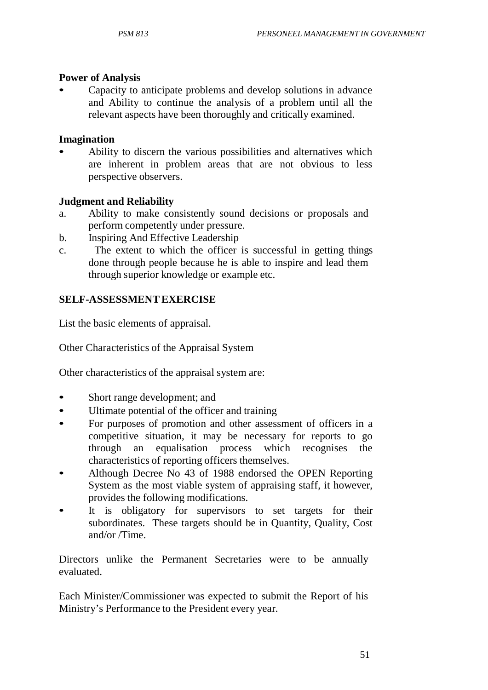# **Power of Analysis**

• Capacity to anticipate problems and develop solutions in advance and Ability to continue the analysis of a problem until all the relevant aspects have been thoroughly and critically examined.

# **Imagination**

• Ability to discern the various possibilities and alternatives which are inherent in problem areas that are not obvious to less perspective observers.

# **Judgment and Reliability**

- a. Ability to make consistently sound decisions or proposals and perform competently under pressure.
- b. Inspiring And Effective Leadership
- c. The extent to which the officer is successful in getting things done through people because he is able to inspire and lead them through superior knowledge or example etc.

# **SELF-ASSESSMENTEXERCISE**

List the basic elements of appraisal.

Other Characteristics of the Appraisal System

Other characteristics of the appraisal system are:

- Short range development; and
- Ultimate potential of the officer and training
- For purposes of promotion and other assessment of officers in a competitive situation, it may be necessary for reports to go through an equalisation process which recognises the characteristics of reporting officers themselves.
- Although Decree No 43 of 1988 endorsed the OPEN Reporting System as the most viable system of appraising staff, it however, provides the following modifications.
- It is obligatory for supervisors to set targets for their subordinates. These targets should be in Quantity, Quality, Cost and/or /Time.

Directors unlike the Permanent Secretaries were to be annually evaluated.

Each Minister/Commissioner was expected to submit the Report of his Ministry's Performance to the President every year.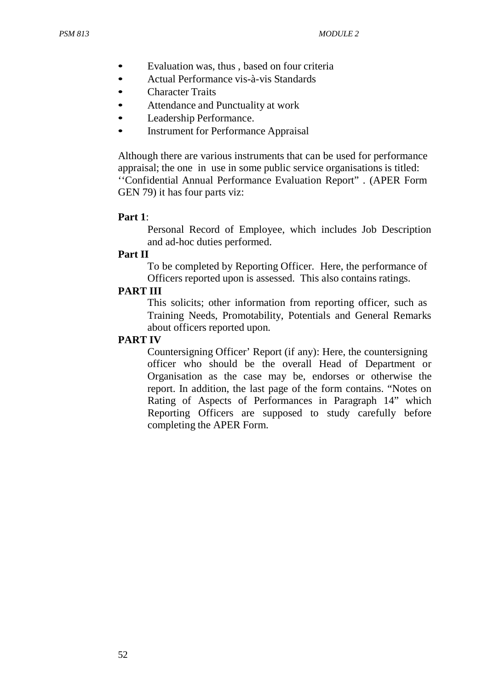- Evaluation was, thus, based on four criteria
- Actual Performance vis-à-vis Standards
- **Character Traits**
- Attendance and Punctuality at work
- Leadership Performance.
- Instrument for Performance Appraisal

Although there are various instruments that can be used for performance appraisal; the one in use in some public service organisations is titled: ''Confidential Annual Performance Evaluation Report" . (APER Form GEN 79) it has four parts viz:

#### **Part 1**:

Personal Record of Employee, which includes Job Description and ad-hoc duties performed.

#### **Part II**

To be completed by Reporting Officer. Here, the performance of Officers reported upon is assessed. This also contains ratings.

#### **PART III**

This solicits; other information from reporting officer, such as Training Needs, Promotability, Potentials and General Remarks about officers reported upon.

#### **PART IV**

Countersigning Officer' Report (if any): Here, the countersigning officer who should be the overall Head of Department or Organisation as the case may be, endorses or otherwise the report. In addition, the last page of the form contains. "Notes on Rating of Aspects of Performances in Paragraph 14" which Reporting Officers are supposed to study carefully before completing the APER Form.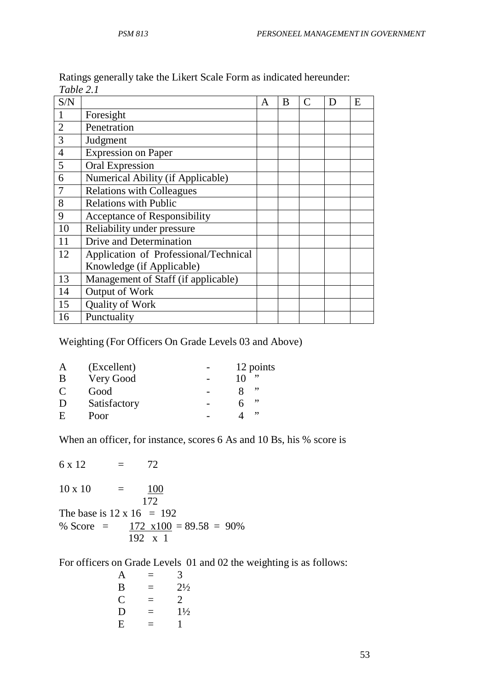| S/N            |                                       | A | B | D | E |
|----------------|---------------------------------------|---|---|---|---|
|                | Foresight                             |   |   |   |   |
| $\overline{2}$ | Penetration                           |   |   |   |   |
| 3              | Judgment                              |   |   |   |   |
| $\overline{4}$ | <b>Expression on Paper</b>            |   |   |   |   |
| 5              | <b>Oral Expression</b>                |   |   |   |   |
| 6              | Numerical Ability (if Applicable)     |   |   |   |   |
| 7              | <b>Relations with Colleagues</b>      |   |   |   |   |
| 8              | <b>Relations with Public</b>          |   |   |   |   |
| 9              | <b>Acceptance of Responsibility</b>   |   |   |   |   |
| 10             | Reliability under pressure            |   |   |   |   |
| 11             | Drive and Determination               |   |   |   |   |
| 12             | Application of Professional/Technical |   |   |   |   |
|                | Knowledge (if Applicable)             |   |   |   |   |
| 13             | Management of Staff (if applicable)   |   |   |   |   |
| 14             | Output of Work                        |   |   |   |   |
| 15             | <b>Quality of Work</b>                |   |   |   |   |
| 16             | Punctuality                           |   |   |   |   |

Ratings generally take the Likert Scale Form as indicated hereunder: *Table 2.1*

Weighting (For Officers On Grade Levels 03 and Above)

| A      | (Excellent)  | 12 points |
|--------|--------------|-----------|
| B      | Very Good    | ,,        |
| C      | Good         | ,,        |
| $\Box$ | Satisfactory | ,,        |
| E      | Poor         | ,,        |
|        |              |           |

When an officer, for instance, scores 6 As and 10 Bs, his % score is

 $6 \times 12 = 72$  $10 \times 10 = 100$ 172 The base is  $12 \times 16 = 192$ % Score =  $\frac{172 \times 100}{2} = 89.58 = 90\%$ 192 x 1

For officers on Grade Levels 01 and 02 the weighting is as follows:

| A | Ξ   | 3              |
|---|-----|----------------|
| B | $=$ | $2\frac{1}{2}$ |
| C | ⋍   | 2              |
| D | $=$ | $1\frac{1}{2}$ |
| E |     | 1              |
|   |     |                |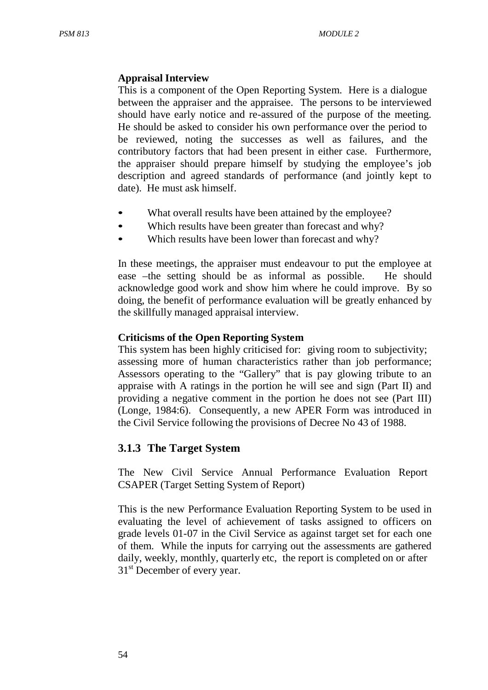#### **Appraisal Interview**

This is a component of the Open Reporting System. Here is a dialogue between the appraiser and the appraisee. The persons to be interviewed should have early notice and re-assured of the purpose of the meeting. He should be asked to consider his own performance over the period to be reviewed, noting the successes as well as failures, and the contributory factors that had been present in either case. Furthermore, the appraiser should prepare himself by studying the employee's job description and agreed standards of performance (and jointly kept to date). He must ask himself.

- What overall results have been attained by the employee?
- Which results have been greater than forecast and why?
- Which results have been lower than forecast and why?

In these meetings, the appraiser must endeavour to put the employee at ease –the setting should be as informal as possible. He should acknowledge good work and show him where he could improve. By so doing, the benefit of performance evaluation will be greatly enhanced by the skillfully managed appraisal interview.

#### **Criticisms of the Open Reporting System**

This system has been highly criticised for: giving room to subjectivity; assessing more of human characteristics rather than job performance; Assessors operating to the "Gallery" that is pay glowing tribute to an appraise with A ratings in the portion he will see and sign (Part II) and providing a negative comment in the portion he does not see (Part III) (Longe, 1984:6). Consequently, a new APER Form was introduced in the Civil Service following the provisions of Decree No 43 of 1988.

#### **3.1.3 The Target System**

The New Civil Service Annual Performance Evaluation Report CSAPER (Target Setting System of Report)

This is the new Performance Evaluation Reporting System to be used in evaluating the level of achievement of tasks assigned to officers on grade levels 01-07 in the Civil Service as against target set for each one of them. While the inputs for carrying out the assessments are gathered daily, weekly, monthly, quarterly etc, the report is completed on or after 31<sup>st</sup> December of every year.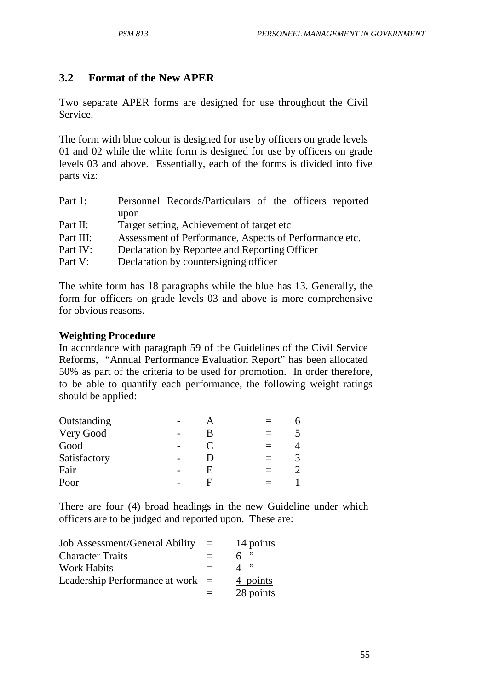## **3.2 Format of the New APER**

Two separate APER forms are designed for use throughout the Civil Service.

The form with blue colour is designed for use by officers on grade levels 01 and 02 while the white form is designed for use by officers on grade levels 03 and above. Essentially, each of the forms is divided into five parts viz:

| Part 1:   | Personnel Records/Particulars of the officers reported |  |  |  |  |  |
|-----------|--------------------------------------------------------|--|--|--|--|--|
|           | upon                                                   |  |  |  |  |  |
| Part II:  | Target setting, Achievement of target etc.             |  |  |  |  |  |
| Part III: | Assessment of Performance, Aspects of Performance etc. |  |  |  |  |  |
| Part IV:  | Declaration by Reportee and Reporting Officer          |  |  |  |  |  |
| Part V:   | Declaration by countersigning officer                  |  |  |  |  |  |

The white form has 18 paragraphs while the blue has 13. Generally, the form for officers on grade levels 03 and above is more comprehensive for obvious reasons.

#### **Weighting Procedure**

In accordance with paragraph 59 of the Guidelines of the Civil Service Reforms, "Annual Performance Evaluation Report" has been allocated 50% as part of the criteria to be used for promotion. In order therefore, to be able to quantify each performance, the following weight ratings should be applied:

| Outstanding  |     |  |
|--------------|-----|--|
| Very Good    | R   |  |
| Good         |     |  |
| Satisfactory | נ ו |  |
| Fair         | E   |  |
| Poor         | F   |  |

There are four (4) broad headings in the new Guideline under which officers are to be judged and reported upon. These are:

| <b>Job Assessment/General Ability</b> | $=$               | 14 points   |
|---------------------------------------|-------------------|-------------|
| <b>Character Traits</b>               | $=$               | ,,,<br>h    |
| <b>Work Habits</b>                    | $\qquad \qquad -$ | ,,          |
| Leadership Performance at work $=$    |                   | 4 points    |
|                                       |                   | $28$ points |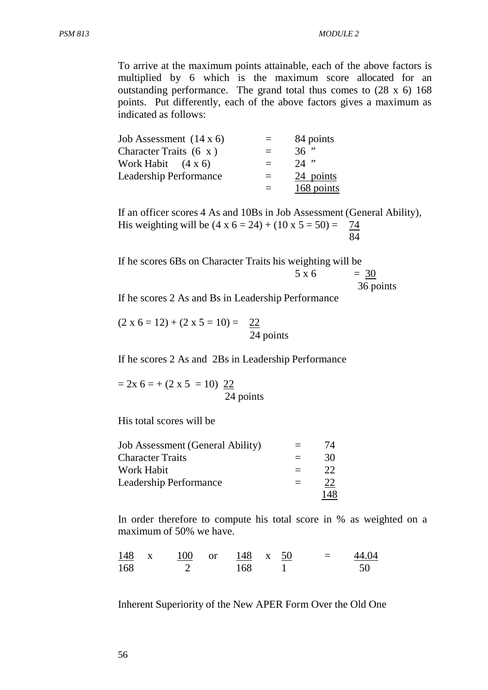To arrive at the maximum points attainable, each of the above factors is multiplied by 6 which is the maximum score allocated for an outstanding performance. The grand total thus comes to (28 x 6) 168 points. Put differently, each of the above factors gives a maximum as indicated as follows:

Job Assessment  $(14 \times 6)$  = 84 points Character Traits  $(6 \times)$  = 36 " Work Habit  $(4 \times 6)$  = 24 " Leadership Performance  $=$  24 points  $=$  168 points

If an officer scores 4 As and 10Bs in Job Assessment (General Ability), His weighting will be  $(4 \times 6 = 24) + (10 \times 5 = 50) = 74$ 84

If he scores 6Bs on Character Traits his weighting will be  $5 \times 6 = 30$ 36 points

If he scores 2 As and Bs in Leadership Performance

 $(2 \times 6 = 12) + (2 \times 5 = 10) = 22$ 24 points

If he scores 2 As and 2Bs in Leadership Performance

 $= 2x$  6 = + (2 x 5 = 10) 22 24 points

His total scores will be

| Job Assessment (General Ability) | $=$                                     | 74 |
|----------------------------------|-----------------------------------------|----|
| <b>Character Traits</b>          | $\qquad \qquad \  \  \, -\qquad \qquad$ | 30 |
| Work Habit                       |                                         | 22 |
| Leadership Performance           |                                         | 22 |
|                                  |                                         |    |

In order therefore to compute his total score in % as weighted on a maximum of 50% we have.

| $\frac{148}{ }$ x | $\frac{100}{ }$ or | $\frac{148}{ }$ x 50 |  | $\equiv$ | 44.04 |
|-------------------|--------------------|----------------------|--|----------|-------|
| 168               |                    | - 168                |  |          | 50    |

Inherent Superiority of the New APER Form Over the Old One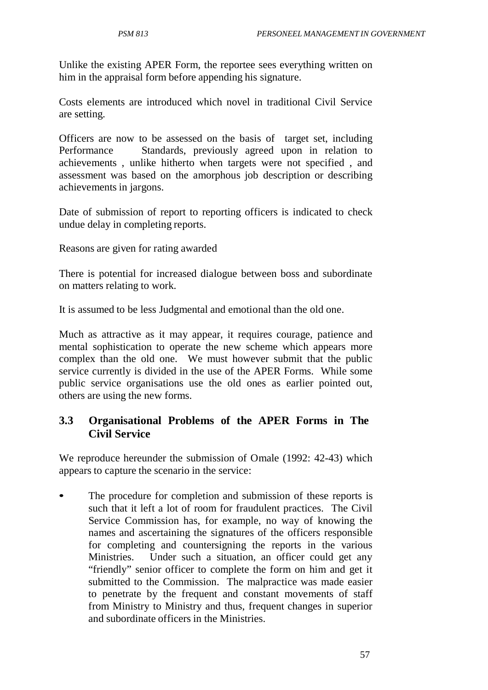Unlike the existing APER Form, the reportee sees everything written on him in the appraisal form before appending his signature.

Costs elements are introduced which novel in traditional Civil Service are setting.

Officers are now to be assessed on the basis of target set, including Performance Standards, previously agreed upon in relation to achievements , unlike hitherto when targets were not specified , and assessment was based on the amorphous job description or describing achievements in jargons.

Date of submission of report to reporting officers is indicated to check undue delay in completing reports.

Reasons are given for rating awarded

There is potential for increased dialogue between boss and subordinate on matters relating to work.

It is assumed to be less Judgmental and emotional than the old one.

Much as attractive as it may appear, it requires courage, patience and mental sophistication to operate the new scheme which appears more complex than the old one. We must however submit that the public service currently is divided in the use of the APER Forms. While some public service organisations use the old ones as earlier pointed out, others are using the new forms.

## **3.3 Organisational Problems of the APER Forms in The Civil Service**

We reproduce hereunder the submission of Omale (1992: 42-43) which appears to capture the scenario in the service:

The procedure for completion and submission of these reports is such that it left a lot of room for fraudulent practices. The Civil Service Commission has, for example, no way of knowing the names and ascertaining the signatures of the officers responsible for completing and countersigning the reports in the various Ministries. Under such a situation, an officer could get any "friendly" senior officer to complete the form on him and get it submitted to the Commission. The malpractice was made easier to penetrate by the frequent and constant movements of staff from Ministry to Ministry and thus, frequent changes in superior and subordinate officers in the Ministries.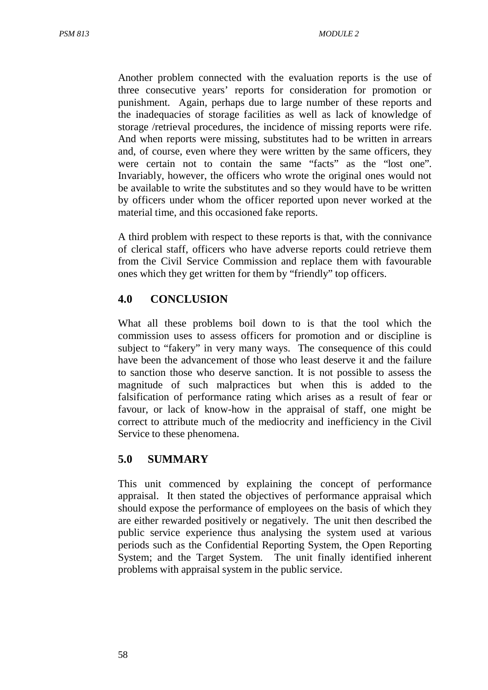Another problem connected with the evaluation reports is the use of three consecutive years' reports for consideration for promotion or punishment. Again, perhaps due to large number of these reports and the inadequacies of storage facilities as well as lack of knowledge of storage /retrieval procedures, the incidence of missing reports were rife. And when reports were missing, substitutes had to be written in arrears and, of course, even where they were written by the same officers, they were certain not to contain the same "facts" as the "lost one". Invariably, however, the officers who wrote the original ones would not be available to write the substitutes and so they would have to be written by officers under whom the officer reported upon never worked at the material time, and this occasioned fake reports.

A third problem with respect to these reports is that, with the connivance of clerical staff, officers who have adverse reports could retrieve them from the Civil Service Commission and replace them with favourable ones which they get written for them by "friendly" top officers.

## **4.0 CONCLUSION**

What all these problems boil down to is that the tool which the commission uses to assess officers for promotion and or discipline is subject to "fakery" in very many ways. The consequence of this could have been the advancement of those who least deserve it and the failure to sanction those who deserve sanction. It is not possible to assess the magnitude of such malpractices but when this is added to the falsification of performance rating which arises as a result of fear or favour, or lack of know-how in the appraisal of staff, one might be correct to attribute much of the mediocrity and inefficiency in the Civil Service to these phenomena.

## **5.0 SUMMARY**

This unit commenced by explaining the concept of performance appraisal. It then stated the objectives of performance appraisal which should expose the performance of employees on the basis of which they are either rewarded positively or negatively. The unit then described the public service experience thus analysing the system used at various periods such as the Confidential Reporting System, the Open Reporting System; and the Target System. The unit finally identified inherent problems with appraisal system in the public service.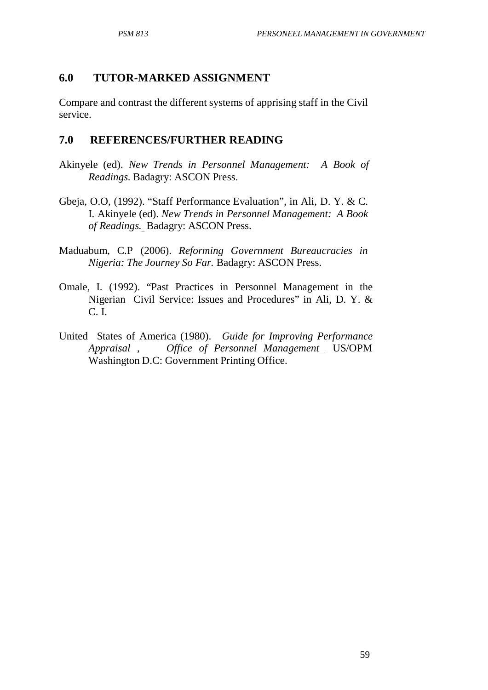## **6.0 TUTOR-MARKED ASSIGNMENT**

Compare and contrast the different systems of apprising staff in the Civil service.

## **7.0 REFERENCES/FURTHER READING**

- Akinyele (ed). *New Trends in Personnel Management: A Book of Readings.* Badagry: ASCON Press.
- Gbeja, O.O, (1992). "Staff Performance Evaluation", in Ali, D. Y. & C. I. Akinyele (ed). *New Trends in Personnel Management: A Book of Readings.* Badagry: ASCON Press.
- Maduabum, C.P (2006). *Reforming Government Bureaucracies in Nigeria: The Journey So Far.* Badagry: ASCON Press.
- Omale, I. (1992). "Past Practices in Personnel Management in the Nigerian Civil Service: Issues and Procedures" in Ali, D. Y. & C. I.
- United States of America (1980). *Guide for Improving Performance Appraisal* , *Office of Personnel Management* US/OPM Washington D.C: Government Printing Office.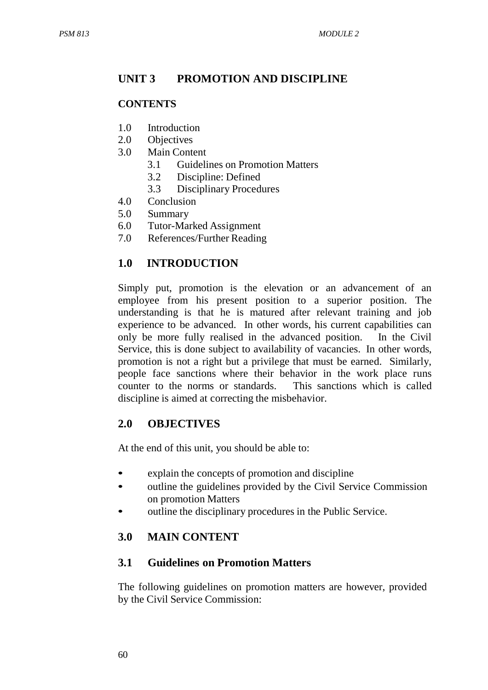## **UNIT 3 PROMOTION AND DISCIPLINE**

#### **CONTENTS**

- 1.0 Introduction
- 2.0 Objectives
- 3.0 Main Content
	- 3.1 Guidelines on Promotion Matters
	- 3.2 Discipline: Defined
	- 3.3 Disciplinary Procedures
- 4.0 Conclusion
- 5.0 Summary
- 6.0 Tutor-Marked Assignment
- 7.0 References/Further Reading

## **1.0 INTRODUCTION**

Simply put, promotion is the elevation or an advancement of an employee from his present position to a superior position. The understanding is that he is matured after relevant training and job experience to be advanced. In other words, his current capabilities can only be more fully realised in the advanced position. In the Civil Service, this is done subject to availability of vacancies. In other words, promotion is not a right but a privilege that must be earned. Similarly, people face sanctions where their behavior in the work place runs counter to the norms or standards. This sanctions which is called discipline is aimed at correcting the misbehavior.

## **2.0 OBJECTIVES**

At the end of this unit, you should be able to:

- explain the concepts of promotion and discipline
- outline the guidelines provided by the Civil Service Commission on promotion Matters
- outline the disciplinary procedures in the Public Service.

## **3.0 MAIN CONTENT**

## **3.1 Guidelines on Promotion Matters**

The following guidelines on promotion matters are however, provided by the Civil Service Commission: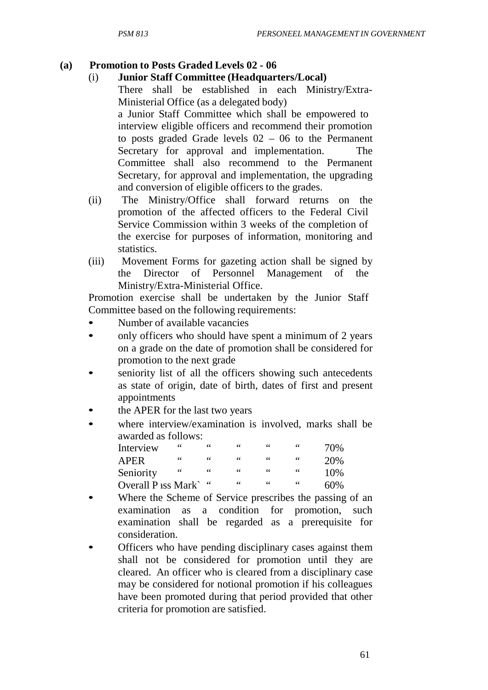### **(a) Promotion to Posts Graded Levels 02 - 06**

#### (i) **Junior Staff Committee (Headquarters/Local)**

There shall be established in each Ministry/Extra-Ministerial Office (as a delegated body) a Junior Staff Committee which shall be empowered to interview eligible officers and recommend their promotion to posts graded Grade levels 02 – 06 to the Permanent Secretary for approval and implementation. The Committee shall also recommend to the Permanent Secretary, for approval and implementation, the upgrading and conversion of eligible officers to the grades.

- (ii) The Ministry/Office shall forward returns on the promotion of the affected officers to the Federal Civil Service Commission within 3 weeks of the completion of the exercise for purposes of information, monitoring and statistics.
- (iii) Movement Forms for gazeting action shall be signed by the Director of Personnel Management of the Ministry/Extra-Ministerial Office.

Promotion exercise shall be undertaken by the Junior Staff Committee based on the following requirements:

- Number of available vacancies
- only officers who should have spent a minimum of 2 years on a grade on the date of promotion shall be considered for promotion to the next grade
- seniority list of all the officers showing such antecedents as state of origin, date of birth, dates of first and present appointments
- the APER for the last two years
- where interview/examination is involved, marks shall be awarded as follows:

| Interview            | 66 | 66 | 66 | 66 | 66 | 70% |
|----------------------|----|----|----|----|----|-----|
| APER                 | 66 | 66 | 66 | 66 | 66 | 20% |
| Seniority            | 66 | 66 | 66 | 66 | 66 | 10% |
| Overall P iss Mark " |    |    | 66 | 66 | 66 | 60% |

- Where the Scheme of Service prescribes the passing of an examination as a condition for promotion, such examination shall be regarded as a prerequisite for consideration.
- Officers who have pending disciplinary cases against them shall not be considered for promotion until they are cleared. An officer who is cleared from a disciplinary case may be considered for notional promotion if his colleagues have been promoted during that period provided that other criteria for promotion are satisfied.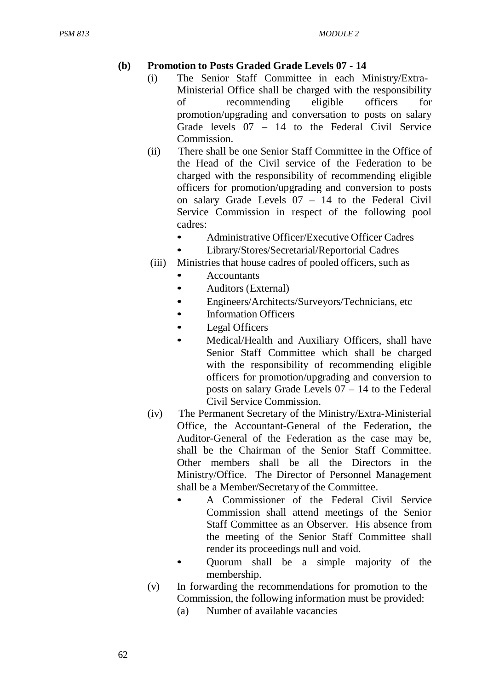#### **(b) Promotion to Posts Graded Grade Levels 07 - 14**

- (i) The Senior Staff Committee in each Ministry/Extra-Ministerial Office shall be charged with the responsibility of recommending eligible officers for promotion/upgrading and conversation to posts on salary Grade levels 07 – 14 to the Federal Civil Service Commission.
- (ii) There shall be one Senior Staff Committee in the Office of the Head of the Civil service of the Federation to be charged with the responsibility of recommending eligible officers for promotion/upgrading and conversion to posts on salary Grade Levels 07 – 14 to the Federal Civil Service Commission in respect of the following pool cadres:
	- Administrative Officer/Executive Officer Cadres
	- Library/Stores/Secretarial/Reportorial Cadres
- (iii) Ministries that house cadres of pooled officers, such as
	- **Accountants**
	- Auditors (External)
	- Engineers/Architects/Surveyors/Technicians, etc
	- Information Officers
	- Legal Officers
	- Medical/Health and Auxiliary Officers, shall have Senior Staff Committee which shall be charged with the responsibility of recommending eligible officers for promotion/upgrading and conversion to posts on salary Grade Levels 07 – 14 to the Federal Civil Service Commission.
- (iv) The Permanent Secretary of the Ministry/Extra-Ministerial Office, the Accountant-General of the Federation, the Auditor-General of the Federation as the case may be, shall be the Chairman of the Senior Staff Committee. Other members shall be all the Directors in the Ministry/Office. The Director of Personnel Management shall be a Member/Secretary of the Committee.
	- A Commissioner of the Federal Civil Service Commission shall attend meetings of the Senior Staff Committee as an Observer. His absence from the meeting of the Senior Staff Committee shall render its proceedings null and void.
	- Quorum shall be a simple majority of the membership.
- (v) In forwarding the recommendations for promotion to the Commission, the following information must be provided:
	- (a) Number of available vacancies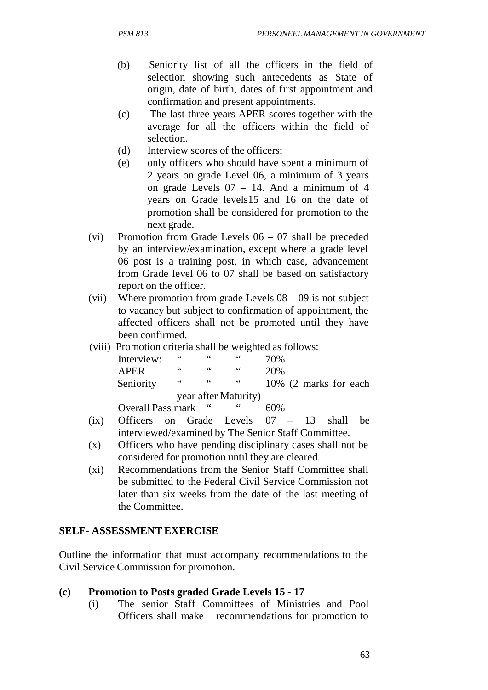- (b) Seniority list of all the officers in the field of selection showing such antecedents as State of origin, date of birth, dates of first appointment and confirmation and present appointments.
- (c) The last three years APER scores together with the average for all the officers within the field of selection.
- (d) Interview scores of the officers;
- (e) only officers who should have spent a minimum of 2 years on grade Level 06, a minimum of 3 years on grade Levels 07 – 14. And a minimum of 4 years on Grade levels15 and 16 on the date of promotion shall be considered for promotion to the next grade.
- (vi) Promotion from Grade Levels 06 07 shall be preceded by an interview/examination, except where a grade level 06 post is a training post, in which case, advancement from Grade level 06 to 07 shall be based on satisfactory report on the officer.
- (vii) Where promotion from grade Levels 08 09 is not subject to vacancy but subject to confirmation of appointment, the affected officers shall not be promoted until they have been confirmed.
- (viii) Promotion criteria shall be weighted as follows:

| Interview:          | 66 | 66                   | 66 | 70% |                        |  |
|---------------------|----|----------------------|----|-----|------------------------|--|
| APER                | 66 | 66                   | 66 | 20% |                        |  |
| Seniority           | 66 | 66                   | 66 |     | 10% (2 marks for each) |  |
|                     |    | year after Maturity) |    |     |                        |  |
| Overall Pass mark " |    |                      |    |     |                        |  |

- (ix) Officers on Grade Levels 07 13 shall be interviewed/examined by The Senior Staff Committee.
- (x) Officers who have pending disciplinary cases shall not be considered for promotion until they are cleared.
- (xi) Recommendations from the Senior Staff Committee shall be submitted to the Federal Civil Service Commission not later than six weeks from the date of the last meeting of the Committee.

### **SELF- ASSESSMENT EXERCISE**

Outline the information that must accompany recommendations to the Civil Service Commission for promotion.

### **(c) Promotion to Posts graded Grade Levels 15 - 17**

(i) The senior Staff Committees of Ministries and Pool Officers shall make recommendations for promotion to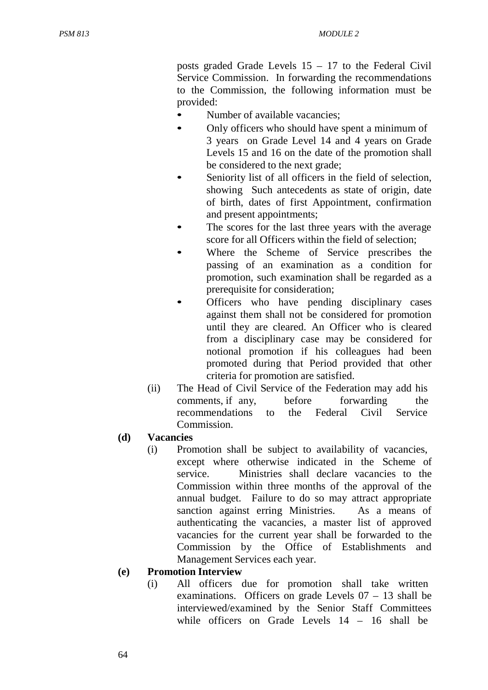posts graded Grade Levels 15 – 17 to the Federal Civil Service Commission. In forwarding the recommendations to the Commission, the following information must be provided:

- Number of available vacancies:
- Only officers who should have spent a minimum of 3 years on Grade Level 14 and 4 years on Grade Levels 15 and 16 on the date of the promotion shall be considered to the next grade;
- Seniority list of all officers in the field of selection, showing Such antecedents as state of origin, date of birth, dates of first Appointment, confirmation and present appointments;
- The scores for the last three years with the average score for all Officers within the field of selection;
- Where the Scheme of Service prescribes the passing of an examination as a condition for promotion, such examination shall be regarded as a prerequisite for consideration;
- Officers who have pending disciplinary cases against them shall not be considered for promotion until they are cleared. An Officer who is cleared from a disciplinary case may be considered for notional promotion if his colleagues had been promoted during that Period provided that other criteria for promotion are satisfied.
- (ii) The Head of Civil Service of the Federation may add his comments, if any, before forwarding the recommendations to the Federal Civil Service Commission.

### **(d) Vacancies**

(i) Promotion shall be subject to availability of vacancies, except where otherwise indicated in the Scheme of service. Ministries shall declare vacancies to the Commission within three months of the approval of the annual budget. Failure to do so may attract appropriate sanction against erring Ministries. As a means of authenticating the vacancies, a master list of approved vacancies for the current year shall be forwarded to the Commission by the Office of Establishments and Management Services each year.

## **(e) Promotion Interview**

(i) All officers due for promotion shall take written examinations. Officers on grade Levels 07 – 13 shall be interviewed/examined by the Senior Staff Committees while officers on Grade Levels  $14 - 16$  shall be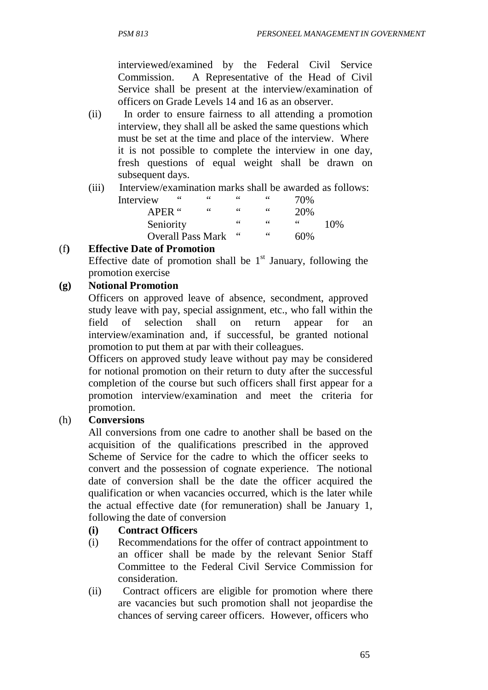interviewed/examined by the Federal Civil Service Commission. A Representative of the Head of Civil Service shall be present at the interview/examination of officers on Grade Levels 14 and 16 as an observer.

- (ii) In order to ensure fairness to all attending a promotion interview, they shall all be asked the same questions which must be set at the time and place of the interview. Where it is not possible to complete the interview in one day, fresh questions of equal weight shall be drawn on subsequent days.
- (iii) Interview/examination marks shall be awarded as follows: Interview " "  $\cdots$  "  $70\%$

| VIC W                    |    |    | 7070 |     |
|--------------------------|----|----|------|-----|
| 66<br>APER "             | 66 | 66 | 20%  |     |
| Seniority                | 66 | 66 | 66   | 10% |
| <b>Overall Pass Mark</b> |    | 66 | 60%  |     |

### (f**) Effective Date of Promotion**

Effective date of promotion shall be  $1<sup>st</sup>$  January, following the promotion exercise

### **(g) Notional Promotion**

Officers on approved leave of absence, secondment, approved study leave with pay, special assignment, etc., who fall within the field of selection shall on return appear for an interview/examination and, if successful, be granted notional promotion to put them at par with their colleagues.

Officers on approved study leave without pay may be considered for notional promotion on their return to duty after the successful completion of the course but such officers shall first appear for a promotion interview/examination and meet the criteria for promotion.

### (h) **Conversions**

All conversions from one cadre to another shall be based on the acquisition of the qualifications prescribed in the approved Scheme of Service for the cadre to which the officer seeks to convert and the possession of cognate experience. The notional date of conversion shall be the date the officer acquired the qualification or when vacancies occurred, which is the later while the actual effective date (for remuneration) shall be January 1, following the date of conversion

### **(i) Contract Officers**

- (i) Recommendations for the offer of contract appointment to an officer shall be made by the relevant Senior Staff Committee to the Federal Civil Service Commission for consideration.
- (ii) Contract officers are eligible for promotion where there are vacancies but such promotion shall not jeopardise the chances of serving career officers. However, officers who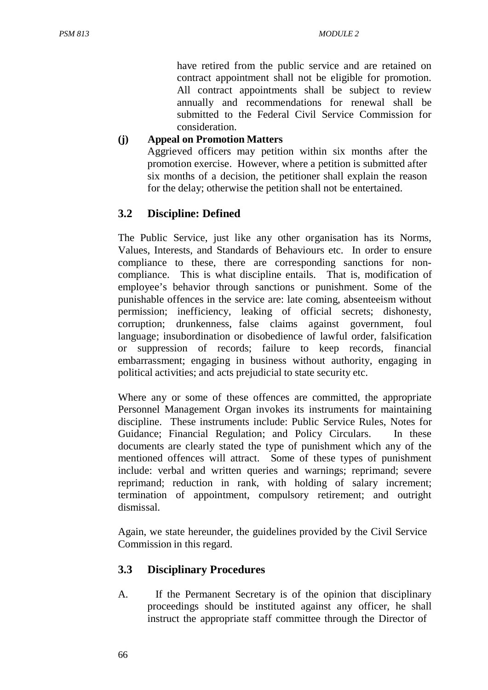have retired from the public service and are retained on contract appointment shall not be eligible for promotion. All contract appointments shall be subject to review annually and recommendations for renewal shall be submitted to the Federal Civil Service Commission for consideration.

#### **(j) Appeal on Promotion Matters**

Aggrieved officers may petition within six months after the promotion exercise. However, where a petition is submitted after six months of a decision, the petitioner shall explain the reason for the delay; otherwise the petition shall not be entertained.

## **3.2 Discipline: Defined**

The Public Service, just like any other organisation has its Norms, Values, Interests, and Standards of Behaviours etc. In order to ensure compliance to these, there are corresponding sanctions for noncompliance. This is what discipline entails. That is, modification of employee's behavior through sanctions or punishment. Some of the punishable offences in the service are: late coming, absenteeism without permission; inefficiency, leaking of official secrets; dishonesty, corruption; drunkenness, false claims against government, foul language; insubordination or disobedience of lawful order, falsification or suppression of records; failure to keep records, financial embarrassment; engaging in business without authority, engaging in political activities; and acts prejudicial to state security etc.

Where any or some of these offences are committed, the appropriate Personnel Management Organ invokes its instruments for maintaining discipline. These instruments include: Public Service Rules, Notes for Guidance; Financial Regulation; and Policy Circulars. In these documents are clearly stated the type of punishment which any of the mentioned offences will attract. Some of these types of punishment include: verbal and written queries and warnings; reprimand; severe reprimand; reduction in rank, with holding of salary increment; termination of appointment, compulsory retirement; and outright dismissal.

Again, we state hereunder, the guidelines provided by the Civil Service Commission in this regard.

## **3.3 Disciplinary Procedures**

A. If the Permanent Secretary is of the opinion that disciplinary proceedings should be instituted against any officer, he shall instruct the appropriate staff committee through the Director of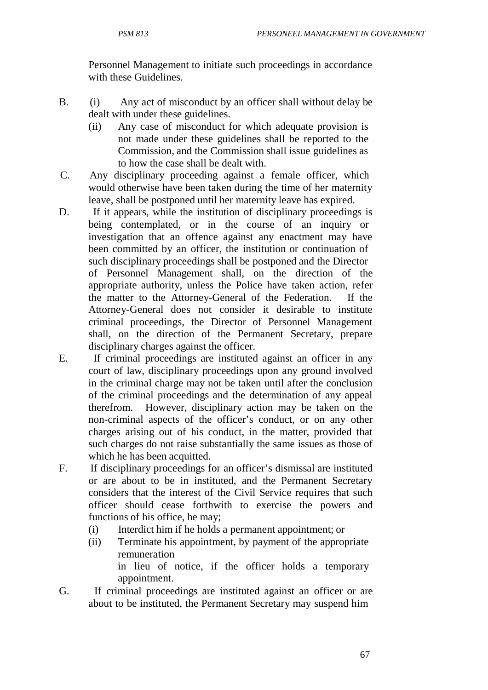Personnel Management to initiate such proceedings in accordance with these Guidelines.

- B. (i) Any act of misconduct by an officer shall without delay be dealt with under these guidelines.
	- (ii) Any case of misconduct for which adequate provision is not made under these guidelines shall be reported to the Commission, and the Commission shall issue guidelines as to how the case shall be dealt with.
- C. Any disciplinary proceeding against a female officer, which would otherwise have been taken during the time of her maternity leave, shall be postponed until her maternity leave has expired.
- D. If it appears, while the institution of disciplinary proceedings is being contemplated, or in the course of an inquiry or investigation that an offence against any enactment may have been committed by an officer, the institution or continuation of such disciplinary proceedings shall be postponed and the Director of Personnel Management shall, on the direction of the appropriate authority, unless the Police have taken action, refer the matter to the Attorney-General of the Federation. If the Attorney-General does not consider it desirable to institute criminal proceedings, the Director of Personnel Management shall, on the direction of the Permanent Secretary, prepare disciplinary charges against the officer.
- E. If criminal proceedings are instituted against an officer in any court of law, disciplinary proceedings upon any ground involved in the criminal charge may not be taken until after the conclusion of the criminal proceedings and the determination of any appeal therefrom. However, disciplinary action may be taken on the non-criminal aspects of the officer's conduct, or on any other charges arising out of his conduct, in the matter, provided that such charges do not raise substantially the same issues as those of which he has been acquitted.
- F. If disciplinary proceedings for an officer's dismissal are instituted or are about to be in instituted, and the Permanent Secretary considers that the interest of the Civil Service requires that such officer should cease forthwith to exercise the powers and functions of his office, he may;
	- (i) Interdict him if he holds a permanent appointment; or
	- (ii) Terminate his appointment, by payment of the appropriate remuneration

in lieu of notice, if the officer holds a temporary appointment.

G. If criminal proceedings are instituted against an officer or are about to be instituted, the Permanent Secretary may suspend him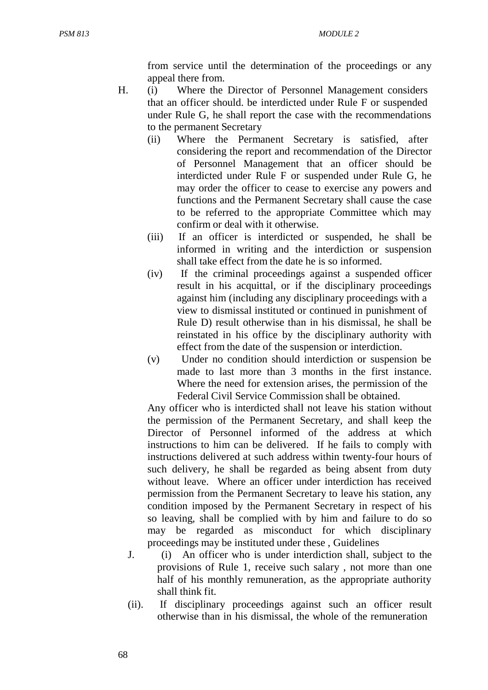from service until the determination of the proceedings or any appeal there from.

- H. (i) Where the Director of Personnel Management considers that an officer should. be interdicted under Rule F or suspended under Rule G, he shall report the case with the recommendations to the permanent Secretary
	- (ii) Where the Permanent Secretary is satisfied, after considering the report and recommendation of the Director of Personnel Management that an officer should be interdicted under Rule F or suspended under Rule G, he may order the officer to cease to exercise any powers and functions and the Permanent Secretary shall cause the case to be referred to the appropriate Committee which may confirm or deal with it otherwise.
	- (iii) If an officer is interdicted or suspended, he shall be informed in writing and the interdiction or suspension shall take effect from the date he is so informed.
	- (iv) If the criminal proceedings against a suspended officer result in his acquittal, or if the disciplinary proceedings against him (including any disciplinary proceedings with a view to dismissal instituted or continued in punishment of Rule D) result otherwise than in his dismissal, he shall be reinstated in his office by the disciplinary authority with effect from the date of the suspension or interdiction.
	- (v) Under no condition should interdiction or suspension be made to last more than 3 months in the first instance. Where the need for extension arises, the permission of the Federal Civil Service Commission shall be obtained.

Any officer who is interdicted shall not leave his station without the permission of the Permanent Secretary, and shall keep the Director of Personnel informed of the address at which instructions to him can be delivered. If he fails to comply with instructions delivered at such address within twenty-four hours of such delivery, he shall be regarded as being absent from duty without leave. Where an officer under interdiction has received permission from the Permanent Secretary to leave his station, any condition imposed by the Permanent Secretary in respect of his so leaving, shall be complied with by him and failure to do so may be regarded as misconduct for which disciplinary proceedings may be instituted under these , Guidelines

- J. (i) An officer who is under interdiction shall, subject to the provisions of Rule 1, receive such salary , not more than one half of his monthly remuneration, as the appropriate authority shall think fit.
- (ii). If disciplinary proceedings against such an officer result otherwise than in his dismissal, the whole of the remuneration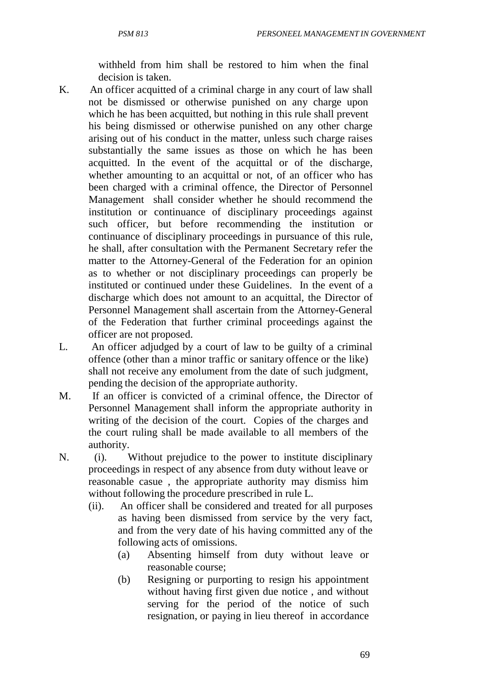withheld from him shall be restored to him when the final decision is taken.

K. An officer acquitted of a criminal charge in any court of law shall not be dismissed or otherwise punished on any charge upon which he has been acquitted, but nothing in this rule shall prevent his being dismissed or otherwise punished on any other charge arising out of his conduct in the matter, unless such charge raises substantially the same issues as those on which he has been acquitted. In the event of the acquittal or of the discharge, whether amounting to an acquittal or not, of an officer who has been charged with a criminal offence, the Director of Personnel Management shall consider whether he should recommend the institution or continuance of disciplinary proceedings against such officer, but before recommending the institution or continuance of disciplinary proceedings in pursuance of this rule, he shall, after consultation with the Permanent Secretary refer the matter to the Attorney-General of the Federation for an opinion as to whether or not disciplinary proceedings can properly be instituted or continued under these Guidelines. In the event of a discharge which does not amount to an acquittal, the Director of Personnel Management shall ascertain from the Attorney-General of the Federation that further criminal proceedings against the officer are not proposed.

- L. An officer adjudged by a court of law to be guilty of a criminal offence (other than a minor traffic or sanitary offence or the like) shall not receive any emolument from the date of such judgment, pending the decision of the appropriate authority.
- M. If an officer is convicted of a criminal offence, the Director of Personnel Management shall inform the appropriate authority in writing of the decision of the court. Copies of the charges and the court ruling shall be made available to all members of the authority.
- N. (i). Without prejudice to the power to institute disciplinary proceedings in respect of any absence from duty without leave or reasonable casue , the appropriate authority may dismiss him without following the procedure prescribed in rule L.
	- (ii). An officer shall be considered and treated for all purposes as having been dismissed from service by the very fact, and from the very date of his having committed any of the following acts of omissions.
		- (a) Absenting himself from duty without leave or reasonable course;
		- (b) Resigning or purporting to resign his appointment without having first given due notice , and without serving for the period of the notice of such resignation, or paying in lieu thereof in accordance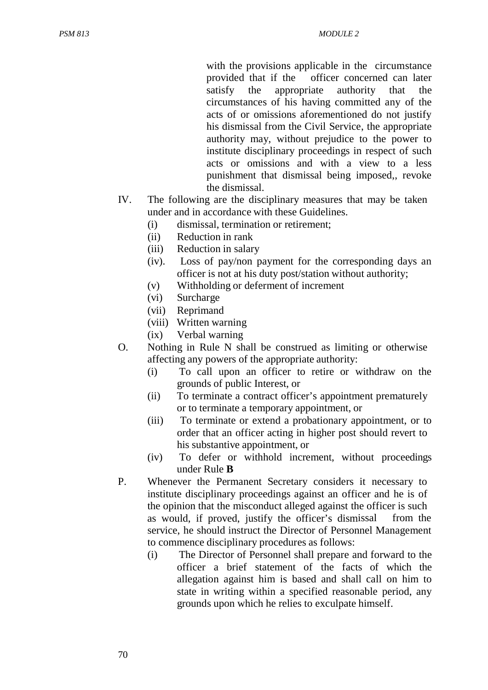with the provisions applicable in the circumstance provided that if the officer concerned can later satisfy the appropriate authority that the circumstances of his having committed any of the acts of or omissions aforementioned do not justify his dismissal from the Civil Service, the appropriate authority may, without prejudice to the power to institute disciplinary proceedings in respect of such acts or omissions and with a view to a less punishment that dismissal being imposed,, revoke the dismissal.

- IV. The following are the disciplinary measures that may be taken under and in accordance with these Guidelines.
	- (i) dismissal, termination or retirement;
	- (ii) Reduction in rank
	- (iii) Reduction in salary
	- (iv). Loss of pay/non payment for the corresponding days an officer is not at his duty post/station without authority;
	- (v) Withholding or deferment of increment
	- (vi) Surcharge
	- (vii) Reprimand
	- (viii) Written warning
	- (ix) Verbal warning
- O. Nothing in Rule N shall be construed as limiting or otherwise affecting any powers of the appropriate authority:
	- (i) To call upon an officer to retire or withdraw on the grounds of public Interest, or
	- (ii) To terminate a contract officer's appointment prematurely or to terminate a temporary appointment, or
	- (iii) To terminate or extend a probationary appointment, or to order that an officer acting in higher post should revert to his substantive appointment, or
	- (iv) To defer or withhold increment, without proceedings under Rule **B**
- P. Whenever the Permanent Secretary considers it necessary to institute disciplinary proceedings against an officer and he is of the opinion that the misconduct alleged against the officer is such as would, if proved, justify the officer's dismissal from the service, he should instruct the Director of Personnel Management to commence disciplinary procedures as follows:
	- (i) The Director of Personnel shall prepare and forward to the officer a brief statement of the facts of which the allegation against him is based and shall call on him to state in writing within a specified reasonable period, any grounds upon which he relies to exculpate himself.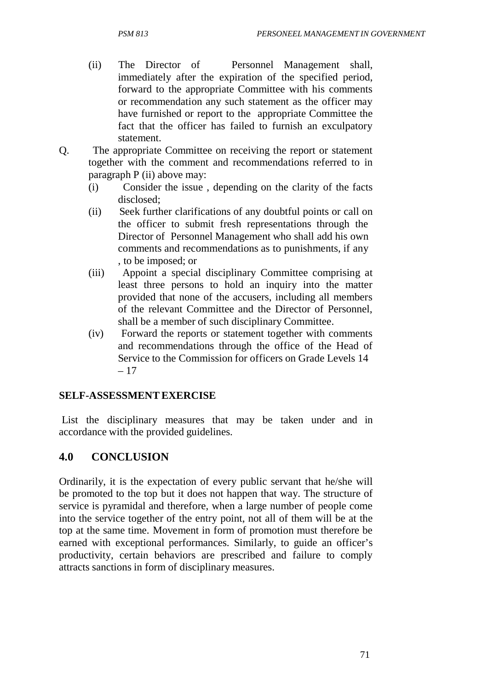- (ii) The Director of Personnel Management shall, immediately after the expiration of the specified period, forward to the appropriate Committee with his comments or recommendation any such statement as the officer may have furnished or report to the appropriate Committee the fact that the officer has failed to furnish an exculpatory statement.
- Q. The appropriate Committee on receiving the report or statement together with the comment and recommendations referred to in paragraph P (ii) above may:
	- (i) Consider the issue , depending on the clarity of the facts disclosed;
	- (ii) Seek further clarifications of any doubtful points or call on the officer to submit fresh representations through the Director of Personnel Management who shall add his own comments and recommendations as to punishments, if any , to be imposed; or
	- (iii) Appoint a special disciplinary Committee comprising at least three persons to hold an inquiry into the matter provided that none of the accusers, including all members of the relevant Committee and the Director of Personnel, shall be a member of such disciplinary Committee.
	- (iv) Forward the reports or statement together with comments and recommendations through the office of the Head of Service to the Commission for officers on Grade Levels 14 – 17

## **SELF-ASSESSMENTEXERCISE**

List the disciplinary measures that may be taken under and in accordance with the provided guidelines.

# **4.0 CONCLUSION**

Ordinarily, it is the expectation of every public servant that he/she will be promoted to the top but it does not happen that way. The structure of service is pyramidal and therefore, when a large number of people come into the service together of the entry point, not all of them will be at the top at the same time. Movement in form of promotion must therefore be earned with exceptional performances. Similarly, to guide an officer's productivity, certain behaviors are prescribed and failure to comply attracts sanctions in form of disciplinary measures.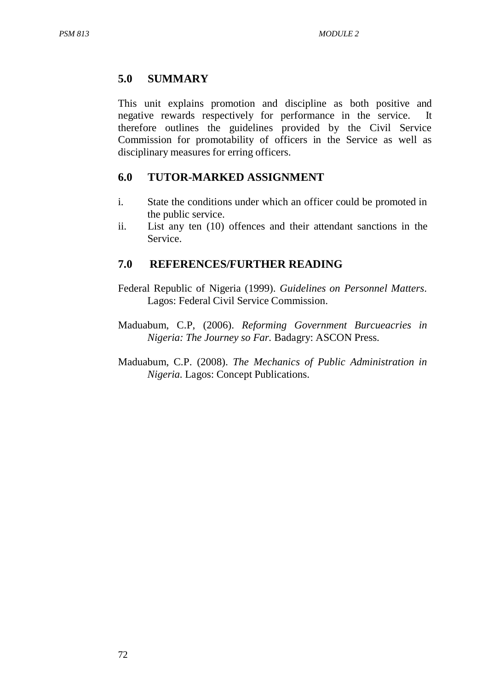### **5.0 SUMMARY**

This unit explains promotion and discipline as both positive and negative rewards respectively for performance in the service. It therefore outlines the guidelines provided by the Civil Service Commission for promotability of officers in the Service as well as disciplinary measures for erring officers.

### **6.0 TUTOR-MARKED ASSIGNMENT**

- i. State the conditions under which an officer could be promoted in the public service.
- ii. List any ten (10) offences and their attendant sanctions in the Service.

### **7.0 REFERENCES/FURTHER READING**

- Federal Republic of Nigeria (1999). *Guidelines on Personnel Matters*. Lagos: Federal Civil Service Commission.
- Maduabum, C.P, (2006). *Reforming Government Burcueacries in Nigeria: The Journey so Far.* Badagry: ASCON Press.
- Maduabum, C.P. (2008). *The Mechanics of Public Administration in Nigeria.* Lagos: Concept Publications.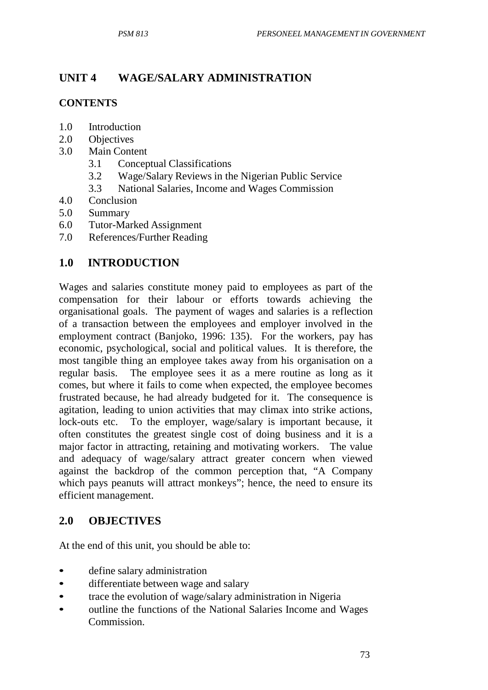# **UNIT 4 WAGE/SALARY ADMINISTRATION**

## **CONTENTS**

- 1.0 Introduction
- 2.0 Objectives
- 3.0 Main Content
	- 3.1 Conceptual Classifications
	- 3.2 Wage/Salary Reviews in the Nigerian Public Service
	- 3.3 National Salaries, Income and Wages Commission
- 4.0 Conclusion
- 5.0 Summary
- 6.0 Tutor-Marked Assignment
- 7.0 References/Further Reading

## **1.0 INTRODUCTION**

Wages and salaries constitute money paid to employees as part of the compensation for their labour or efforts towards achieving the organisational goals. The payment of wages and salaries is a reflection of a transaction between the employees and employer involved in the employment contract (Banjoko, 1996: 135). For the workers, pay has economic, psychological, social and political values. It is therefore, the most tangible thing an employee takes away from his organisation on a regular basis. The employee sees it as a mere routine as long as it comes, but where it fails to come when expected, the employee becomes frustrated because, he had already budgeted for it. The consequence is agitation, leading to union activities that may climax into strike actions, lock-outs etc. To the employer, wage/salary is important because, it often constitutes the greatest single cost of doing business and it is a major factor in attracting, retaining and motivating workers. The value and adequacy of wage/salary attract greater concern when viewed against the backdrop of the common perception that, "A Company which pays peanuts will attract monkeys"; hence, the need to ensure its efficient management.

## **2.0 OBJECTIVES**

At the end of this unit, you should be able to:

- define salary administration
- differentiate between wage and salary
- trace the evolution of wage/salary administration in Nigeria
- outline the functions of the National Salaries Income and Wages Commission.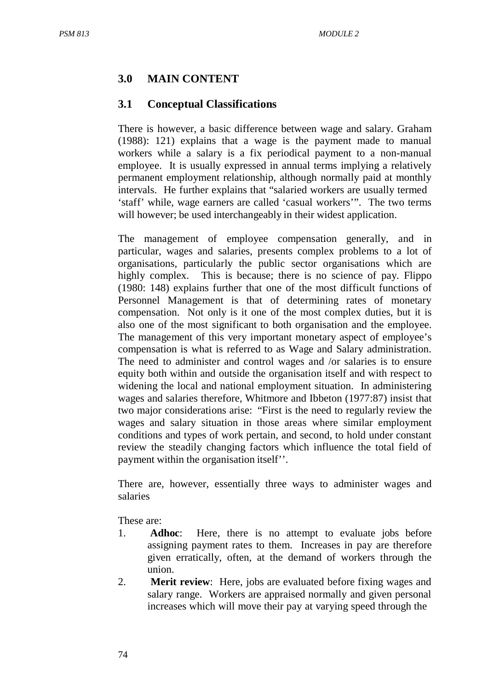### **3.0 MAIN CONTENT**

### **3.1 Conceptual Classifications**

There is however, a basic difference between wage and salary. Graham (1988): 121) explains that a wage is the payment made to manual workers while a salary is a fix periodical payment to a non-manual employee. It is usually expressed in annual terms implying a relatively permanent employment relationship, although normally paid at monthly intervals. He further explains that "salaried workers are usually termed 'staff' while, wage earners are called 'casual workers'". The two terms will however; be used interchangeably in their widest application.

The management of employee compensation generally, and in particular, wages and salaries, presents complex problems to a lot of organisations, particularly the public sector organisations which are highly complex. This is because; there is no science of pay. Flippo (1980: 148) explains further that one of the most difficult functions of Personnel Management is that of determining rates of monetary compensation. Not only is it one of the most complex duties, but it is also one of the most significant to both organisation and the employee. The management of this very important monetary aspect of employee's compensation is what is referred to as Wage and Salary administration. The need to administer and control wages and /or salaries is to ensure equity both within and outside the organisation itself and with respect to widening the local and national employment situation. In administering wages and salaries therefore, Whitmore and Ibbeton (1977:87) insist that two major considerations arise: "First is the need to regularly review the wages and salary situation in those areas where similar employment conditions and types of work pertain, and second, to hold under constant review the steadily changing factors which influence the total field of payment within the organisation itself''.

There are, however, essentially three ways to administer wages and salaries

These are:

- 1. **Adhoc**: Here, there is no attempt to evaluate jobs before assigning payment rates to them. Increases in pay are therefore given erratically, often, at the demand of workers through the union.
- 2. **Merit review**: Here, jobs are evaluated before fixing wages and salary range. Workers are appraised normally and given personal increases which will move their pay at varying speed through the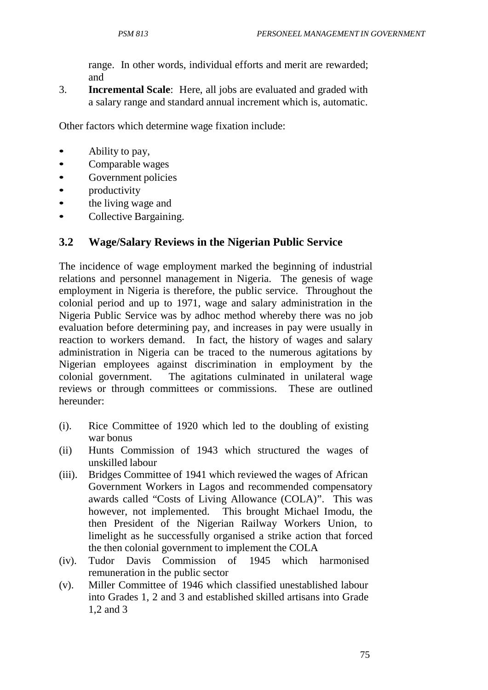range. In other words, individual efforts and merit are rewarded; and

3. **Incremental Scale**: Here, all jobs are evaluated and graded with a salary range and standard annual increment which is, automatic.

Other factors which determine wage fixation include:

- Ability to pay,
- Comparable wages
- Government policies
- productivity
- the living wage and
- Collective Bargaining.

## **3.2 Wage/Salary Reviews in the Nigerian Public Service**

The incidence of wage employment marked the beginning of industrial relations and personnel management in Nigeria. The genesis of wage employment in Nigeria is therefore, the public service. Throughout the colonial period and up to 1971, wage and salary administration in the Nigeria Public Service was by adhoc method whereby there was no job evaluation before determining pay, and increases in pay were usually in reaction to workers demand. In fact, the history of wages and salary administration in Nigeria can be traced to the numerous agitations by Nigerian employees against discrimination in employment by the colonial government. The agitations culminated in unilateral wage reviews or through committees or commissions. These are outlined hereunder:

- (i). Rice Committee of 1920 which led to the doubling of existing war bonus
- (ii) Hunts Commission of 1943 which structured the wages of unskilled labour
- (iii). Bridges Committee of 1941 which reviewed the wages of African Government Workers in Lagos and recommended compensatory awards called "Costs of Living Allowance (COLA)". This was however, not implemented. This brought Michael Imodu, the then President of the Nigerian Railway Workers Union, to limelight as he successfully organised a strike action that forced the then colonial government to implement the COLA
- (iv). Tudor Davis Commission of 1945 which harmonised remuneration in the public sector
- (v). Miller Committee of 1946 which classified unestablished labour into Grades 1, 2 and 3 and established skilled artisans into Grade 1,2 and 3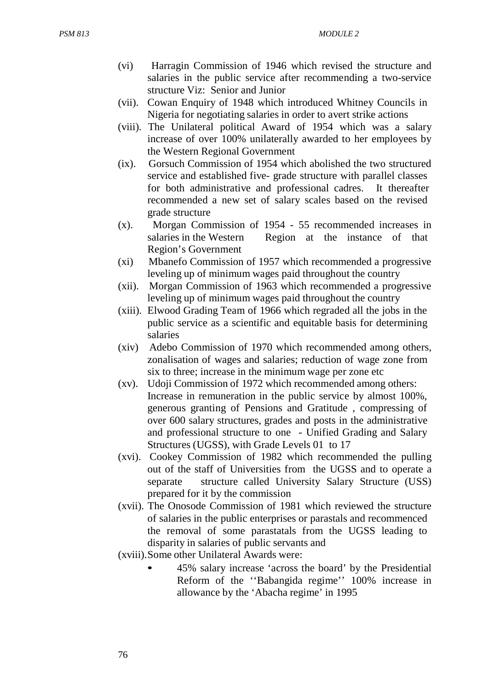*PSM 813 MODULE 2*

- (vi) Harragin Commission of 1946 which revised the structure and salaries in the public service after recommending a two-service structure Viz: Senior and Junior
- (vii). Cowan Enquiry of 1948 which introduced Whitney Councils in Nigeria for negotiating salaries in order to avert strike actions
- (viii). The Unilateral political Award of 1954 which was a salary increase of over 100% unilaterally awarded to her employees by the Western Regional Government
- (ix). Gorsuch Commission of 1954 which abolished the two structured service and established five- grade structure with parallel classes for both administrative and professional cadres. It thereafter recommended a new set of salary scales based on the revised grade structure
- (x). Morgan Commission of 1954 55 recommended increases in salaries in the Western Region at the instance of that Region's Government
- (xi) Mbanefo Commission of 1957 which recommended a progressive leveling up of minimum wages paid throughout the country
- (xii). Morgan Commission of 1963 which recommended a progressive leveling up of minimum wages paid throughout the country
- (xiii). Elwood Grading Team of 1966 which regraded all the jobs in the public service as a scientific and equitable basis for determining salaries
- (xiv) Adebo Commission of 1970 which recommended among others, zonalisation of wages and salaries; reduction of wage zone from six to three; increase in the minimum wage per zone etc
- (xv). Udoji Commission of 1972 which recommended among others: Increase in remuneration in the public service by almost 100%, generous granting of Pensions and Gratitude , compressing of over 600 salary structures, grades and posts in the administrative and professional structure to one - Unified Grading and Salary Structures (UGSS), with Grade Levels 01 to 17
- (xvi). Cookey Commission of 1982 which recommended the pulling out of the staff of Universities from the UGSS and to operate a separate structure called University Salary Structure (USS) prepared for it by the commission
- (xvii). The Onosode Commission of 1981 which reviewed the structure of salaries in the public enterprises or parastals and recommenced the removal of some parastatals from the UGSS leading to disparity in salaries of public servants and
- (xviii).Some other Unilateral Awards were:
	- 45% salary increase 'across the board' by the Presidential Reform of the ''Babangida regime'' 100% increase in allowance by the 'Abacha regime' in 1995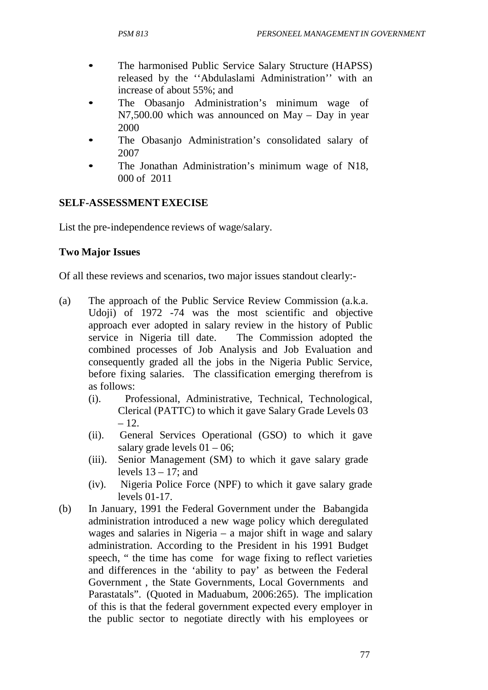- The harmonised Public Service Salary Structure (HAPSS) released by the ''Abdulaslami Administration'' with an increase of about 55%; and
- The Obasanjo Administration's minimum wage of N7,500.00 which was announced on May – Day in year 2000
- The Obasanio Administration's consolidated salary of 2007
- The Jonathan Administration's minimum wage of N18, 000 of 2011

### **SELF-ASSESSMENTEXECISE**

List the pre-independence reviews of wage/salary.

### **Two Major Issues**

Of all these reviews and scenarios, two major issues standout clearly:-

- (a) The approach of the Public Service Review Commission (a.k.a. Udoji) of 1972 -74 was the most scientific and objective approach ever adopted in salary review in the history of Public service in Nigeria till date. The Commission adopted the combined processes of Job Analysis and Job Evaluation and consequently graded all the jobs in the Nigeria Public Service, before fixing salaries. The classification emerging therefrom is as follows:
	- (i). Professional, Administrative, Technical, Technological, Clerical (PATTC) to which it gave Salary Grade Levels 03 – 12.
	- (ii). General Services Operational (GSO) to which it gave salary grade levels  $01 - 06$ ;
	- (iii). Senior Management (SM) to which it gave salary grade levels  $13 - 17$ ; and
	- (iv). Nigeria Police Force (NPF) to which it gave salary grade levels 01-17.
- (b) In January, 1991 the Federal Government under the Babangida administration introduced a new wage policy which deregulated wages and salaries in Nigeria – a major shift in wage and salary administration. According to the President in his 1991 Budget speech, " the time has come for wage fixing to reflect varieties and differences in the 'ability to pay' as between the Federal Government , the State Governments, Local Governments and Parastatals". (Quoted in Maduabum, 2006:265). The implication of this is that the federal government expected every employer in the public sector to negotiate directly with his employees or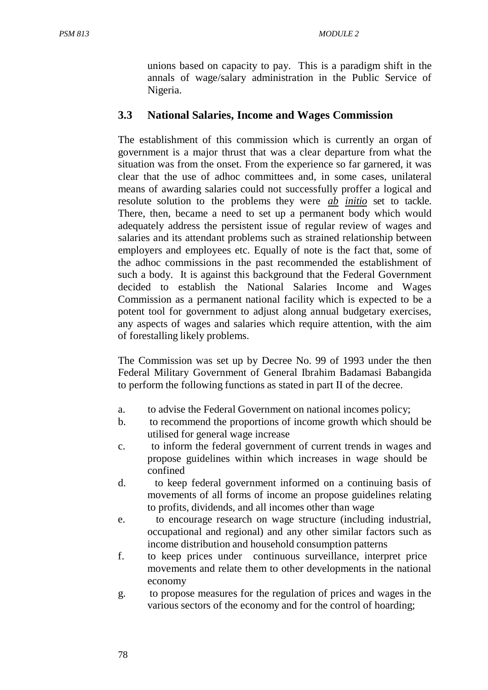unions based on capacity to pay. This is a paradigm shift in the annals of wage/salary administration in the Public Service of Nigeria.

#### **3.3 National Salaries, Income and Wages Commission**

The establishment of this commission which is currently an organ of government is a major thrust that was a clear departure from what the situation was from the onset. From the experience so far garnered, it was clear that the use of adhoc committees and, in some cases, unilateral means of awarding salaries could not successfully proffer a logical and resolute solution to the problems they were *ab initio* set to tackle. There, then, became a need to set up a permanent body which would adequately address the persistent issue of regular review of wages and salaries and its attendant problems such as strained relationship between employers and employees etc. Equally of note is the fact that, some of the adhoc commissions in the past recommended the establishment of such a body. It is against this background that the Federal Government decided to establish the National Salaries Income and Wages Commission as a permanent national facility which is expected to be a potent tool for government to adjust along annual budgetary exercises, any aspects of wages and salaries which require attention, with the aim of forestalling likely problems.

The Commission was set up by Decree No. 99 of 1993 under the then Federal Military Government of General Ibrahim Badamasi Babangida to perform the following functions as stated in part II of the decree.

- a. to advise the Federal Government on national incomes policy;
- b. to recommend the proportions of income growth which should be utilised for general wage increase
- c. to inform the federal government of current trends in wages and propose guidelines within which increases in wage should be confined
- d. to keep federal government informed on a continuing basis of movements of all forms of income an propose guidelines relating to profits, dividends, and all incomes other than wage
- e. to encourage research on wage structure (including industrial, occupational and regional) and any other similar factors such as income distribution and household consumption patterns
- f. to keep prices under continuous surveillance, interpret price movements and relate them to other developments in the national economy
- g. to propose measures for the regulation of prices and wages in the various sectors of the economy and for the control of hoarding;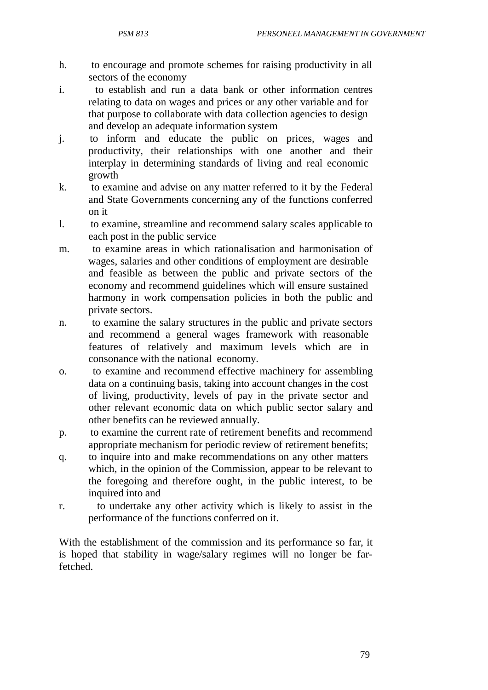- h. to encourage and promote schemes for raising productivity in all sectors of the economy
- i. to establish and run a data bank or other information centres relating to data on wages and prices or any other variable and for that purpose to collaborate with data collection agencies to design and develop an adequate information system
- j. to inform and educate the public on prices, wages and productivity, their relationships with one another and their interplay in determining standards of living and real economic growth
- k. to examine and advise on any matter referred to it by the Federal and State Governments concerning any of the functions conferred on it
- l. to examine, streamline and recommend salary scales applicable to each post in the public service
- m. to examine areas in which rationalisation and harmonisation of wages, salaries and other conditions of employment are desirable and feasible as between the public and private sectors of the economy and recommend guidelines which will ensure sustained harmony in work compensation policies in both the public and private sectors.
- n. to examine the salary structures in the public and private sectors and recommend a general wages framework with reasonable features of relatively and maximum levels which are in consonance with the national economy.
- o. to examine and recommend effective machinery for assembling data on a continuing basis, taking into account changes in the cost of living, productivity, levels of pay in the private sector and other relevant economic data on which public sector salary and other benefits can be reviewed annually.
- p. to examine the current rate of retirement benefits and recommend appropriate mechanism for periodic review of retirement benefits;
- q. to inquire into and make recommendations on any other matters which, in the opinion of the Commission, appear to be relevant to the foregoing and therefore ought, in the public interest, to be inquired into and
- r. to undertake any other activity which is likely to assist in the performance of the functions conferred on it.

With the establishment of the commission and its performance so far, it is hoped that stability in wage/salary regimes will no longer be farfetched.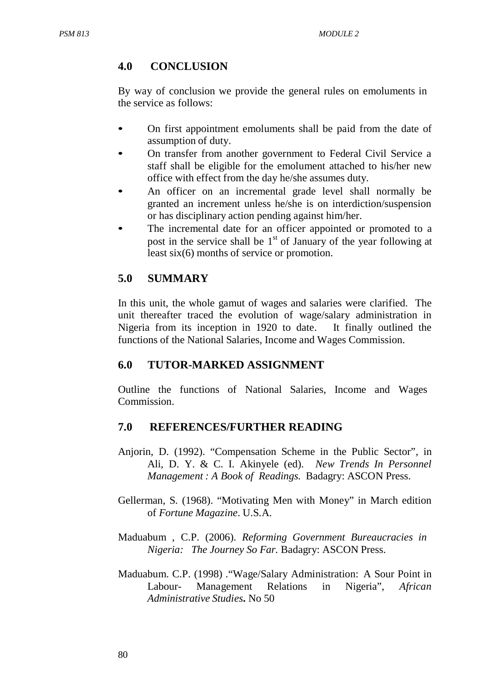## **4.0 CONCLUSION**

By way of conclusion we provide the general rules on emoluments in the service as follows:

- On first appointment emoluments shall be paid from the date of assumption of duty.
- On transfer from another government to Federal Civil Service a staff shall be eligible for the emolument attached to his/her new office with effect from the day he/she assumes duty.
- An officer on an incremental grade level shall normally be granted an increment unless he/she is on interdiction/suspension or has disciplinary action pending against him/her.
- The incremental date for an officer appointed or promoted to a post in the service shall be  $1<sup>st</sup>$  of January of the year following at least six(6) months of service or promotion.

## **5.0 SUMMARY**

In this unit, the whole gamut of wages and salaries were clarified. The unit thereafter traced the evolution of wage/salary administration in Nigeria from its inception in 1920 to date. It finally outlined the functions of the National Salaries, Income and Wages Commission.

## **6.0 TUTOR-MARKED ASSIGNMENT**

Outline the functions of National Salaries, Income and Wages Commission.

## **7.0 REFERENCES/FURTHER READING**

- Anjorin, D. (1992). "Compensation Scheme in the Public Sector", in Ali, D. Y. & C. I. Akinyele (ed). *New Trends In Personnel Management : A Book of Readings.* Badagry: ASCON Press.
- Gellerman, S. (1968). "Motivating Men with Money" in March edition of *Fortune Magazine*. U.S.A.
- Maduabum , C.P. (2006). *Reforming Government Bureaucracies in Nigeria: The Journey So Far.* Badagry: ASCON Press.
- Maduabum. C.P. (1998) ."Wage/Salary Administration: A Sour Point in Labour- Management Relations in Nigeria", *African Administrative Studies***.** No 50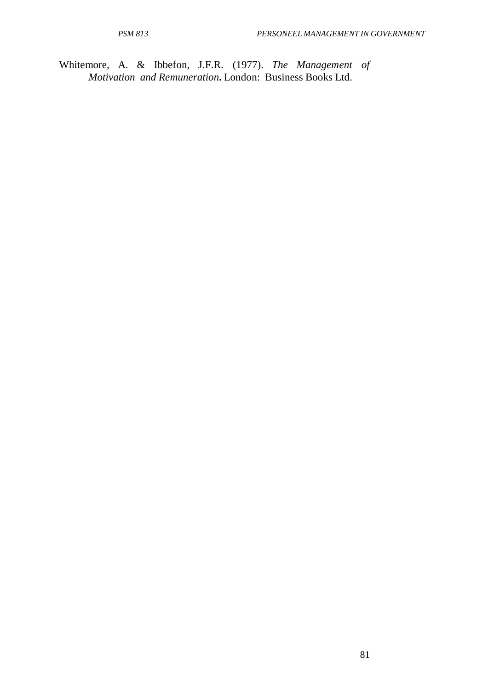Whitemore, A. & Ibbefon, J.F.R. (1977). *The Management of Motivation and Remuneration***.** London: Business Books Ltd.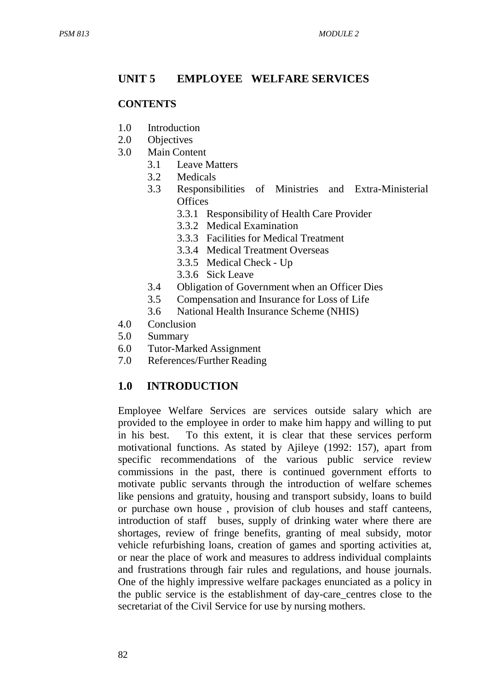### **UNIT 5 EMPLOYEE WELFARE SERVICES**

#### **CONTENTS**

- 1.0 Introduction
- 2.0 Objectives
- 3.0 Main Content
	- 3.1 Leave Matters
	- 3.2 Medicals
	- 3.3 Responsibilities of Ministries and Extra-Ministerial **Offices** 
		- 3.3.1 Responsibility of Health Care Provider
		- 3.3.2 Medical Examination
		- 3.3.3 Facilities for Medical Treatment
		- 3.3.4 Medical Treatment Overseas
		- 3.3.5 Medical Check Up
		- 3.3.6 Sick Leave
	- 3.4 Obligation of Government when an Officer Dies
	- 3.5 Compensation and Insurance for Loss of Life
	- 3.6 National Health Insurance Scheme (NHIS)
- 4.0 Conclusion
- 5.0 Summary
- 6.0 Tutor-Marked Assignment
- 7.0 References/Further Reading

## **1.0 INTRODUCTION**

Employee Welfare Services are services outside salary which are provided to the employee in order to make him happy and willing to put in his best. To this extent, it is clear that these services perform motivational functions. As stated by Ajileye (1992: 157), apart from specific recommendations of the various public service review commissions in the past, there is continued government efforts to motivate public servants through the introduction of welfare schemes like pensions and gratuity, housing and transport subsidy, loans to build or purchase own house , provision of club houses and staff canteens, introduction of staff buses, supply of drinking water where there are shortages, review of fringe benefits, granting of meal subsidy, motor vehicle refurbishing loans, creation of games and sporting activities at, or near the place of work and measures to address individual complaints and frustrations through fair rules and regulations, and house journals. One of the highly impressive welfare packages enunciated as a policy in the public service is the establishment of day-care\_centres close to the secretariat of the Civil Service for use by nursing mothers.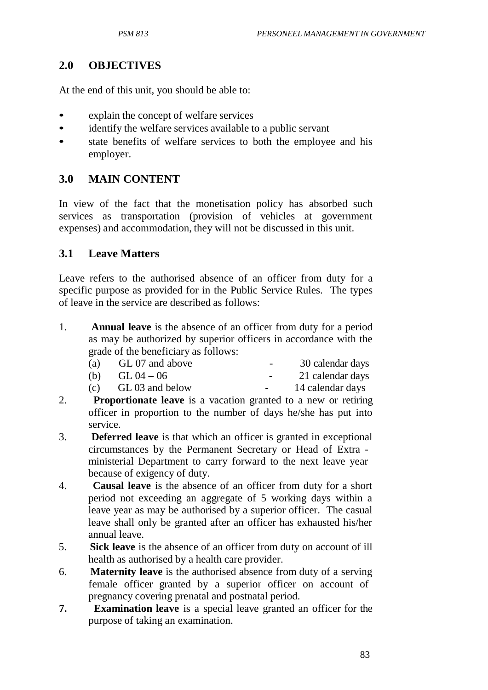## **2.0 OBJECTIVES**

At the end of this unit, you should be able to:

- explain the concept of welfare services
- identify the welfare services available to a public servant
- state benefits of welfare services to both the employee and his employer.

# **3.0 MAIN CONTENT**

In view of the fact that the monetisation policy has absorbed such services as transportation (provision of vehicles at government expenses) and accommodation, they will not be discussed in this unit.

## **3.1 Leave Matters**

Leave refers to the authorised absence of an officer from duty for a specific purpose as provided for in the Public Service Rules. The types of leave in the service are described as follows:

1. **Annual leave** is the absence of an officer from duty for a period as may be authorized by superior officers in accordance with the grade of the beneficiary as follows:

| __  |                 |                  |
|-----|-----------------|------------------|
| (a) | GL 07 and above | 30 calendar days |

- (b) GL  $04 06$  21 calendar days
- (c) GL 03 and below 14 calendar days
- 2. **Proportionate leave** is a vacation granted to a new or retiring officer in proportion to the number of days he/she has put into service.
- 3. **Deferred leave** is that which an officer is granted in exceptional circumstances by the Permanent Secretary or Head of Extra ministerial Department to carry forward to the next leave year because of exigency of duty.
- 4. **Causal leave** is the absence of an officer from duty for a short period not exceeding an aggregate of 5 working days within a leave year as may be authorised by a superior officer. The casual leave shall only be granted after an officer has exhausted his/her annual leave.
- 5. **Sick leave** is the absence of an officer from duty on account of ill health as authorised by a health care provider.
- 6. **Maternity leave** is the authorised absence from duty of a serving female officer granted by a superior officer on account of pregnancy covering prenatal and postnatal period.
- **7. Examination leave** is a special leave granted an officer for the purpose of taking an examination.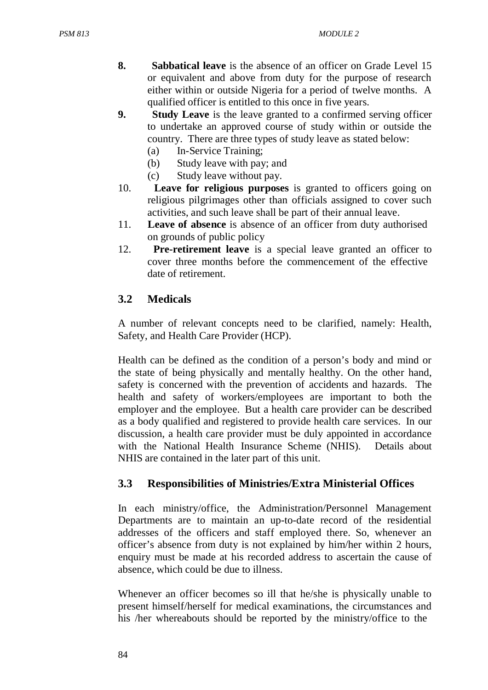- **8. Sabbatical leave** is the absence of an officer on Grade Level 15 or equivalent and above from duty for the purpose of research either within or outside Nigeria for a period of twelve months. A qualified officer is entitled to this once in five years.
- **9. Study Leave** is the leave granted to a confirmed serving officer to undertake an approved course of study within or outside the country. There are three types of study leave as stated below:
	- (a) In-Service Training;
	- (b) Study leave with pay; and
	- (c) Study leave without pay.
- 10. **Leave for religious purposes** is granted to officers going on religious pilgrimages other than officials assigned to cover such activities, and such leave shall be part of their annual leave.
- 11. **Leave of absence** is absence of an officer from duty authorised on grounds of public policy
- 12. **Pre-retirement leave** is a special leave granted an officer to cover three months before the commencement of the effective date of retirement.

## **3.2 Medicals**

A number of relevant concepts need to be clarified, namely: Health, Safety, and Health Care Provider (HCP).

Health can be defined as the condition of a person's body and mind or the state of being physically and mentally healthy. On the other hand, safety is concerned with the prevention of accidents and hazards. The health and safety of workers/employees are important to both the employer and the employee. But a health care provider can be described as a body qualified and registered to provide health care services. In our discussion, a health care provider must be duly appointed in accordance with the National Health Insurance Scheme (NHIS). Details about NHIS are contained in the later part of this unit.

## **3.3 Responsibilities of Ministries/Extra Ministerial Offices**

In each ministry/office, the Administration/Personnel Management Departments are to maintain an up-to-date record of the residential addresses of the officers and staff employed there. So, whenever an officer's absence from duty is not explained by him/her within 2 hours, enquiry must be made at his recorded address to ascertain the cause of absence, which could be due to illness.

Whenever an officer becomes so ill that he/she is physically unable to present himself/herself for medical examinations, the circumstances and his /her whereabouts should be reported by the ministry/office to the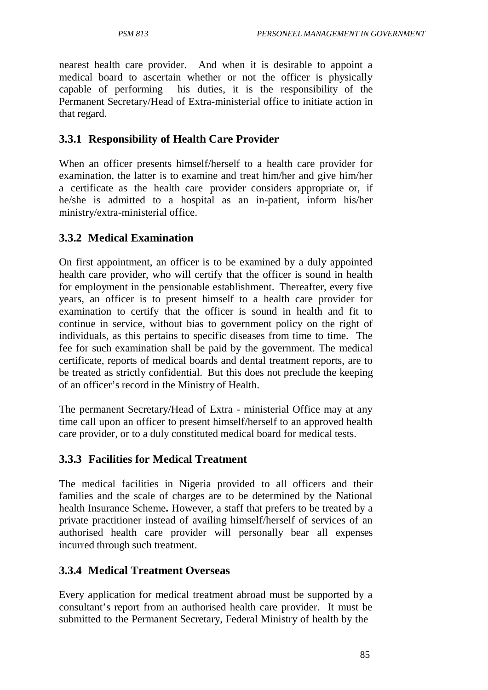nearest health care provider. And when it is desirable to appoint a medical board to ascertain whether or not the officer is physically capable of performing his duties, it is the responsibility of the Permanent Secretary/Head of Extra-ministerial office to initiate action in that regard.

## **3.3.1 Responsibility of Health Care Provider**

When an officer presents himself/herself to a health care provider for examination, the latter is to examine and treat him/her and give him/her a certificate as the health care provider considers appropriate or, if he/she is admitted to a hospital as an in-patient, inform his/her ministry/extra-ministerial office.

# **3.3.2 Medical Examination**

On first appointment, an officer is to be examined by a duly appointed health care provider, who will certify that the officer is sound in health for employment in the pensionable establishment. Thereafter, every five years, an officer is to present himself to a health care provider for examination to certify that the officer is sound in health and fit to continue in service, without bias to government policy on the right of individuals, as this pertains to specific diseases from time to time. The fee for such examination shall be paid by the government. The medical certificate, reports of medical boards and dental treatment reports, are to be treated as strictly confidential. But this does not preclude the keeping of an officer's record in the Ministry of Health.

The permanent Secretary/Head of Extra - ministerial Office may at any time call upon an officer to present himself/herself to an approved health care provider, or to a duly constituted medical board for medical tests.

# **3.3.3 Facilities for Medical Treatment**

The medical facilities in Nigeria provided to all officers and their families and the scale of charges are to be determined by the National health Insurance Scheme**.** However, a staff that prefers to be treated by a private practitioner instead of availing himself/herself of services of an authorised health care provider will personally bear all expenses incurred through such treatment.

# **3.3.4 Medical Treatment Overseas**

Every application for medical treatment abroad must be supported by a consultant's report from an authorised health care provider. It must be submitted to the Permanent Secretary, Federal Ministry of health by the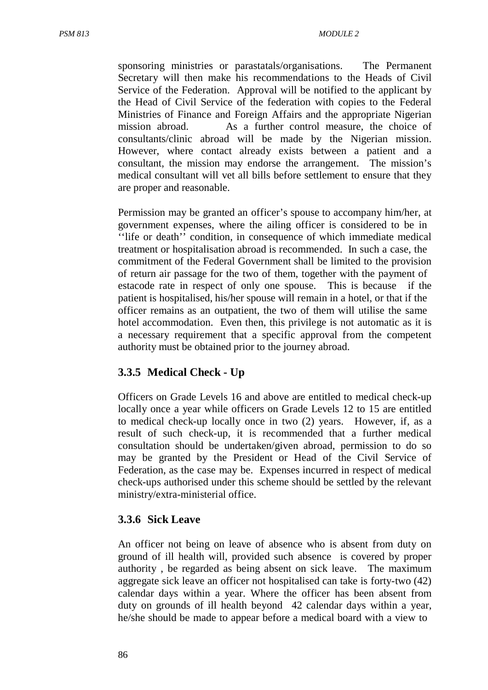sponsoring ministries or parastatals/organisations. The Permanent Secretary will then make his recommendations to the Heads of Civil Service of the Federation. Approval will be notified to the applicant by the Head of Civil Service of the federation with copies to the Federal Ministries of Finance and Foreign Affairs and the appropriate Nigerian mission abroad. As a further control measure, the choice of consultants/clinic abroad will be made by the Nigerian mission. However, where contact already exists between a patient and a consultant, the mission may endorse the arrangement. The mission's medical consultant will vet all bills before settlement to ensure that they are proper and reasonable.

Permission may be granted an officer's spouse to accompany him/her, at government expenses, where the ailing officer is considered to be in ''life or death'' condition, in consequence of which immediate medical treatment or hospitalisation abroad is recommended. In such a case, the commitment of the Federal Government shall be limited to the provision of return air passage for the two of them, together with the payment of estacode rate in respect of only one spouse. This is because if the patient is hospitalised, his/her spouse will remain in a hotel, or that if the officer remains as an outpatient, the two of them will utilise the same hotel accommodation. Even then, this privilege is not automatic as it is a necessary requirement that a specific approval from the competent authority must be obtained prior to the journey abroad.

## **3.3.5 Medical Check - Up**

Officers on Grade Levels 16 and above are entitled to medical check-up locally once a year while officers on Grade Levels 12 to 15 are entitled to medical check-up locally once in two (2) years. However, if, as a result of such check-up, it is recommended that a further medical consultation should be undertaken/given abroad, permission to do so may be granted by the President or Head of the Civil Service of Federation, as the case may be. Expenses incurred in respect of medical check-ups authorised under this scheme should be settled by the relevant ministry/extra-ministerial office.

### **3.3.6 Sick Leave**

An officer not being on leave of absence who is absent from duty on ground of ill health will, provided such absence is covered by proper authority , be regarded as being absent on sick leave. The maximum aggregate sick leave an officer not hospitalised can take is forty-two (42) calendar days within a year. Where the officer has been absent from duty on grounds of ill health beyond 42 calendar days within a year, he/she should be made to appear before a medical board with a view to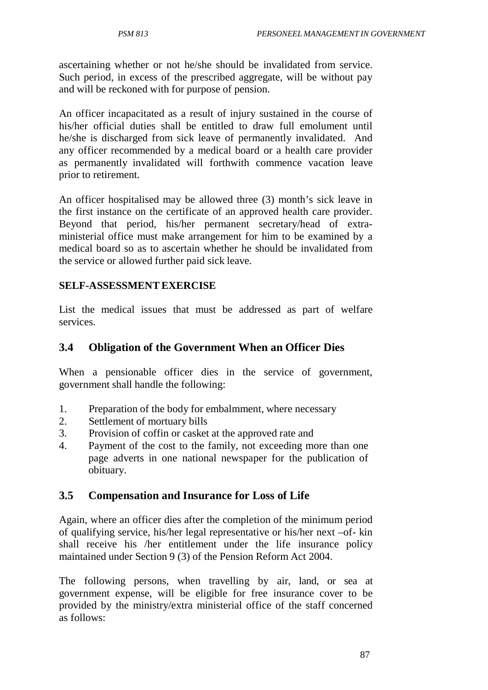ascertaining whether or not he/she should be invalidated from service. Such period, in excess of the prescribed aggregate, will be without pay and will be reckoned with for purpose of pension.

An officer incapacitated as a result of injury sustained in the course of his/her official duties shall be entitled to draw full emolument until he/she is discharged from sick leave of permanently invalidated. And any officer recommended by a medical board or a health care provider as permanently invalidated will forthwith commence vacation leave prior to retirement.

An officer hospitalised may be allowed three (3) month's sick leave in the first instance on the certificate of an approved health care provider. Beyond that period, his/her permanent secretary/head of extraministerial office must make arrangement for him to be examined by a medical board so as to ascertain whether he should be invalidated from the service or allowed further paid sick leave.

### **SELF-ASSESSMENTEXERCISE**

List the medical issues that must be addressed as part of welfare services.

## **3.4 Obligation of the Government When an Officer Dies**

When a pensionable officer dies in the service of government, government shall handle the following:

- 1. Preparation of the body for embalmment, where necessary
- 2. Settlement of mortuary bills
- 3. Provision of coffin or casket at the approved rate and
- 4. Payment of the cost to the family, not exceeding more than one page adverts in one national newspaper for the publication of obituary.

## **3.5 Compensation and Insurance for Loss of Life**

Again, where an officer dies after the completion of the minimum period of qualifying service, his/her legal representative or his/her next –of- kin shall receive his /her entitlement under the life insurance policy maintained under Section 9 (3) of the Pension Reform Act 2004.

The following persons, when travelling by air, land, or sea at government expense, will be eligible for free insurance cover to be provided by the ministry/extra ministerial office of the staff concerned as follows: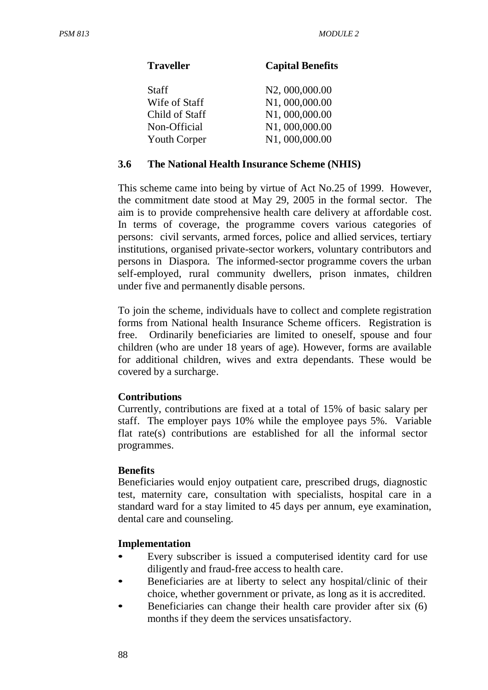| <b>Traveller</b>    | <b>Capital Benefits</b> |
|---------------------|-------------------------|
| <b>Staff</b>        | N2, 000,000.00          |
| Wife of Staff       | N1,000,000.00           |
| Child of Staff      | N1,000,000.00           |
| Non-Official        | N1,000,000.00           |
| <b>Youth Corper</b> | N1,000,000.00           |
|                     |                         |

#### **3.6 The National Health Insurance Scheme (NHIS)**

This scheme came into being by virtue of Act No.25 of 1999. However, the commitment date stood at May 29, 2005 in the formal sector. The aim is to provide comprehensive health care delivery at affordable cost. In terms of coverage, the programme covers various categories of persons: civil servants, armed forces, police and allied services, tertiary institutions, organised private-sector workers, voluntary contributors and persons in Diaspora. The informed-sector programme covers the urban self-employed, rural community dwellers, prison inmates, children under five and permanently disable persons.

To join the scheme, individuals have to collect and complete registration forms from National health Insurance Scheme officers. Registration is free. Ordinarily beneficiaries are limited to oneself, spouse and four children (who are under 18 years of age). However, forms are available for additional children, wives and extra dependants. These would be covered by a surcharge.

### **Contributions**

Currently, contributions are fixed at a total of 15% of basic salary per staff. The employer pays 10% while the employee pays 5%. Variable flat rate(s) contributions are established for all the informal sector programmes.

#### **Benefits**

Beneficiaries would enjoy outpatient care, prescribed drugs, diagnostic test, maternity care, consultation with specialists, hospital care in a standard ward for a stay limited to 45 days per annum, eye examination, dental care and counseling.

#### **Implementation**

- Every subscriber is issued a computerised identity card for use diligently and fraud-free access to health care.
- Beneficiaries are at liberty to select any hospital/clinic of their choice, whether government or private, as long as it is accredited.
- Beneficiaries can change their health care provider after six (6) months if they deem the services unsatisfactory.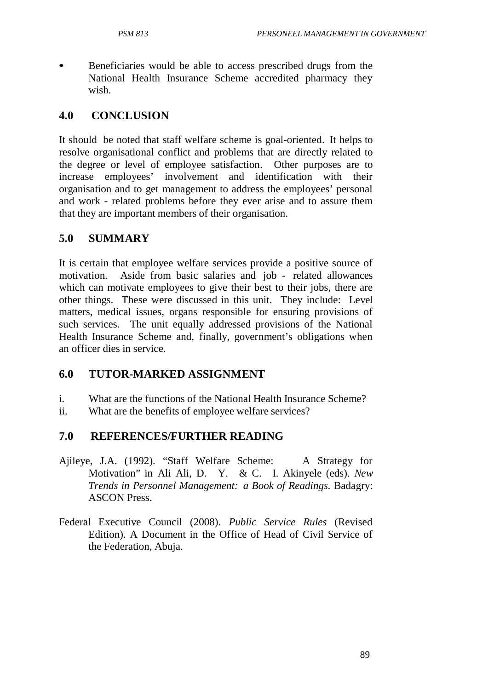• Beneficiaries would be able to access prescribed drugs from the National Health Insurance Scheme accredited pharmacy they wish.

## **4.0 CONCLUSION**

It should be noted that staff welfare scheme is goal-oriented. It helps to resolve organisational conflict and problems that are directly related to the degree or level of employee satisfaction. Other purposes are to increase employees' involvement and identification with their organisation and to get management to address the employees' personal and work - related problems before they ever arise and to assure them that they are important members of their organisation.

## **5.0 SUMMARY**

It is certain that employee welfare services provide a positive source of motivation. Aside from basic salaries and job - related allowances which can motivate employees to give their best to their jobs, there are other things. These were discussed in this unit. They include: Level matters, medical issues, organs responsible for ensuring provisions of such services. The unit equally addressed provisions of the National Health Insurance Scheme and, finally, government's obligations when an officer dies in service.

## **6.0 TUTOR-MARKED ASSIGNMENT**

- i. What are the functions of the National Health Insurance Scheme?
- ii. What are the benefits of employee welfare services?

# **7.0 REFERENCES/FURTHER READING**

- Ajileye, J.A. (1992). "Staff Welfare Scheme: A Strategy for Motivation" in Ali Ali, D. Y. & C. I. Akinyele (eds). *New Trends in Personnel Management: a Book of Readings.* Badagry: ASCON Press.
- Federal Executive Council (2008). *Public Service Rules* (Revised Edition). A Document in the Office of Head of Civil Service of the Federation, Abuja.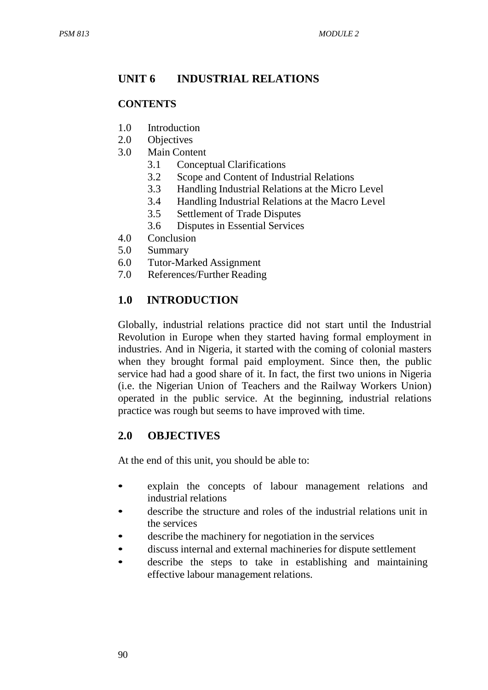# **UNIT 6 INDUSTRIAL RELATIONS**

#### **CONTENTS**

- 1.0 Introduction
- 2.0 Objectives
- 3.0 Main Content
	- 3.1 Conceptual Clarifications
	- 3.2 Scope and Content of Industrial Relations
	- 3.3 Handling Industrial Relations at the Micro Level
	- 3.4 Handling Industrial Relations at the Macro Level
	- 3.5 Settlement of Trade Disputes
	- 3.6 Disputes in Essential Services
- 4.0 Conclusion
- 5.0 Summary
- 6.0 Tutor-Marked Assignment
- 7.0 References/Further Reading

# **1.0 INTRODUCTION**

Globally, industrial relations practice did not start until the Industrial Revolution in Europe when they started having formal employment in industries. And in Nigeria, it started with the coming of colonial masters when they brought formal paid employment. Since then, the public service had had a good share of it. In fact, the first two unions in Nigeria (i.e. the Nigerian Union of Teachers and the Railway Workers Union) operated in the public service. At the beginning, industrial relations practice was rough but seems to have improved with time.

## **2.0 OBJECTIVES**

At the end of this unit, you should be able to:

- explain the concepts of labour management relations and industrial relations
- describe the structure and roles of the industrial relations unit in the services
- describe the machinery for negotiation in the services
- discuss internal and external machineries for dispute settlement
- describe the steps to take in establishing and maintaining effective labour management relations.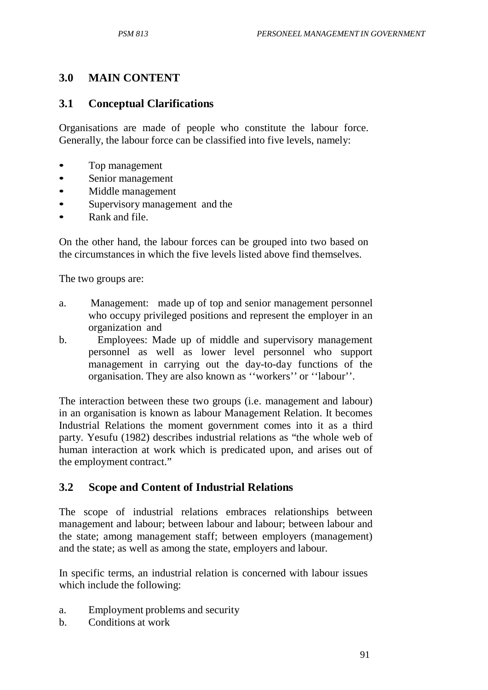## **3.0 MAIN CONTENT**

### **3.1 Conceptual Clarifications**

Organisations are made of people who constitute the labour force. Generally, the labour force can be classified into five levels, namely:

- Top management
- Senior management
- Middle management
- Supervisory management and the
- Rank and file.

On the other hand, the labour forces can be grouped into two based on the circumstances in which the five levels listed above find themselves.

The two groups are:

- a. Management: made up of top and senior management personnel who occupy privileged positions and represent the employer in an organization and
- b. Employees: Made up of middle and supervisory management personnel as well as lower level personnel who support management in carrying out the day-to-day functions of the organisation. They are also known as ''workers'' or ''labour''.

The interaction between these two groups (i.e. management and labour) in an organisation is known as labour Management Relation. It becomes Industrial Relations the moment government comes into it as a third party. Yesufu (1982) describes industrial relations as "the whole web of human interaction at work which is predicated upon, and arises out of the employment contract."

## **3.2 Scope and Content of Industrial Relations**

The scope of industrial relations embraces relationships between management and labour; between labour and labour; between labour and the state; among management staff; between employers (management) and the state; as well as among the state, employers and labour.

In specific terms, an industrial relation is concerned with labour issues which include the following:

- a. Employment problems and security
- b. Conditions at work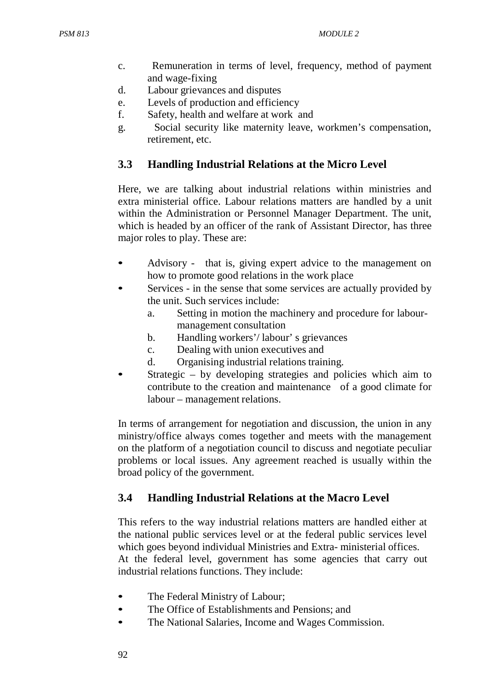- c. Remuneration in terms of level, frequency, method of payment and wage-fixing
- d. Labour grievances and disputes
- e. Levels of production and efficiency
- f. Safety, health and welfare at work and
- g. Social security like maternity leave, workmen's compensation, retirement, etc.

### **3.3 Handling Industrial Relations at the Micro Level**

Here, we are talking about industrial relations within ministries and extra ministerial office. Labour relations matters are handled by a unit within the Administration or Personnel Manager Department. The unit, which is headed by an officer of the rank of Assistant Director, has three major roles to play. These are:

- Advisory that is, giving expert advice to the management on how to promote good relations in the work place
- Services in the sense that some services are actually provided by the unit. Such services include:
	- a. Setting in motion the machinery and procedure for labourmanagement consultation
	- b. Handling workers'/ labour' s grievances
	- c. Dealing with union executives and
	- d. Organising industrial relations training.
- Strategic by developing strategies and policies which aim to contribute to the creation and maintenance of a good climate for labour – management relations.

In terms of arrangement for negotiation and discussion, the union in any ministry/office always comes together and meets with the management on the platform of a negotiation council to discuss and negotiate peculiar problems or local issues. Any agreement reached is usually within the broad policy of the government.

### **3.4 Handling Industrial Relations at the Macro Level**

This refers to the way industrial relations matters are handled either at the national public services level or at the federal public services level which goes beyond individual Ministries and Extra- ministerial offices. At the federal level, government has some agencies that carry out industrial relations functions. They include:

- The Federal Ministry of Labour;
- The Office of Establishments and Pensions; and
- The National Salaries, Income and Wages Commission.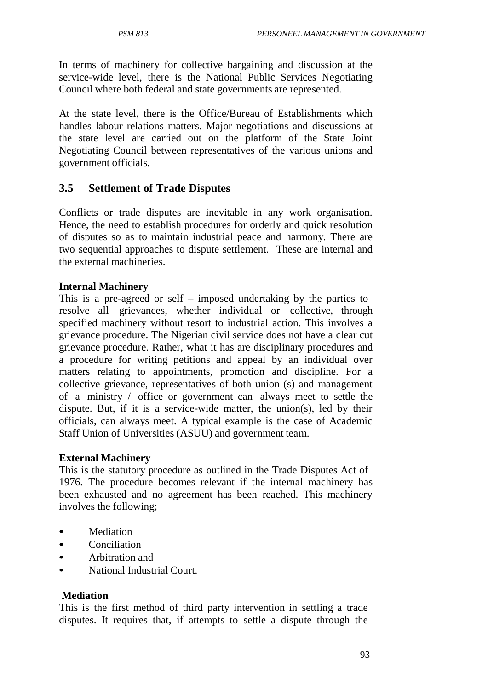In terms of machinery for collective bargaining and discussion at the service-wide level, there is the National Public Services Negotiating Council where both federal and state governments are represented.

At the state level, there is the Office/Bureau of Establishments which handles labour relations matters. Major negotiations and discussions at the state level are carried out on the platform of the State Joint Negotiating Council between representatives of the various unions and government officials.

## **3.5 Settlement of Trade Disputes**

Conflicts or trade disputes are inevitable in any work organisation. Hence, the need to establish procedures for orderly and quick resolution of disputes so as to maintain industrial peace and harmony. There are two sequential approaches to dispute settlement. These are internal and the external machineries.

#### **Internal Machinery**

This is a pre-agreed or self – imposed undertaking by the parties to resolve all grievances, whether individual or collective, through specified machinery without resort to industrial action. This involves a grievance procedure. The Nigerian civil service does not have a clear cut grievance procedure. Rather, what it has are disciplinary procedures and a procedure for writing petitions and appeal by an individual over matters relating to appointments, promotion and discipline. For a collective grievance, representatives of both union (s) and management of a ministry / office or government can always meet to settle the dispute. But, if it is a service-wide matter, the union(s), led by their officials, can always meet. A typical example is the case of Academic Staff Union of Universities (ASUU) and government team.

#### **External Machinery**

This is the statutory procedure as outlined in the Trade Disputes Act of 1976. The procedure becomes relevant if the internal machinery has been exhausted and no agreement has been reached. This machinery involves the following;

- Mediation
- Conciliation
- Arbitration and
- National Industrial Court.

#### **Mediation**

This is the first method of third party intervention in settling a trade disputes. It requires that, if attempts to settle a dispute through the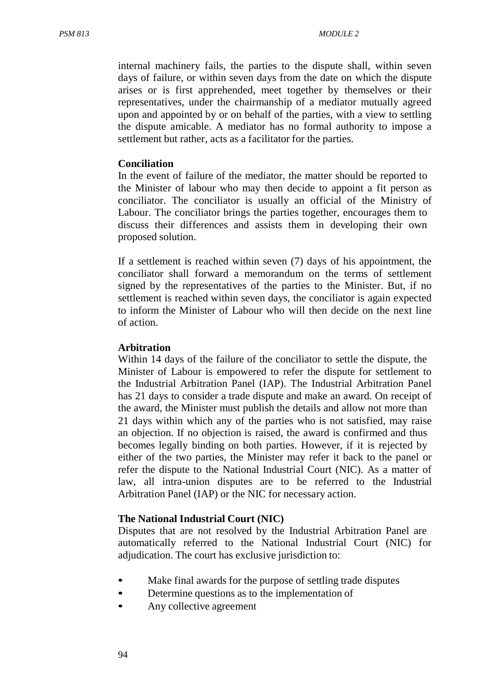internal machinery fails, the parties to the dispute shall, within seven days of failure, or within seven days from the date on which the dispute arises or is first apprehended, meet together by themselves or their representatives, under the chairmanship of a mediator mutually agreed upon and appointed by or on behalf of the parties, with a view to settling the dispute amicable. A mediator has no formal authority to impose a settlement but rather, acts as a facilitator for the parties.

#### **Conciliation**

In the event of failure of the mediator, the matter should be reported to the Minister of labour who may then decide to appoint a fit person as conciliator. The conciliator is usually an official of the Ministry of Labour. The conciliator brings the parties together, encourages them to discuss their differences and assists them in developing their own proposed solution.

If a settlement is reached within seven (7) days of his appointment, the conciliator shall forward a memorandum on the terms of settlement signed by the representatives of the parties to the Minister. But, if no settlement is reached within seven days, the conciliator is again expected to inform the Minister of Labour who will then decide on the next line of action.

#### **Arbitration**

Within 14 days of the failure of the conciliator to settle the dispute, the Minister of Labour is empowered to refer the dispute for settlement to the Industrial Arbitration Panel (IAP). The Industrial Arbitration Panel has 21 days to consider a trade dispute and make an award. On receipt of the award, the Minister must publish the details and allow not more than 21 days within which any of the parties who is not satisfied, may raise an objection. If no objection is raised, the award is confirmed and thus becomes legally binding on both parties. However, if it is rejected by either of the two parties, the Minister may refer it back to the panel or refer the dispute to the National Industrial Court (NIC). As a matter of law, all intra-union disputes are to be referred to the Industrial Arbitration Panel (IAP) or the NIC for necessary action.

#### **The National Industrial Court (NIC)**

Disputes that are not resolved by the Industrial Arbitration Panel are automatically referred to the National Industrial Court (NIC) for adjudication. The court has exclusive jurisdiction to:

- Make final awards for the purpose of settling trade disputes
- Determine questions as to the implementation of
- Any collective agreement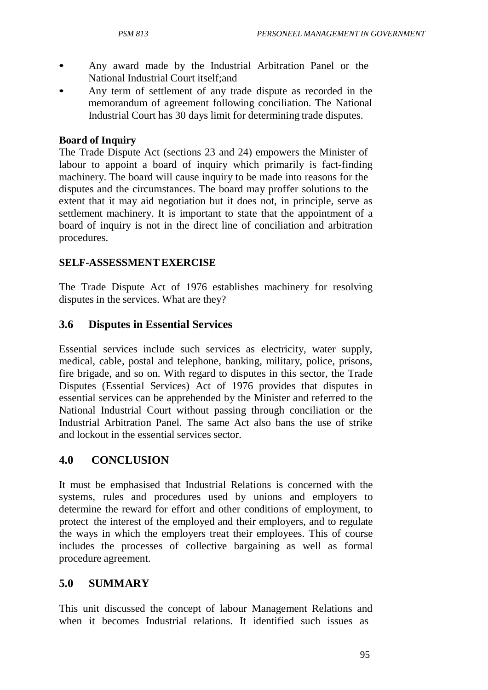- Any award made by the Industrial Arbitration Panel or the National Industrial Court itself;and
- Any term of settlement of any trade dispute as recorded in the memorandum of agreement following conciliation. The National Industrial Court has 30 days limit for determining trade disputes.

#### **Board of Inquiry**

The Trade Dispute Act (sections 23 and 24) empowers the Minister of labour to appoint a board of inquiry which primarily is fact-finding machinery. The board will cause inquiry to be made into reasons for the disputes and the circumstances. The board may proffer solutions to the extent that it may aid negotiation but it does not, in principle, serve as settlement machinery. It is important to state that the appointment of a board of inquiry is not in the direct line of conciliation and arbitration procedures.

#### **SELF-ASSESSMENTEXERCISE**

The Trade Dispute Act of 1976 establishes machinery for resolving disputes in the services. What are they?

## **3.6 Disputes in Essential Services**

Essential services include such services as electricity, water supply, medical, cable, postal and telephone, banking, military, police, prisons, fire brigade, and so on. With regard to disputes in this sector, the Trade Disputes (Essential Services) Act of 1976 provides that disputes in essential services can be apprehended by the Minister and referred to the National Industrial Court without passing through conciliation or the Industrial Arbitration Panel. The same Act also bans the use of strike and lockout in the essential services sector.

#### **4.0 CONCLUSION**

It must be emphasised that Industrial Relations is concerned with the systems, rules and procedures used by unions and employers to determine the reward for effort and other conditions of employment, to protect the interest of the employed and their employers, and to regulate the ways in which the employers treat their employees. This of course includes the processes of collective bargaining as well as formal procedure agreement.

#### **5.0 SUMMARY**

This unit discussed the concept of labour Management Relations and when it becomes Industrial relations. It identified such issues as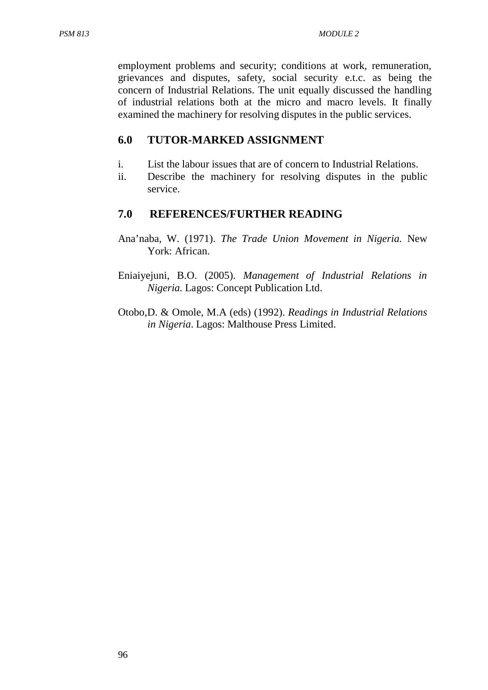employment problems and security; conditions at work, remuneration, grievances and disputes, safety, social security e.t.c. as being the concern of Industrial Relations. The unit equally discussed the handling of industrial relations both at the micro and macro levels. It finally examined the machinery for resolving disputes in the public services.

## **6.0 TUTOR-MARKED ASSIGNMENT**

- i. List the labour issues that are of concern to Industrial Relations.
- ii. Describe the machinery for resolving disputes in the public service.

## **7.0 REFERENCES/FURTHER READING**

- Ana'naba, W. (1971). *The Trade Union Movement in Nigeria.* New York: African.
- Eniaiyejuni, B.O. (2005). *Management of Industrial Relations in Nigeria.* Lagos: Concept Publication Ltd.
- Otobo,D. & Omole, M.A (eds) (1992). *Readings in Industrial Relations in Nigeria*. Lagos: Malthouse Press Limited.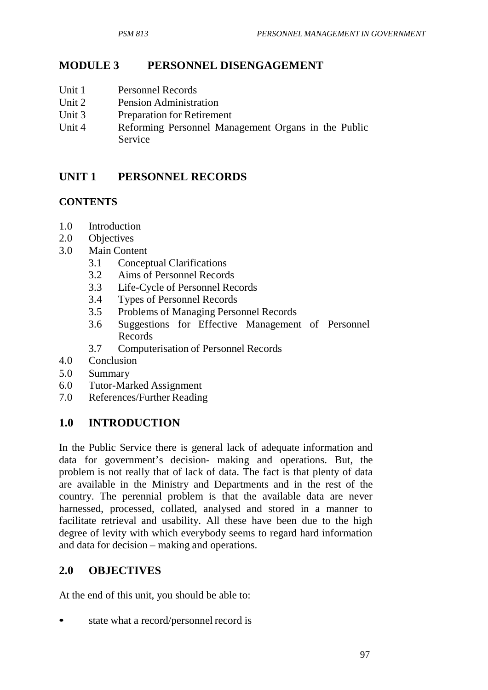# **MODULE 3 PERSONNEL DISENGAGEMENT**

- Unit 1 Personnel Records
- Unit 2 Pension Administration<br>
Unit 3 Prenaration for Retirement
- Preparation for Retirement
- Unit 4 Reforming Personnel Management Organs in the Public Service

# **UNIT 1 PERSONNEL RECORDS**

# **CONTENTS**

- 1.0 Introduction
- 2.0 Objectives
- 3.0 Main Content
	- 3.1 Conceptual Clarifications
	- 3.2 Aims of Personnel Records
	- 3.3 Life-Cycle of Personnel Records
	- 3.4 Types of Personnel Records
	- 3.5 Problems of Managing Personnel Records
	- 3.6 Suggestions for Effective Management of Personnel Records
	- 3.7 Computerisation of Personnel Records
- 4.0 Conclusion
- 5.0 Summary
- 6.0 Tutor-Marked Assignment
- 7.0 References/Further Reading

# **1.0 INTRODUCTION**

In the Public Service there is general lack of adequate information and data for government's decision- making and operations. But, the problem is not really that of lack of data. The fact is that plenty of data are available in the Ministry and Departments and in the rest of the country. The perennial problem is that the available data are never harnessed, processed, collated, analysed and stored in a manner to facilitate retrieval and usability. All these have been due to the high degree of levity with which everybody seems to regard hard information and data for decision – making and operations.

# **2.0 OBJECTIVES**

At the end of this unit, you should be able to:

state what a record/personnel record is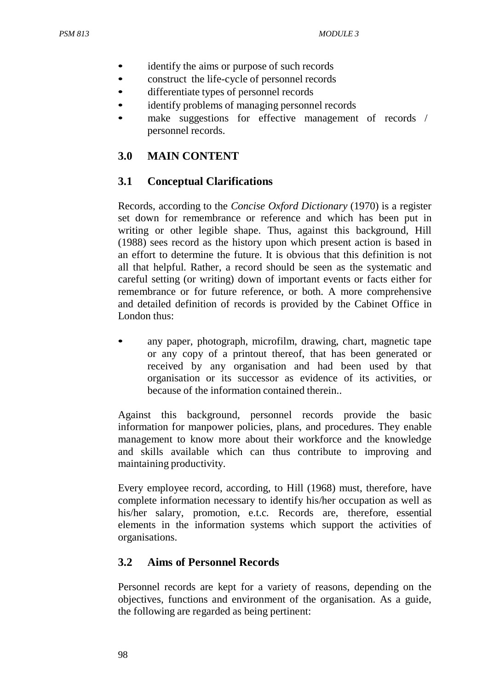- identify the aims or purpose of such records
- construct the life-cycle of personnel records
- differentiate types of personnel records
- identify problems of managing personnel records
- make suggestions for effective management of records / personnel records.

### **3.0 MAIN CONTENT**

## **3.1 Conceptual Clarifications**

Records, according to the *Concise Oxford Dictionary* (1970) is a register set down for remembrance or reference and which has been put in writing or other legible shape. Thus, against this background, Hill (1988) sees record as the history upon which present action is based in an effort to determine the future. It is obvious that this definition is not all that helpful. Rather, a record should be seen as the systematic and careful setting (or writing) down of important events or facts either for remembrance or for future reference, or both. A more comprehensive and detailed definition of records is provided by the Cabinet Office in London thus:

• any paper, photograph, microfilm, drawing, chart, magnetic tape or any copy of a printout thereof, that has been generated or received by any organisation and had been used by that organisation or its successor as evidence of its activities, or because of the information contained therein..

Against this background, personnel records provide the basic information for manpower policies, plans, and procedures. They enable management to know more about their workforce and the knowledge and skills available which can thus contribute to improving and maintaining productivity.

Every employee record, according, to Hill (1968) must, therefore, have complete information necessary to identify his/her occupation as well as his/her salary, promotion, e.t.c. Records are, therefore, essential elements in the information systems which support the activities of organisations.

# **3.2 Aims of Personnel Records**

Personnel records are kept for a variety of reasons, depending on the objectives, functions and environment of the organisation. As a guide, the following are regarded as being pertinent: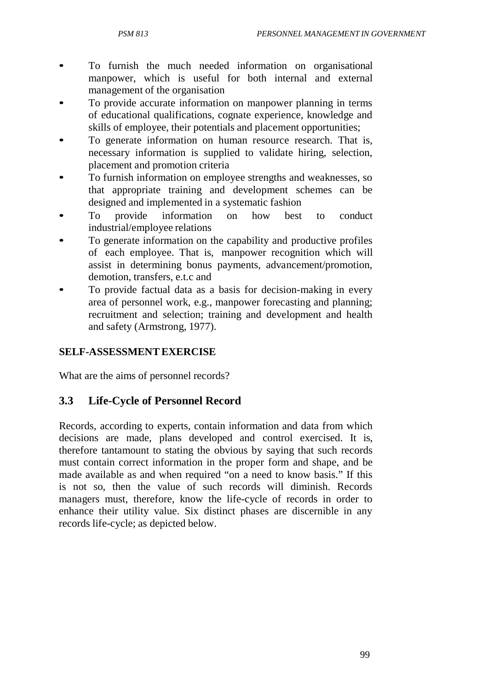- To furnish the much needed information on organisational manpower, which is useful for both internal and external management of the organisation
- To provide accurate information on manpower planning in terms of educational qualifications, cognate experience, knowledge and skills of employee, their potentials and placement opportunities;
- To generate information on human resource research. That is, necessary information is supplied to validate hiring, selection, placement and promotion criteria
- To furnish information on employee strengths and weaknesses, so that appropriate training and development schemes can be designed and implemented in a systematic fashion
- To provide information on how best to conduct industrial/employee relations
- To generate information on the capability and productive profiles of each employee. That is, manpower recognition which will assist in determining bonus payments, advancement/promotion, demotion, transfers, e.t.c and
- To provide factual data as a basis for decision-making in every area of personnel work, e.g., manpower forecasting and planning; recruitment and selection; training and development and health and safety (Armstrong, 1977).

# **SELF-ASSESSMENTEXERCISE**

What are the aims of personnel records?

# **3.3 Life-Cycle of Personnel Record**

Records, according to experts, contain information and data from which decisions are made, plans developed and control exercised. It is, therefore tantamount to stating the obvious by saying that such records must contain correct information in the proper form and shape, and be made available as and when required "on a need to know basis." If this is not so, then the value of such records will diminish. Records managers must, therefore, know the life-cycle of records in order to enhance their utility value. Six distinct phases are discernible in any records life-cycle; as depicted below.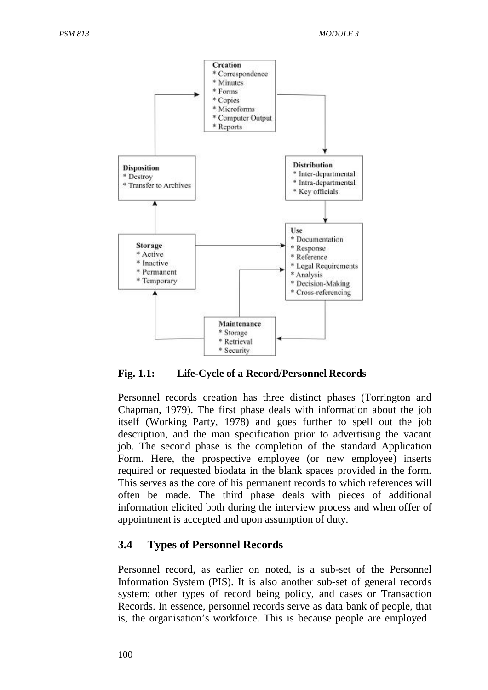

**Fig. 1.1: Life-Cycle of a Record/Personnel Records**

Personnel records creation has three distinct phases (Torrington and Chapman, 1979). The first phase deals with information about the job itself (Working Party, 1978) and goes further to spell out the job description, and the man specification prior to advertising the vacant job. The second phase is the completion of the standard Application Form. Here, the prospective employee (or new employee) inserts required or requested biodata in the blank spaces provided in the form. This serves as the core of his permanent records to which references will often be made. The third phase deals with pieces of additional information elicited both during the interview process and when offer of appointment is accepted and upon assumption of duty.

#### **3.4 Types of Personnel Records**

Personnel record, as earlier on noted, is a sub-set of the Personnel Information System (PIS). It is also another sub-set of general records system; other types of record being policy, and cases or Transaction Records. In essence, personnel records serve as data bank of people, that is, the organisation's workforce. This is because people are employed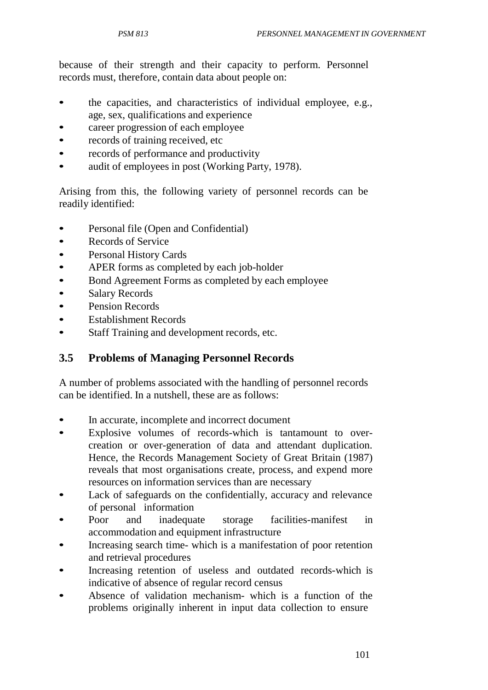because of their strength and their capacity to perform. Personnel records must, therefore, contain data about people on:

- the capacities, and characteristics of individual employee, e.g., age, sex, qualifications and experience
- career progression of each employee
- records of training received, etc
- records of performance and productivity
- audit of employees in post (Working Party, 1978).

Arising from this, the following variety of personnel records can be readily identified:

- Personal file (Open and Confidential)
- Records of Service
- Personal History Cards
- APER forms as completed by each job-holder
- Bond Agreement Forms as completed by each employee
- Salary Records
- Pension Records
- Establishment Records
- Staff Training and development records, etc.

# **3.5 Problems of Managing Personnel Records**

A number of problems associated with the handling of personnel records can be identified. In a nutshell, these are as follows:

- In accurate, incomplete and incorrect document
- Explosive volumes of records-which is tantamount to overcreation or over-generation of data and attendant duplication. Hence, the Records Management Society of Great Britain (1987) reveals that most organisations create, process, and expend more resources on information services than are necessary
- Lack of safeguards on the confidentially, accuracy and relevance of personal information
- Poor and inadequate storage facilities-manifest in accommodation and equipment infrastructure
- Increasing search time- which is a manifestation of poor retention and retrieval procedures
- Increasing retention of useless and outdated records-which is indicative of absence of regular record census
- Absence of validation mechanism- which is a function of the problems originally inherent in input data collection to ensure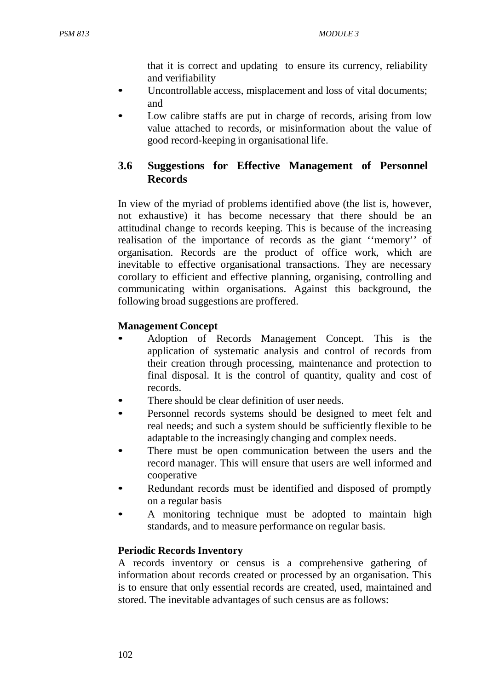that it is correct and updating to ensure its currency, reliability and verifiability

- Uncontrollable access, misplacement and loss of vital documents; and
- Low calibre staffs are put in charge of records, arising from low value attached to records, or misinformation about the value of good record-keeping in organisational life.

# **3.6 Suggestions for Effective Management of Personnel Records**

In view of the myriad of problems identified above (the list is, however, not exhaustive) it has become necessary that there should be an attitudinal change to records keeping. This is because of the increasing realisation of the importance of records as the giant ''memory'' of organisation. Records are the product of office work, which are inevitable to effective organisational transactions. They are necessary corollary to efficient and effective planning, organising, controlling and communicating within organisations. Against this background, the following broad suggestions are proffered.

## **Management Concept**

- Adoption of Records Management Concept. This is the application of systematic analysis and control of records from their creation through processing, maintenance and protection to final disposal. It is the control of quantity, quality and cost of records.
- There should be clear definition of user needs.
- Personnel records systems should be designed to meet felt and real needs; and such a system should be sufficiently flexible to be adaptable to the increasingly changing and complex needs.
- There must be open communication between the users and the record manager. This will ensure that users are well informed and cooperative
- Redundant records must be identified and disposed of promptly on a regular basis
- A monitoring technique must be adopted to maintain high standards, and to measure performance on regular basis.

#### **Periodic Records Inventory**

A records inventory or census is a comprehensive gathering of information about records created or processed by an organisation. This is to ensure that only essential records are created, used, maintained and stored. The inevitable advantages of such census are as follows: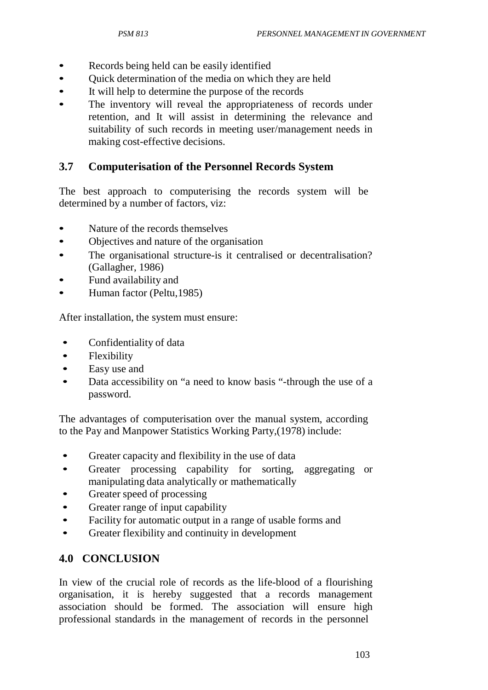- Records being held can be easily identified
- Ouick determination of the media on which they are held
- It will help to determine the purpose of the records
- The inventory will reveal the appropriateness of records under retention, and It will assist in determining the relevance and suitability of such records in meeting user/management needs in making cost-effective decisions.

# **3.7 Computerisation of the Personnel Records System**

The best approach to computerising the records system will be determined by a number of factors, viz:

- Nature of the records themselves
- Objectives and nature of the organisation
- The organisational structure-is it centralised or decentralisation? (Gallagher, 1986)
- Fund availability and
- Human factor (Peltu,1985)

After installation, the system must ensure:

- Confidentiality of data
- Flexibility
- Easy use and
- Data accessibility on "a need to know basis "-through the use of a password.

The advantages of computerisation over the manual system, according to the Pay and Manpower Statistics Working Party,(1978) include:

- Greater capacity and flexibility in the use of data
- Greater processing capability for sorting, aggregating or manipulating data analytically or mathematically
- Greater speed of processing
- Greater range of input capability
- Facility for automatic output in a range of usable forms and
- Greater flexibility and continuity in development

# **4.0 CONCLUSION**

In view of the crucial role of records as the life-blood of a flourishing organisation, it is hereby suggested that a records management association should be formed. The association will ensure high professional standards in the management of records in the personnel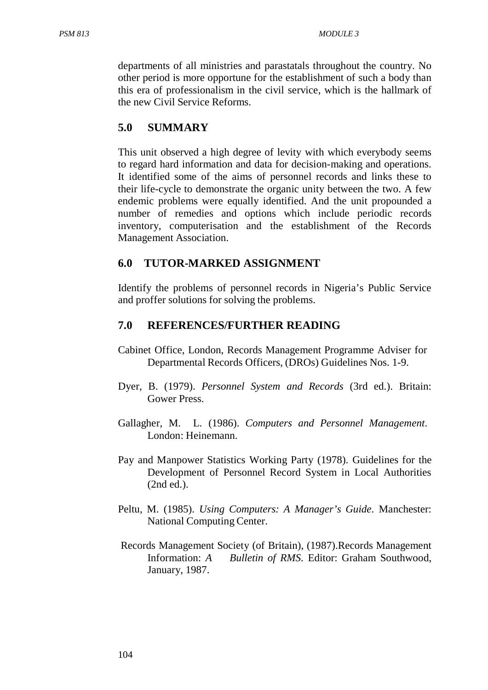departments of all ministries and parastatals throughout the country. No other period is more opportune for the establishment of such a body than this era of professionalism in the civil service, which is the hallmark of the new Civil Service Reforms.

# **5.0 SUMMARY**

This unit observed a high degree of levity with which everybody seems to regard hard information and data for decision-making and operations. It identified some of the aims of personnel records and links these to their life-cycle to demonstrate the organic unity between the two. A few endemic problems were equally identified. And the unit propounded a number of remedies and options which include periodic records inventory, computerisation and the establishment of the Records Management Association.

## **6.0 TUTOR-MARKED ASSIGNMENT**

Identify the problems of personnel records in Nigeria's Public Service and proffer solutions for solving the problems.

## **7.0 REFERENCES/FURTHER READING**

- Cabinet Office, London, Records Management Programme Adviser for Departmental Records Officers, (DROs) Guidelines Nos. 1-9.
- Dyer, B. (1979). *Personnel System and Records* (3rd ed.). Britain: Gower Press.
- Gallagher, M. L. (1986). *Computers and Personnel Management*. London: Heinemann.
- Pay and Manpower Statistics Working Party (1978). Guidelines for the Development of Personnel Record System in Local Authorities (2nd ed.).
- Peltu, M. (1985). *Using Computers: A Manager's Guide*. Manchester: National Computing Center.
- Records Management Society (of Britain), (1987).Records Management Information: *A Bulletin of RMS*. Editor: Graham Southwood, January, 1987.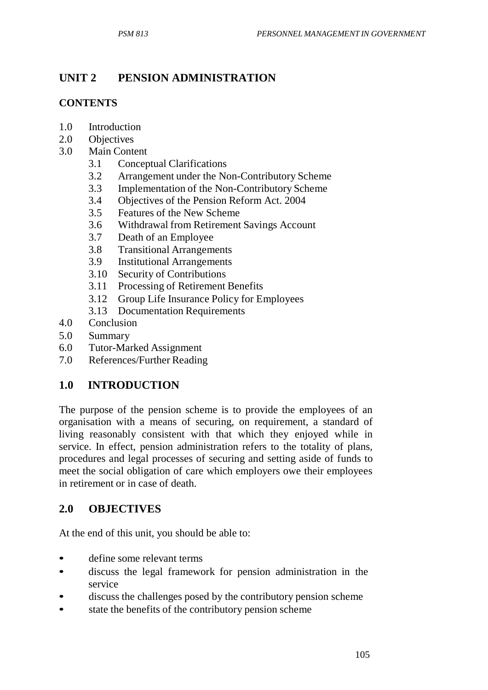# **UNIT 2 PENSION ADMINISTRATION**

## **CONTENTS**

- 1.0 Introduction
- 2.0 Objectives
- 3.0 Main Content
	- 3.1 Conceptual Clarifications
	- 3.2 Arrangement under the Non-Contributory Scheme
	- 3.3 Implementation of the Non-Contributory Scheme
	- 3.4 Objectives of the Pension Reform Act. 2004
	- 3.5 Features of the New Scheme
	- 3.6 Withdrawal from Retirement Savings Account
	- 3.7 Death of an Employee
	- 3.8 Transitional Arrangements
	- 3.9 Institutional Arrangements
	- 3.10 Security of Contributions
	- 3.11 Processing of Retirement Benefits
	- 3.12 Group Life Insurance Policy for Employees
	- 3.13 Documentation Requirements
- 4.0 Conclusion
- 5.0 Summary
- 6.0 Tutor-Marked Assignment
- 7.0 References/Further Reading

# **1.0 INTRODUCTION**

The purpose of the pension scheme is to provide the employees of an organisation with a means of securing, on requirement, a standard of living reasonably consistent with that which they enjoyed while in service. In effect, pension administration refers to the totality of plans, procedures and legal processes of securing and setting aside of funds to meet the social obligation of care which employers owe their employees in retirement or in case of death.

# **2.0 OBJECTIVES**

At the end of this unit, you should be able to:

- define some relevant terms
- discuss the legal framework for pension administration in the service
- discuss the challenges posed by the contributory pension scheme
- state the benefits of the contributory pension scheme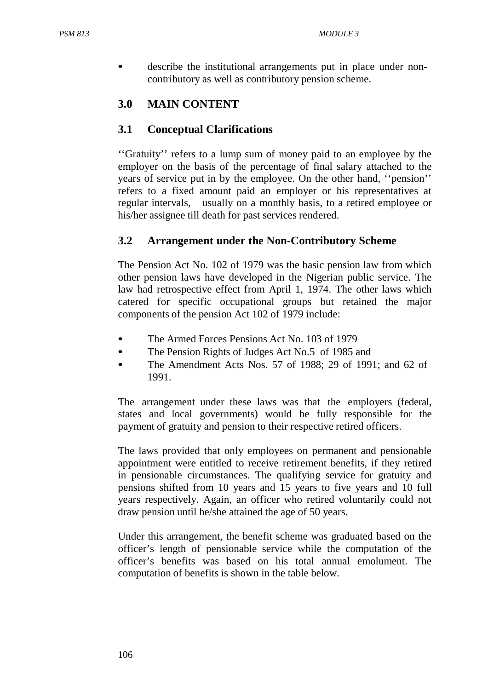• describe the institutional arrangements put in place under noncontributory as well as contributory pension scheme.

## **3.0 MAIN CONTENT**

### **3.1 Conceptual Clarifications**

''Gratuity'' refers to a lump sum of money paid to an employee by the employer on the basis of the percentage of final salary attached to the years of service put in by the employee. On the other hand, ''pension'' refers to a fixed amount paid an employer or his representatives at regular intervals, usually on a monthly basis, to a retired employee or his/her assignee till death for past services rendered.

#### **3.2 Arrangement under the Non-Contributory Scheme**

The Pension Act No. 102 of 1979 was the basic pension law from which other pension laws have developed in the Nigerian public service. The law had retrospective effect from April 1, 1974. The other laws which catered for specific occupational groups but retained the major components of the pension Act 102 of 1979 include:

- The Armed Forces Pensions Act No. 103 of 1979
- The Pension Rights of Judges Act No.5 of 1985 and
- The Amendment Acts Nos. 57 of 1988; 29 of 1991; and 62 of 1991.

The arrangement under these laws was that the employers (federal, states and local governments) would be fully responsible for the payment of gratuity and pension to their respective retired officers.

The laws provided that only employees on permanent and pensionable appointment were entitled to receive retirement benefits, if they retired in pensionable circumstances. The qualifying service for gratuity and pensions shifted from 10 years and 15 years to five years and 10 full years respectively. Again, an officer who retired voluntarily could not draw pension until he/she attained the age of 50 years.

Under this arrangement, the benefit scheme was graduated based on the officer's length of pensionable service while the computation of the officer's benefits was based on his total annual emolument. The computation of benefits is shown in the table below.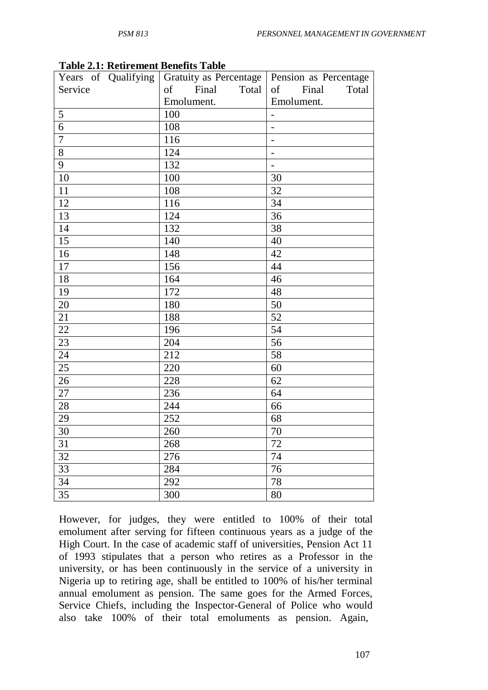|                  | Years of Qualifying Gratuity as Percentage Pension as Percentage |                              |
|------------------|------------------------------------------------------------------|------------------------------|
| Service          | Final<br>Total<br>of                                             | Final<br>Total<br>of         |
|                  | Emolument.                                                       | Emolument.                   |
| 5                | 100                                                              |                              |
| 6                | 108                                                              |                              |
| $\boldsymbol{7}$ | 116                                                              |                              |
| $8\,$            | 124                                                              | $\qquad \qquad \blacksquare$ |
| 9                | 132                                                              |                              |
| 10               | 100                                                              | 30                           |
| 11               | 108                                                              | 32                           |
| 12               | 116                                                              | 34                           |
| 13               | 124                                                              | 36                           |
| 14               | 132                                                              | 38                           |
| 15               | 140                                                              | 40                           |
| 16               | 148                                                              | 42                           |
| 17               | 156                                                              | 44                           |
| 18               | 164                                                              | 46                           |
| 19               | 172                                                              | 48                           |
| 20               | 180                                                              | 50                           |
| 21               | 188                                                              | 52                           |
| 22               | 196                                                              | 54                           |
| 23               | 204                                                              | 56                           |
| 24               | 212                                                              | 58                           |
| 25               | 220                                                              | 60                           |
| 26               | 228                                                              | 62                           |
| 27               | 236                                                              | 64                           |
| 28               | 244                                                              | 66                           |
| 29               | 252                                                              | 68                           |
| 30               | 260                                                              | 70                           |
| 31               | 268                                                              | 72                           |
| 32               | 276                                                              | 74                           |
| 33               | 284                                                              | 76                           |
| 34               | 292                                                              | 78                           |
| 35               | 300                                                              | 80                           |

**Table 2.1: Retirement Benefits Table**

However, for judges, they were entitled to 100% of their total emolument after serving for fifteen continuous years as a judge of the High Court. In the case of academic staff of universities, Pension Act 11 of 1993 stipulates that a person who retires as a Professor in the university, or has been continuously in the service of a university in Nigeria up to retiring age, shall be entitled to 100% of his/her terminal annual emolument as pension. The same goes for the Armed Forces, Service Chiefs, including the Inspector-General of Police who would also take 100% of their total emoluments as pension. Again,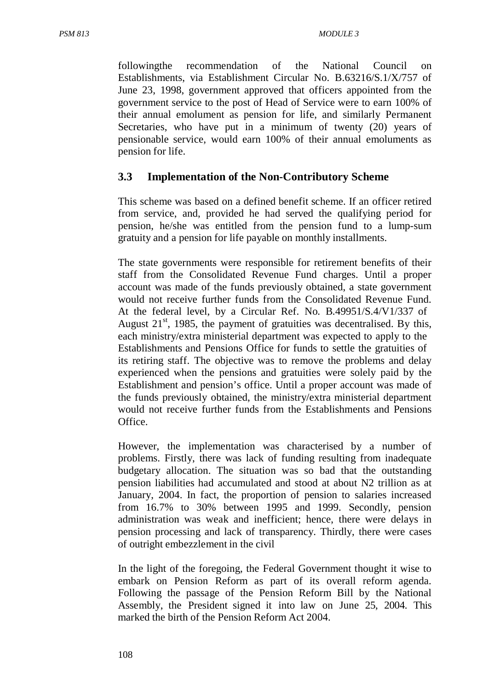followingthe recommendation of the National Council on Establishments, via Establishment Circular No. B.63216/S.1/X/757 of June 23, 1998, government approved that officers appointed from the government service to the post of Head of Service were to earn 100% of their annual emolument as pension for life, and similarly Permanent Secretaries, who have put in a minimum of twenty (20) years of pensionable service, would earn 100% of their annual emoluments as pension for life.

## **3.3 Implementation of the Non-Contributory Scheme**

This scheme was based on a defined benefit scheme. If an officer retired from service, and, provided he had served the qualifying period for pension, he/she was entitled from the pension fund to a lump-sum gratuity and a pension for life payable on monthly installments.

The state governments were responsible for retirement benefits of their staff from the Consolidated Revenue Fund charges. Until a proper account was made of the funds previously obtained, a state government would not receive further funds from the Consolidated Revenue Fund. At the federal level, by a Circular Ref. No. B.49951/S.4/V1/337 of August  $21<sup>st</sup>$ , 1985, the payment of gratuities was decentralised. By this, each ministry/extra ministerial department was expected to apply to the Establishments and Pensions Office for funds to settle the gratuities of its retiring staff. The objective was to remove the problems and delay experienced when the pensions and gratuities were solely paid by the Establishment and pension's office. Until a proper account was made of the funds previously obtained, the ministry/extra ministerial department would not receive further funds from the Establishments and Pensions Office.

However, the implementation was characterised by a number of problems. Firstly, there was lack of funding resulting from inadequate budgetary allocation. The situation was so bad that the outstanding pension liabilities had accumulated and stood at about N2 trillion as at January, 2004. In fact, the proportion of pension to salaries increased from 16.7% to 30% between 1995 and 1999. Secondly, pension administration was weak and inefficient; hence, there were delays in pension processing and lack of transparency. Thirdly, there were cases of outright embezzlement in the civil

In the light of the foregoing, the Federal Government thought it wise to embark on Pension Reform as part of its overall reform agenda. Following the passage of the Pension Reform Bill by the National Assembly, the President signed it into law on June 25, 2004. This marked the birth of the Pension Reform Act 2004.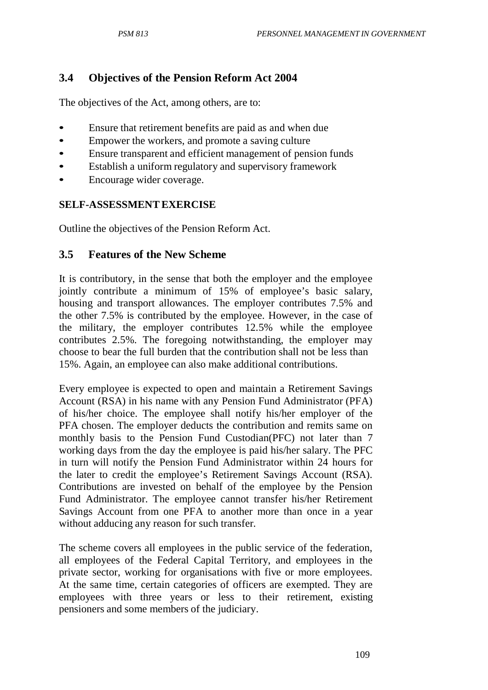# **3.4 Objectives of the Pension Reform Act 2004**

The objectives of the Act, among others, are to:

- Ensure that retirement benefits are paid as and when due
- Empower the workers, and promote a saving culture
- Ensure transparent and efficient management of pension funds
- Establish a uniform regulatory and supervisory framework
- Encourage wider coverage.

## **SELF-ASSESSMENTEXERCISE**

Outline the objectives of the Pension Reform Act.

#### **3.5 Features of the New Scheme**

It is contributory, in the sense that both the employer and the employee jointly contribute a minimum of 15% of employee's basic salary, housing and transport allowances. The employer contributes 7.5% and the other 7.5% is contributed by the employee. However, in the case of the military, the employer contributes 12.5% while the employee contributes 2.5%. The foregoing notwithstanding, the employer may choose to bear the full burden that the contribution shall not be less than 15%. Again, an employee can also make additional contributions.

Every employee is expected to open and maintain a Retirement Savings Account (RSA) in his name with any Pension Fund Administrator (PFA) of his/her choice. The employee shall notify his/her employer of the PFA chosen. The employer deducts the contribution and remits same on monthly basis to the Pension Fund Custodian(PFC) not later than 7 working days from the day the employee is paid his/her salary. The PFC in turn will notify the Pension Fund Administrator within 24 hours for the later to credit the employee's Retirement Savings Account (RSA). Contributions are invested on behalf of the employee by the Pension Fund Administrator. The employee cannot transfer his/her Retirement Savings Account from one PFA to another more than once in a year without adducing any reason for such transfer.

The scheme covers all employees in the public service of the federation, all employees of the Federal Capital Territory, and employees in the private sector, working for organisations with five or more employees. At the same time, certain categories of officers are exempted. They are employees with three years or less to their retirement, existing pensioners and some members of the judiciary.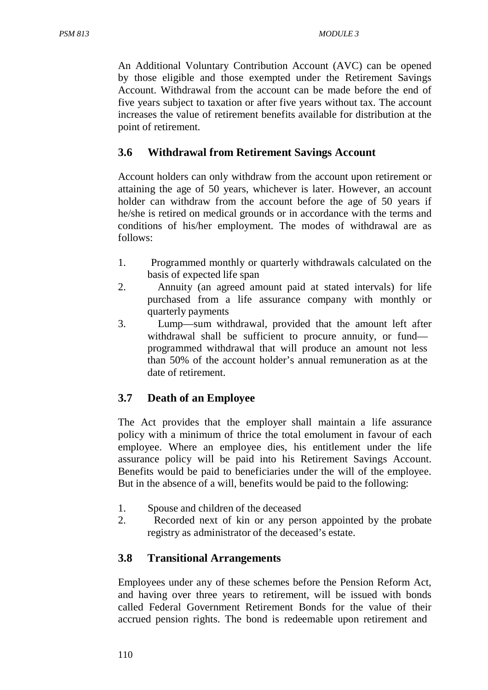An Additional Voluntary Contribution Account (AVC) can be opened by those eligible and those exempted under the Retirement Savings Account. Withdrawal from the account can be made before the end of five years subject to taxation or after five years without tax. The account increases the value of retirement benefits available for distribution at the point of retirement.

# **3.6 Withdrawal from Retirement Savings Account**

Account holders can only withdraw from the account upon retirement or attaining the age of 50 years, whichever is later. However, an account holder can withdraw from the account before the age of 50 years if he/she is retired on medical grounds or in accordance with the terms and conditions of his/her employment. The modes of withdrawal are as follows:

- 1. Programmed monthly or quarterly withdrawals calculated on the basis of expected life span
- 2. Annuity (an agreed amount paid at stated intervals) for life purchased from a life assurance company with monthly or quarterly payments
- 3. Lump—sum withdrawal, provided that the amount left after withdrawal shall be sufficient to procure annuity, or fund programmed withdrawal that will produce an amount not less than 50% of the account holder's annual remuneration as at the date of retirement.

# **3.7 Death of an Employee**

The Act provides that the employer shall maintain a life assurance policy with a minimum of thrice the total emolument in favour of each employee. Where an employee dies, his entitlement under the life assurance policy will be paid into his Retirement Savings Account. Benefits would be paid to beneficiaries under the will of the employee. But in the absence of a will, benefits would be paid to the following:

- 1. Spouse and children of the deceased
- 2. Recorded next of kin or any person appointed by the probate registry as administrator of the deceased's estate.

# **3.8 Transitional Arrangements**

Employees under any of these schemes before the Pension Reform Act, and having over three years to retirement, will be issued with bonds called Federal Government Retirement Bonds for the value of their accrued pension rights. The bond is redeemable upon retirement and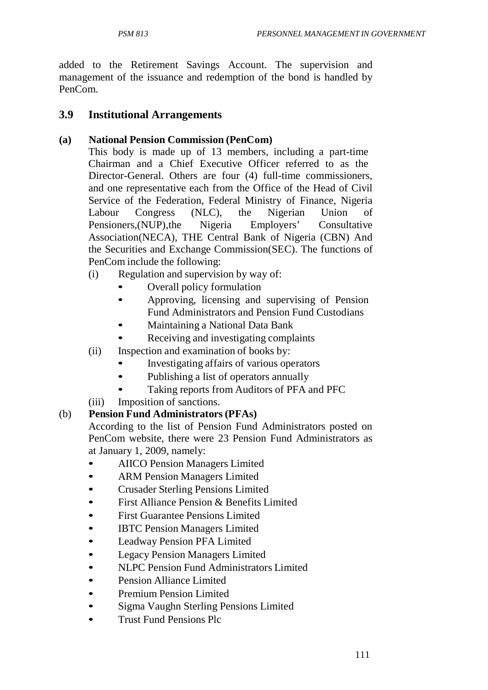added to the Retirement Savings Account. The supervision and management of the issuance and redemption of the bond is handled by PenCom.

### **3.9 Institutional Arrangements**

#### **(a) National Pension Commission (PenCom)**

This body is made up of 13 members, including a part-time Chairman and a Chief Executive Officer referred to as the Director-General. Others are four (4) full-time commissioners, and one representative each from the Office of the Head of Civil Service of the Federation, Federal Ministry of Finance, Nigeria Labour Congress (NLC), the Nigerian Union of Pensioners,(NUP),the Nigeria Employers' Consultative Association(NECA), THE Central Bank of Nigeria (CBN) And the Securities and Exchange Commission(SEC). The functions of PenCom include the following:

- (i) Regulation and supervision by way of:
	- Overall policy formulation
	- Approving, licensing and supervising of Pension Fund Administrators and Pension Fund Custodians
	- Maintaining a National Data Bank
	- Receiving and investigating complaints
- (ii) Inspection and examination of books by:
	- Investigating affairs of various operators
	- Publishing a list of operators annually
	- Taking reports from Auditors of PFA and PFC

(iii) Imposition of sanctions.

#### (b) **Pension Fund Administrators(PFAs)**

According to the list of Pension Fund Administrators posted on PenCom website, there were 23 Pension Fund Administrators as at January 1, 2009, namely:

- AIICO Pension Managers Limited
- ARM Pension Managers Limited
- Crusader Sterling Pensions Limited
- First Alliance Pension & Benefits Limited
- First Guarantee Pensions Limited
- IBTC Pension Managers Limited
- Leadway Pension PFA Limited
- Legacy Pension Managers Limited
- NLPC Pension Fund Administrators Limited
- Pension Alliance Limited
- Premium Pension Limited
- Sigma Vaughn Sterling Pensions Limited
- Trust Fund Pensions Plc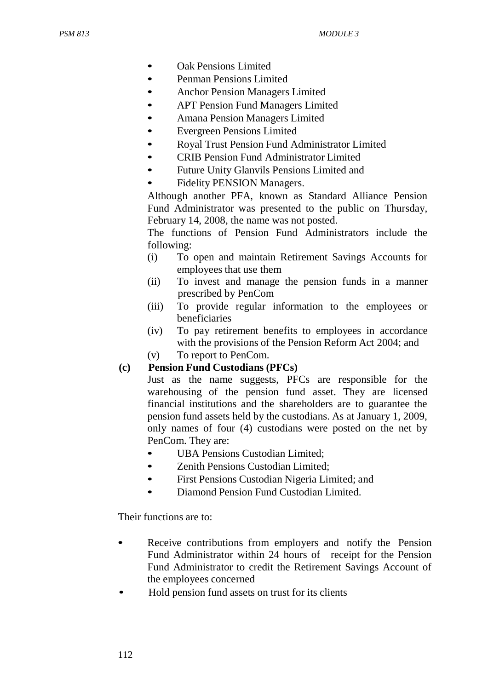- Oak Pensions Limited
- Penman Pensions Limited
- Anchor Pension Managers Limited
- APT Pension Fund Managers Limited
- Amana Pension Managers Limited
- Evergreen Pensions Limited
- Royal Trust Pension Fund Administrator Limited
- CRIB Pension Fund Administrator Limited
- Future Unity Glanvils Pensions Limited and
- Fidelity PENSION Managers.

Although another PFA, known as Standard Alliance Pension Fund Administrator was presented to the public on Thursday, February 14, 2008, the name was not posted.

The functions of Pension Fund Administrators include the following:

- (i) To open and maintain Retirement Savings Accounts for employees that use them
- (ii) To invest and manage the pension funds in a manner prescribed by PenCom
- (iii) To provide regular information to the employees or beneficiaries
- (iv) To pay retirement benefits to employees in accordance with the provisions of the Pension Reform Act 2004; and
- (v) To report to PenCom.

#### **(c) Pension Fund Custodians (PFCs)**

Just as the name suggests, PFCs are responsible for the warehousing of the pension fund asset. They are licensed financial institutions and the shareholders are to guarantee the pension fund assets held by the custodians. As at January 1, 2009, only names of four (4) custodians were posted on the net by PenCom. They are:

- UBA Pensions Custodian Limited:
- **Zenith Pensions Custodian Limited:**
- First Pensions Custodian Nigeria Limited; and
- Diamond Pension Fund Custodian Limited.

Their functions are to:

- Receive contributions from employers and notify the Pension Fund Administrator within 24 hours of receipt for the Pension Fund Administrator to credit the Retirement Savings Account of the employees concerned
- Hold pension fund assets on trust for its clients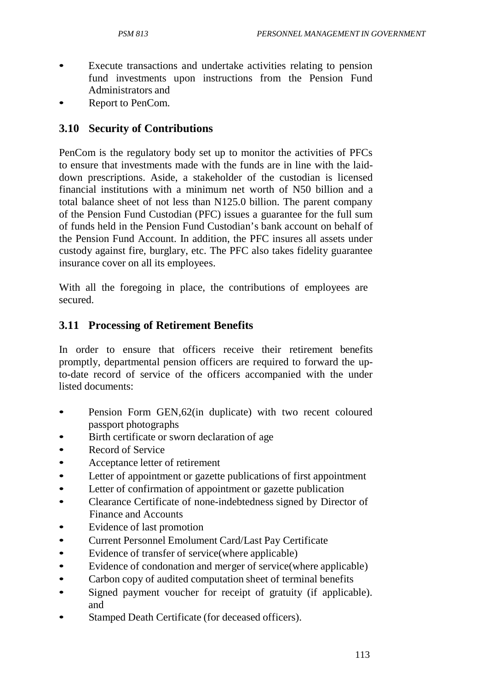- Execute transactions and undertake activities relating to pension fund investments upon instructions from the Pension Fund Administrators and
- Report to PenCom.

## **3.10 Security of Contributions**

PenCom is the regulatory body set up to monitor the activities of PFCs to ensure that investments made with the funds are in line with the laiddown prescriptions. Aside, a stakeholder of the custodian is licensed financial institutions with a minimum net worth of N50 billion and a total balance sheet of not less than N125.0 billion. The parent company of the Pension Fund Custodian (PFC) issues a guarantee for the full sum of funds held in the Pension Fund Custodian's bank account on behalf of the Pension Fund Account. In addition, the PFC insures all assets under custody against fire, burglary, etc. The PFC also takes fidelity guarantee insurance cover on all its employees.

With all the foregoing in place, the contributions of employees are secured.

## **3.11 Processing of Retirement Benefits**

In order to ensure that officers receive their retirement benefits promptly, departmental pension officers are required to forward the upto-date record of service of the officers accompanied with the under listed documents:

- Pension Form GEN,62(in duplicate) with two recent coloured passport photographs
- Birth certificate or sworn declaration of age
- Record of Service
- Acceptance letter of retirement
- Letter of appointment or gazette publications of first appointment
- Letter of confirmation of appointment or gazette publication
- Clearance Certificate of none-indebtedness signed by Director of Finance and Accounts
- Evidence of last promotion
- Current Personnel Emolument Card/Last Pay Certificate
- Evidence of transfer of service(where applicable)
- Evidence of condonation and merger of service(where applicable)
- Carbon copy of audited computation sheet of terminal benefits
- Signed payment voucher for receipt of gratuity (if applicable). and
- Stamped Death Certificate (for deceased officers).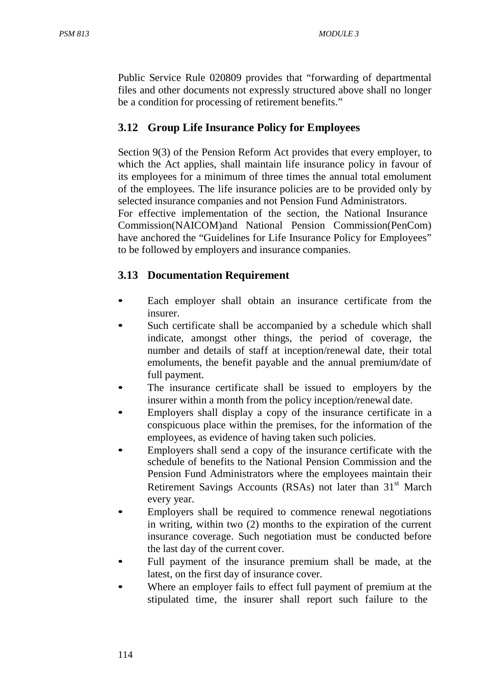Public Service Rule 020809 provides that "forwarding of departmental files and other documents not expressly structured above shall no longer be a condition for processing of retirement benefits."

## **3.12 Group Life Insurance Policy for Employees**

Section 9(3) of the Pension Reform Act provides that every employer, to which the Act applies, shall maintain life insurance policy in favour of its employees for a minimum of three times the annual total emolument of the employees. The life insurance policies are to be provided only by selected insurance companies and not Pension Fund Administrators.

For effective implementation of the section, the National Insurance Commission(NAICOM)and National Pension Commission(PenCom) have anchored the "Guidelines for Life Insurance Policy for Employees" to be followed by employers and insurance companies.

## **3.13 Documentation Requirement**

- Each employer shall obtain an insurance certificate from the insurer.
- Such certificate shall be accompanied by a schedule which shall indicate, amongst other things, the period of coverage, the number and details of staff at inception/renewal date, their total emoluments, the benefit payable and the annual premium/date of full payment.
- The insurance certificate shall be issued to employers by the insurer within a month from the policy inception/renewal date.
- Employers shall display a copy of the insurance certificate in a conspicuous place within the premises, for the information of the employees, as evidence of having taken such policies.
- Employers shall send a copy of the insurance certificate with the schedule of benefits to the National Pension Commission and the Pension Fund Administrators where the employees maintain their Retirement Savings Accounts (RSAs) not later than  $31<sup>st</sup>$  March every year.
- Employers shall be required to commence renewal negotiations in writing, within two (2) months to the expiration of the current insurance coverage. Such negotiation must be conducted before the last day of the current cover.
- Full payment of the insurance premium shall be made, at the latest, on the first day of insurance cover.
- Where an employer fails to effect full payment of premium at the stipulated time, the insurer shall report such failure to the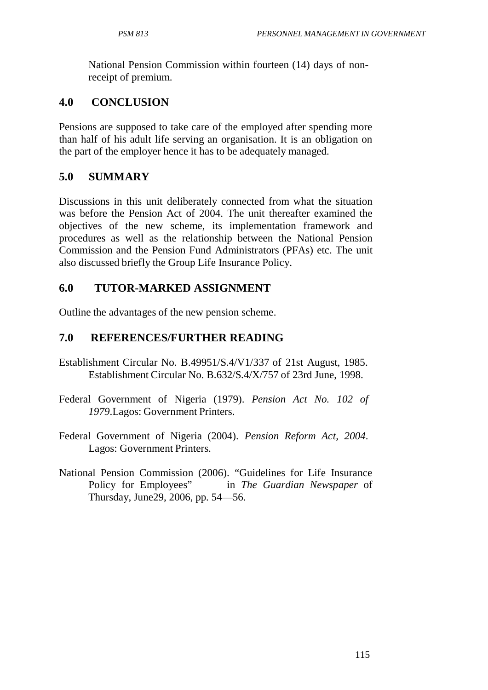National Pension Commission within fourteen (14) days of nonreceipt of premium.

# **4.0 CONCLUSION**

Pensions are supposed to take care of the employed after spending more than half of his adult life serving an organisation. It is an obligation on the part of the employer hence it has to be adequately managed.

# **5.0 SUMMARY**

Discussions in this unit deliberately connected from what the situation was before the Pension Act of 2004. The unit thereafter examined the objectives of the new scheme, its implementation framework and procedures as well as the relationship between the National Pension Commission and the Pension Fund Administrators (PFAs) etc. The unit also discussed briefly the Group Life Insurance Policy.

# **6.0 TUTOR-MARKED ASSIGNMENT**

Outline the advantages of the new pension scheme.

# **7.0 REFERENCES/FURTHER READING**

- Establishment Circular No. B.49951/S.4/V1/337 of 21st August, 1985. Establishment Circular No. B.632/S.4/X/757 of 23rd June, 1998.
- Federal Government of Nigeria (1979). *Pension Act No. 102 of 1979*.Lagos: Government Printers.
- Federal Government of Nigeria (2004). *Pension Reform Act, 2004*. Lagos: Government Printers.
- National Pension Commission (2006). "Guidelines for Life Insurance Policy for Employees" in *The Guardian Newspaper* of Thursday, June29, 2006, pp. 54—56.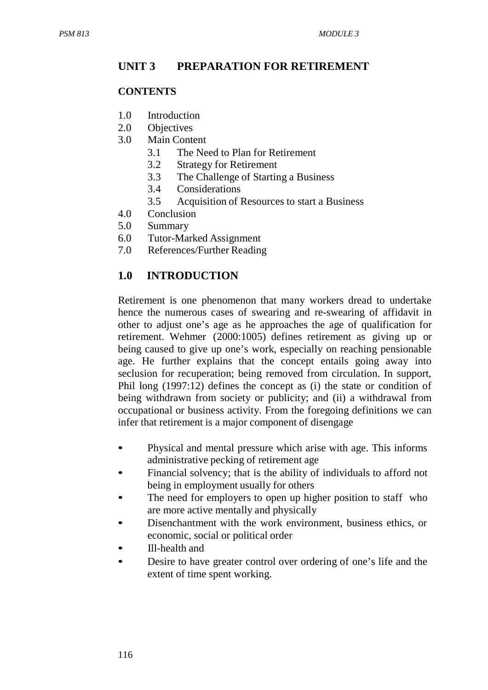## **UNIT 3 PREPARATION FOR RETIREMENT**

#### **CONTENTS**

- 1.0 Introduction
- 2.0 Objectives
- 3.0 Main Content
	- 3.1 The Need to Plan for Retirement
	- 3.2 Strategy for Retirement
	- 3.3 The Challenge of Starting a Business
	- 3.4 Considerations
	- 3.5 Acquisition of Resources to start a Business
- 4.0 Conclusion
- 5.0 Summary
- 6.0 Tutor-Marked Assignment
- 7.0 References/Further Reading

#### **1.0 INTRODUCTION**

Retirement is one phenomenon that many workers dread to undertake hence the numerous cases of swearing and re-swearing of affidavit in other to adjust one's age as he approaches the age of qualification for retirement. Wehmer (2000:1005) defines retirement as giving up or being caused to give up one's work, especially on reaching pensionable age. He further explains that the concept entails going away into seclusion for recuperation; being removed from circulation. In support, Phil long (1997:12) defines the concept as (i) the state or condition of being withdrawn from society or publicity; and (ii) a withdrawal from occupational or business activity. From the foregoing definitions we can infer that retirement is a major component of disengage

- Physical and mental pressure which arise with age. This informs administrative pecking of retirement age
- Financial solvency; that is the ability of individuals to afford not being in employment usually for others
- The need for employers to open up higher position to staff who are more active mentally and physically
- Disenchantment with the work environment, business ethics, or economic, social or political order
- Ill-health and
- Desire to have greater control over ordering of one's life and the extent of time spent working.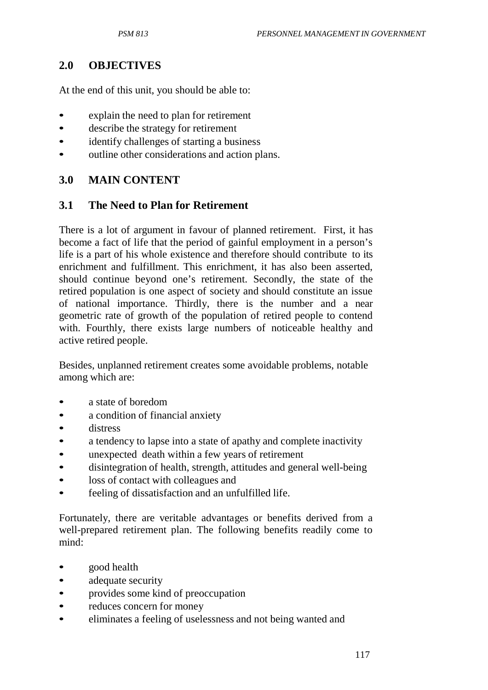# **2.0 OBJECTIVES**

At the end of this unit, you should be able to:

- explain the need to plan for retirement
- describe the strategy for retirement
- identify challenges of starting a business
- outline other considerations and action plans.

# **3.0 MAIN CONTENT**

## **3.1 The Need to Plan for Retirement**

There is a lot of argument in favour of planned retirement. First, it has become a fact of life that the period of gainful employment in a person's life is a part of his whole existence and therefore should contribute to its enrichment and fulfillment. This enrichment, it has also been asserted, should continue beyond one's retirement. Secondly, the state of the retired population is one aspect of society and should constitute an issue of national importance. Thirdly, there is the number and a near geometric rate of growth of the population of retired people to contend with. Fourthly, there exists large numbers of noticeable healthy and active retired people.

Besides, unplanned retirement creates some avoidable problems, notable among which are:

- a state of boredom
- a condition of financial anxiety
- distress
- a tendency to lapse into a state of apathy and complete inactivity
- unexpected death within a few years of retirement
- disintegration of health, strength, attitudes and general well-being
- loss of contact with colleagues and
- feeling of dissatisfaction and an unfulfilled life.

Fortunately, there are veritable advantages or benefits derived from a well-prepared retirement plan. The following benefits readily come to mind:

- good health
- adequate security
- provides some kind of preoccupation<br>• reduces concern for money
- reduces concern for money
- eliminates a feeling of uselessness and not being wanted and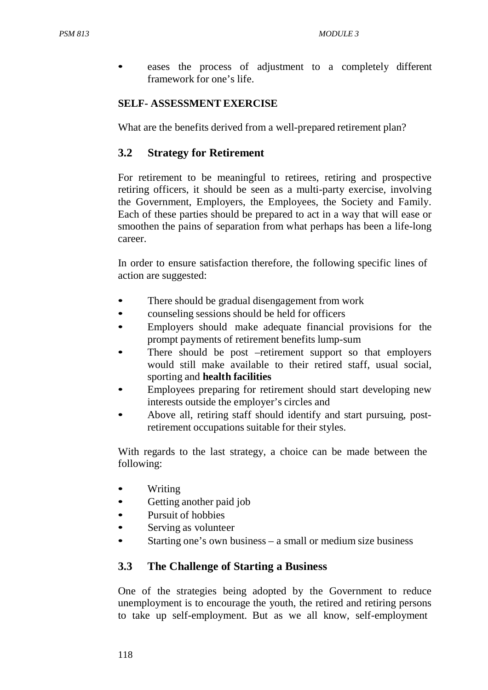eases the process of adjustment to a completely different framework for one's life.

#### **SELF- ASSESSMENT EXERCISE**

What are the benefits derived from a well-prepared retirement plan?

### **3.2 Strategy for Retirement**

For retirement to be meaningful to retirees, retiring and prospective retiring officers, it should be seen as a multi-party exercise, involving the Government, Employers, the Employees, the Society and Family. Each of these parties should be prepared to act in a way that will ease or smoothen the pains of separation from what perhaps has been a life-long career.

In order to ensure satisfaction therefore, the following specific lines of action are suggested:

- There should be gradual disengagement from work
- counseling sessions should be held for officers
- Employers should make adequate financial provisions for the prompt payments of retirement benefits lump-sum
- There should be post –retirement support so that employers would still make available to their retired staff, usual social, sporting and **health facilities**
- Employees preparing for retirement should start developing new interests outside the employer's circles and
- Above all, retiring staff should identify and start pursuing, postretirement occupations suitable for their styles.

With regards to the last strategy, a choice can be made between the following:

- Writing
- Getting another paid job
- Pursuit of hobbies
- Serving as volunteer
- Starting one's own business a small or medium size business

#### **3.3 The Challenge of Starting a Business**

One of the strategies being adopted by the Government to reduce unemployment is to encourage the youth, the retired and retiring persons to take up self-employment. But as we all know, self-employment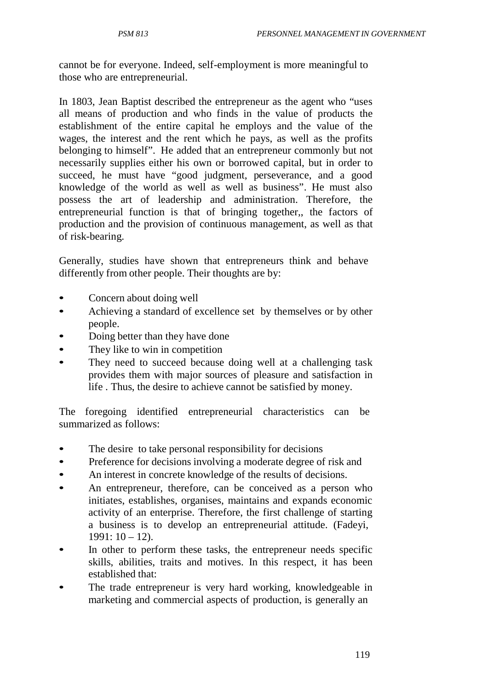cannot be for everyone. Indeed, self-employment is more meaningful to those who are entrepreneurial.

In 1803, Jean Baptist described the entrepreneur as the agent who "uses all means of production and who finds in the value of products the establishment of the entire capital he employs and the value of the wages, the interest and the rent which he pays, as well as the profits belonging to himself". He added that an entrepreneur commonly but not necessarily supplies either his own or borrowed capital, but in order to succeed, he must have "good judgment, perseverance, and a good knowledge of the world as well as well as business". He must also possess the art of leadership and administration. Therefore, the entrepreneurial function is that of bringing together,, the factors of production and the provision of continuous management, as well as that of risk-bearing.

Generally, studies have shown that entrepreneurs think and behave differently from other people. Their thoughts are by:

- Concern about doing well
- Achieving a standard of excellence set by themselves or by other people.
- Doing better than they have done
- They like to win in competition
- They need to succeed because doing well at a challenging task provides them with major sources of pleasure and satisfaction in life . Thus, the desire to achieve cannot be satisfied by money.

The foregoing identified entrepreneurial characteristics can be summarized as follows:

- The desire to take personal responsibility for decisions
- Preference for decisions involving a moderate degree of risk and
- An interest in concrete knowledge of the results of decisions.
- An entrepreneur, therefore, can be conceived as a person who initiates, establishes, organises, maintains and expands economic activity of an enterprise. Therefore, the first challenge of starting a business is to develop an entrepreneurial attitude. (Fadeyi,  $1991: 10 - 12$ .
- In other to perform these tasks, the entrepreneur needs specific skills, abilities, traits and motives. In this respect, it has been established that:
- The trade entrepreneur is very hard working, knowledgeable in marketing and commercial aspects of production, is generally an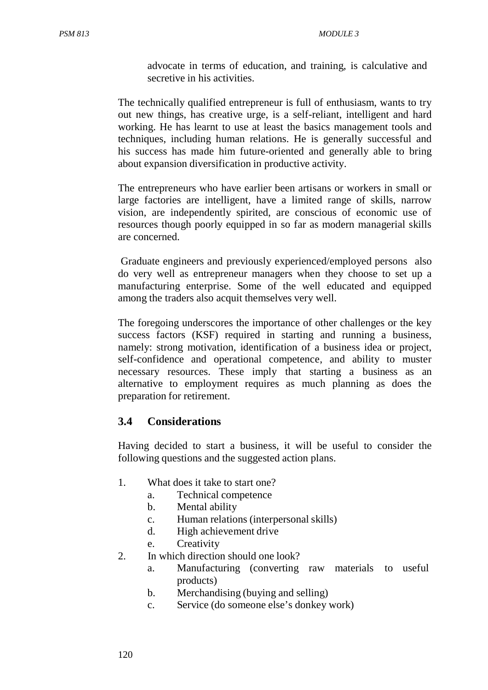advocate in terms of education, and training, is calculative and secretive in his activities.

The technically qualified entrepreneur is full of enthusiasm, wants to try out new things, has creative urge, is a self-reliant, intelligent and hard working. He has learnt to use at least the basics management tools and techniques, including human relations. He is generally successful and his success has made him future-oriented and generally able to bring about expansion diversification in productive activity.

The entrepreneurs who have earlier been artisans or workers in small or large factories are intelligent, have a limited range of skills, narrow vision, are independently spirited, are conscious of economic use of resources though poorly equipped in so far as modern managerial skills are concerned.

Graduate engineers and previously experienced/employed persons also do very well as entrepreneur managers when they choose to set up a manufacturing enterprise. Some of the well educated and equipped among the traders also acquit themselves very well.

The foregoing underscores the importance of other challenges or the key success factors (KSF) required in starting and running a business, namely: strong motivation, identification of a business idea or project, self-confidence and operational competence, and ability to muster necessary resources. These imply that starting a business as an alternative to employment requires as much planning as does the preparation for retirement.

#### **3.4 Considerations**

Having decided to start a business, it will be useful to consider the following questions and the suggested action plans.

- 1. What does it take to start one?
	- a. Technical competence
	- b. Mental ability
	- c. Human relations (interpersonal skills)
	- d. High achievement drive
	- e. Creativity
- 2. In which direction should one look?
	- a. Manufacturing (converting raw materials to useful products)
	- b. Merchandising (buying and selling)
	- c. Service (do someone else's donkey work)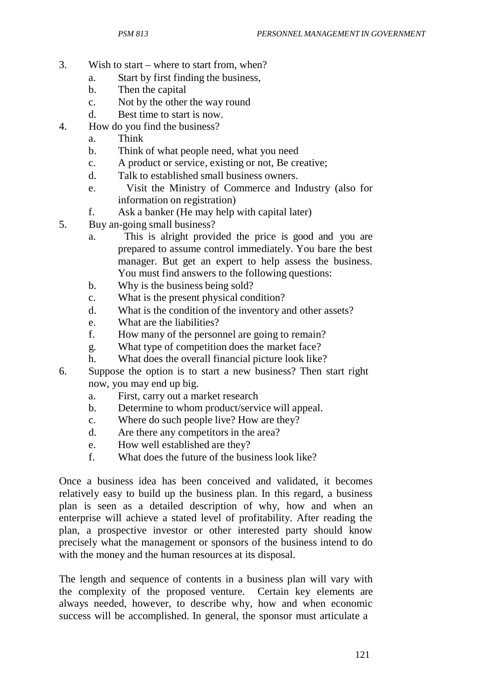- 3. Wish to start where to start from, when?
	- a. Start by first finding the business,
	- b. Then the capital
	- c. Not by the other the way round
	- d. Best time to start is now.
- 4. How do you find the business?
	- a. Think
	- b. Think of what people need, what you need
	- c. A product or service, existing or not, Be creative;
	- d. Talk to established small business owners.
	- e. Visit the Ministry of Commerce and Industry (also for information on registration)
	- f. Ask a banker (He may help with capital later)
- 5. Buy an-going small business?
	- a. This is alright provided the price is good and you are prepared to assume control immediately. You bare the best manager. But get an expert to help assess the business. You must find answers to the following questions:
	- b. Why is the business being sold?
	- c. What is the present physical condition?
	- d. What is the condition of the inventory and other assets?
	- e. What are the liabilities?
	- f. How many of the personnel are going to remain?
	- g. What type of competition does the market face?
	- h. What does the overall financial picture look like?
- 6. Suppose the option is to start a new business? Then start right now, you may end up big.
	- a. First, carry out a market research
	- b. Determine to whom product/service will appeal.
	- c. Where do such people live? How are they?
	- d. Are there any competitors in the area?
	- e. How well established are they?
	- f. What does the future of the business look like?

Once a business idea has been conceived and validated, it becomes relatively easy to build up the business plan. In this regard, a business plan is seen as a detailed description of why, how and when an enterprise will achieve a stated level of profitability. After reading the plan, a prospective investor or other interested party should know precisely what the management or sponsors of the business intend to do with the money and the human resources at its disposal.

The length and sequence of contents in a business plan will vary with the complexity of the proposed venture. Certain key elements are always needed, however, to describe why, how and when economic success will be accomplished. In general, the sponsor must articulate a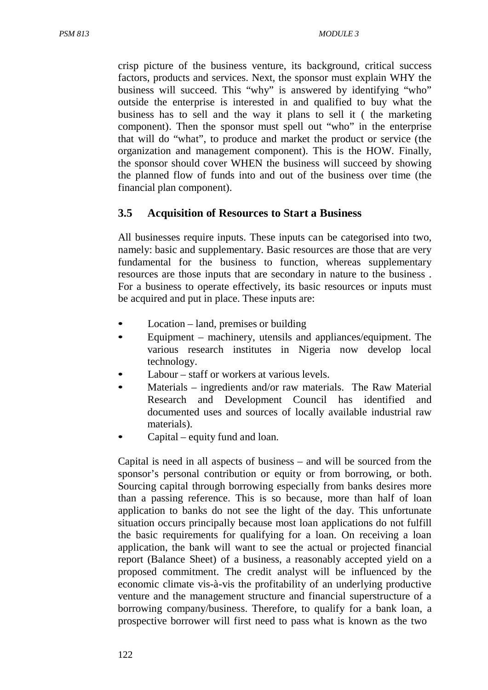crisp picture of the business venture, its background, critical success factors, products and services. Next, the sponsor must explain WHY the business will succeed. This "why" is answered by identifying "who" outside the enterprise is interested in and qualified to buy what the business has to sell and the way it plans to sell it ( the marketing component). Then the sponsor must spell out "who" in the enterprise that will do "what", to produce and market the product or service (the organization and management component). This is the HOW. Finally, the sponsor should cover WHEN the business will succeed by showing the planned flow of funds into and out of the business over time (the financial plan component).

#### **3.5 Acquisition of Resources to Start a Business**

All businesses require inputs. These inputs can be categorised into two, namely: basic and supplementary. Basic resources are those that are very fundamental for the business to function, whereas supplementary resources are those inputs that are secondary in nature to the business . For a business to operate effectively, its basic resources or inputs must be acquired and put in place. These inputs are:

- Location land, premises or building
- Equipment machinery, utensils and appliances/equipment. The various research institutes in Nigeria now develop local technology.
- Labour staff or workers at various levels.
- Materials ingredients and/or raw materials. The Raw Material Research and Development Council has identified and documented uses and sources of locally available industrial raw materials).
- Capital equity fund and loan.

Capital is need in all aspects of business – and will be sourced from the sponsor's personal contribution or equity or from borrowing, or both. Sourcing capital through borrowing especially from banks desires more than a passing reference. This is so because, more than half of loan application to banks do not see the light of the day. This unfortunate situation occurs principally because most loan applications do not fulfill the basic requirements for qualifying for a loan. On receiving a loan application, the bank will want to see the actual or projected financial report (Balance Sheet) of a business, a reasonably accepted yield on a proposed commitment. The credit analyst will be influenced by the economic climate vis-à-vis the profitability of an underlying productive venture and the management structure and financial superstructure of a borrowing company/business. Therefore, to qualify for a bank loan, a prospective borrower will first need to pass what is known as the two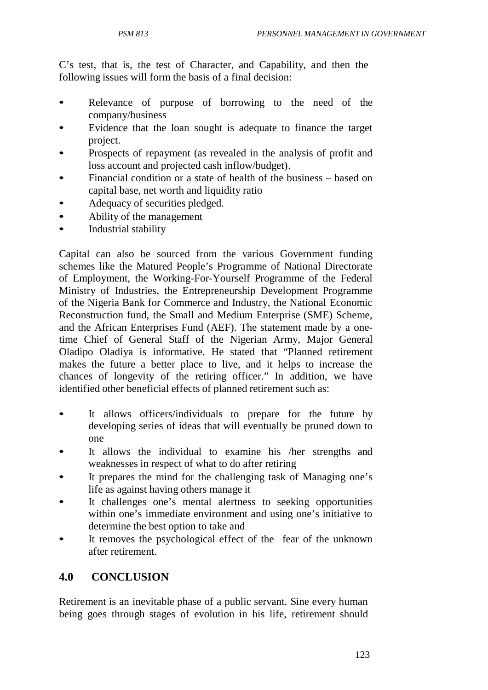C's test, that is, the test of Character, and Capability, and then the following issues will form the basis of a final decision:

- Relevance of purpose of borrowing to the need of the company/business
- Evidence that the loan sought is adequate to finance the target project.
- Prospects of repayment (as revealed in the analysis of profit and loss account and projected cash inflow/budget).
- Financial condition or a state of health of the business based on capital base, net worth and liquidity ratio
- Adequacy of securities pledged.
- Ability of the management
- Industrial stability

Capital can also be sourced from the various Government funding schemes like the Matured People's Programme of National Directorate of Employment, the Working-For-Yourself Programme of the Federal Ministry of Industries, the Entrepreneurship Development Programme of the Nigeria Bank for Commerce and Industry, the National Economic Reconstruction fund, the Small and Medium Enterprise (SME) Scheme, and the African Enterprises Fund (AEF). The statement made by a onetime Chief of General Staff of the Nigerian Army, Major General Oladipo Oladiya is informative. He stated that "Planned retirement makes the future a better place to live, and it helps to increase the chances of longevity of the retiring officer." In addition, we have identified other beneficial effects of planned retirement such as:

- It allows officers/individuals to prepare for the future by developing series of ideas that will eventually be pruned down to one
- It allows the individual to examine his /her strengths and weaknesses in respect of what to do after retiring
- It prepares the mind for the challenging task of Managing one's life as against having others manage it
- It challenges one's mental alertness to seeking opportunities within one's immediate environment and using one's initiative to determine the best option to take and
- It removes the psychological effect of the fear of the unknown after retirement.

# **4.0 CONCLUSION**

Retirement is an inevitable phase of a public servant. Sine every human being goes through stages of evolution in his life, retirement should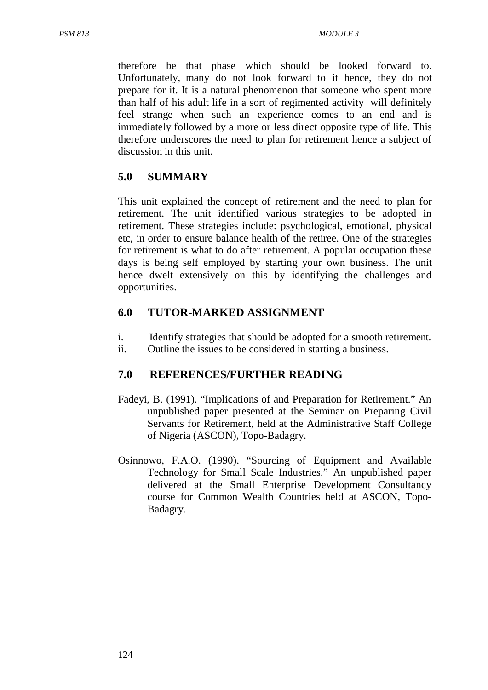therefore be that phase which should be looked forward to. Unfortunately, many do not look forward to it hence, they do not prepare for it. It is a natural phenomenon that someone who spent more than half of his adult life in a sort of regimented activity will definitely feel strange when such an experience comes to an end and is immediately followed by a more or less direct opposite type of life. This therefore underscores the need to plan for retirement hence a subject of discussion in this unit.

# **5.0 SUMMARY**

This unit explained the concept of retirement and the need to plan for retirement. The unit identified various strategies to be adopted in retirement. These strategies include: psychological, emotional, physical etc, in order to ensure balance health of the retiree. One of the strategies for retirement is what to do after retirement. A popular occupation these days is being self employed by starting your own business. The unit hence dwelt extensively on this by identifying the challenges and opportunities.

# **6.0 TUTOR-MARKED ASSIGNMENT**

- i. Identify strategies that should be adopted for a smooth retirement.
- ii. Outline the issues to be considered in starting a business.

#### **7.0 REFERENCES/FURTHER READING**

- Fadeyi, B. (1991). "Implications of and Preparation for Retirement." An unpublished paper presented at the Seminar on Preparing Civil Servants for Retirement, held at the Administrative Staff College of Nigeria (ASCON), Topo-Badagry.
- Osinnowo, F.A.O. (1990). "Sourcing of Equipment and Available Technology for Small Scale Industries." An unpublished paper delivered at the Small Enterprise Development Consultancy course for Common Wealth Countries held at ASCON, Topo-Badagry.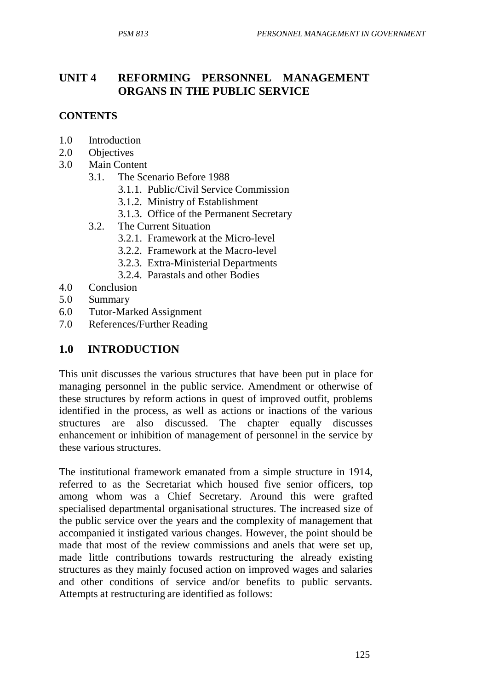# **UNIT 4 REFORMING PERSONNEL MANAGEMENT ORGANS IN THE PUBLIC SERVICE**

## **CONTENTS**

- 1.0 Introduction
- 2.0 Objectives
- 3.0 Main Content
	- 3.1. The Scenario Before 1988
		- 3.1.1. Public/Civil Service Commission
		- 3.1.2. Ministry of Establishment
		- 3.1.3. Office of the Permanent Secretary
	- 3.2. The Current Situation
		- 3.2.1. Framework at the Micro-level
		- 3.2.2. Framework at the Macro-level
		- 3.2.3. Extra-Ministerial Departments
		- 3.2.4. Parastals and other Bodies
- 4.0 Conclusion
- 5.0 Summary
- 6.0 Tutor-Marked Assignment
- 7.0 References/Further Reading

### **1.0 INTRODUCTION**

This unit discusses the various structures that have been put in place for managing personnel in the public service. Amendment or otherwise of these structures by reform actions in quest of improved outfit, problems identified in the process, as well as actions or inactions of the various structures are also discussed. The chapter equally discusses enhancement or inhibition of management of personnel in the service by these various structures.

The institutional framework emanated from a simple structure in 1914, referred to as the Secretariat which housed five senior officers, top among whom was a Chief Secretary. Around this were grafted specialised departmental organisational structures. The increased size of the public service over the years and the complexity of management that accompanied it instigated various changes. However, the point should be made that most of the review commissions and anels that were set up, made little contributions towards restructuring the already existing structures as they mainly focused action on improved wages and salaries and other conditions of service and/or benefits to public servants. Attempts at restructuring are identified as follows: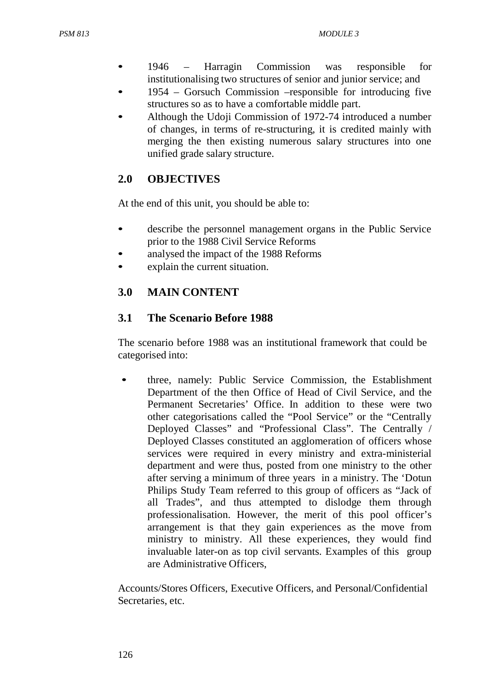- 1946 Harragin Commission was responsible for institutionalising two structures of senior and junior service; and
- 1954 Gorsuch Commission –responsible for introducing five structures so as to have a comfortable middle part.
- Although the Udoji Commission of 1972-74 introduced a number of changes, in terms of re-structuring, it is credited mainly with merging the then existing numerous salary structures into one unified grade salary structure.

# **2.0 OBJECTIVES**

At the end of this unit, you should be able to:

- describe the personnel management organs in the Public Service prior to the 1988 Civil Service Reforms
- analysed the impact of the 1988 Reforms
- explain the current situation.

# **3.0 MAIN CONTENT**

## **3.1 The Scenario Before 1988**

The scenario before 1988 was an institutional framework that could be categorised into:

• three, namely: Public Service Commission, the Establishment Department of the then Office of Head of Civil Service, and the Permanent Secretaries' Office. In addition to these were two other categorisations called the "Pool Service" or the "Centrally Deployed Classes" and "Professional Class". The Centrally / Deployed Classes constituted an agglomeration of officers whose services were required in every ministry and extra-ministerial department and were thus, posted from one ministry to the other after serving a minimum of three years in a ministry. The 'Dotun Philips Study Team referred to this group of officers as "Jack of all Trades", and thus attempted to dislodge them through professionalisation. However, the merit of this pool officer's arrangement is that they gain experiences as the move from ministry to ministry. All these experiences, they would find invaluable later-on as top civil servants. Examples of this group are Administrative Officers,

Accounts/Stores Officers, Executive Officers, and Personal/Confidential Secretaries, etc.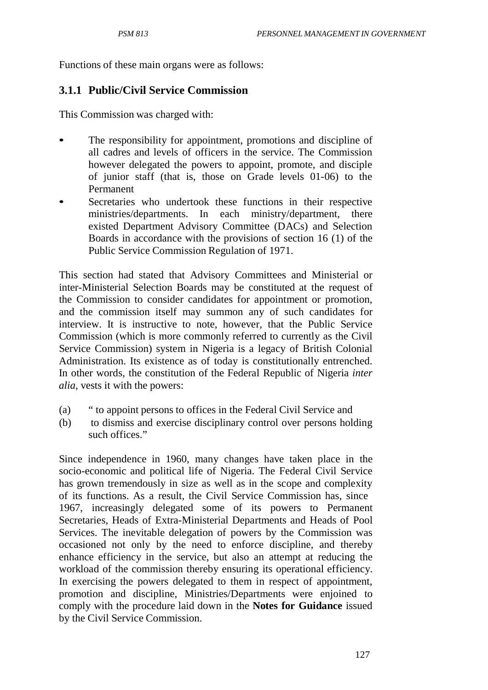Functions of these main organs were as follows:

## **3.1.1 Public/Civil Service Commission**

This Commission was charged with:

- The responsibility for appointment, promotions and discipline of all cadres and levels of officers in the service. The Commission however delegated the powers to appoint, promote, and disciple of junior staff (that is, those on Grade levels 01-06) to the Permanent
- Secretaries who undertook these functions in their respective ministries/departments. In each ministry/department, there existed Department Advisory Committee (DACs) and Selection Boards in accordance with the provisions of section 16 (1) of the Public Service Commission Regulation of 1971.

This section had stated that Advisory Committees and Ministerial or inter-Ministerial Selection Boards may be constituted at the request of the Commission to consider candidates for appointment or promotion, and the commission itself may summon any of such candidates for interview. It is instructive to note, however, that the Public Service Commission (which is more commonly referred to currently as the Civil Service Commission) system in Nigeria is a legacy of British Colonial Administration. Its existence as of today is constitutionally entrenched. In other words, the constitution of the Federal Republic of Nigeria *inter alia*, vests it with the powers:

- (a) " to appoint persons to offices in the Federal Civil Service and
- (b) to dismiss and exercise disciplinary control over persons holding such offices."

Since independence in 1960, many changes have taken place in the socio-economic and political life of Nigeria. The Federal Civil Service has grown tremendously in size as well as in the scope and complexity of its functions. As a result, the Civil Service Commission has, since 1967, increasingly delegated some of its powers to Permanent Secretaries, Heads of Extra-Ministerial Departments and Heads of Pool Services. The inevitable delegation of powers by the Commission was occasioned not only by the need to enforce discipline, and thereby enhance efficiency in the service, but also an attempt at reducing the workload of the commission thereby ensuring its operational efficiency. In exercising the powers delegated to them in respect of appointment, promotion and discipline, Ministries/Departments were enjoined to comply with the procedure laid down in the **Notes for Guidance** issued by the Civil Service Commission.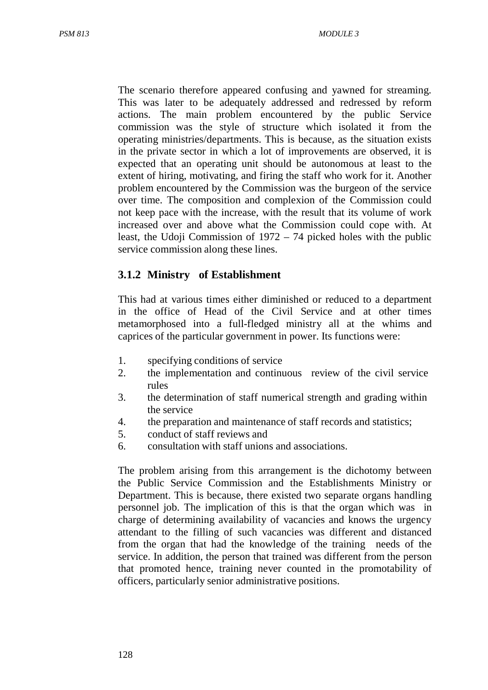The scenario therefore appeared confusing and yawned for streaming. This was later to be adequately addressed and redressed by reform actions. The main problem encountered by the public Service commission was the style of structure which isolated it from the operating ministries/departments. This is because, as the situation exists in the private sector in which a lot of improvements are observed, it is expected that an operating unit should be autonomous at least to the extent of hiring, motivating, and firing the staff who work for it. Another problem encountered by the Commission was the burgeon of the service over time. The composition and complexion of the Commission could not keep pace with the increase, with the result that its volume of work increased over and above what the Commission could cope with. At least, the Udoji Commission of 1972 – 74 picked holes with the public service commission along these lines.

#### **3.1.2 Ministry of Establishment**

This had at various times either diminished or reduced to a department in the office of Head of the Civil Service and at other times metamorphosed into a full-fledged ministry all at the whims and caprices of the particular government in power. Its functions were:

- 1. specifying conditions of service
- 2. the implementation and continuous review of the civil service rules
- 3. the determination of staff numerical strength and grading within the service
- 4. the preparation and maintenance of staff records and statistics;
- 5. conduct of staff reviews and
- 6. consultation with staff unions and associations.

The problem arising from this arrangement is the dichotomy between the Public Service Commission and the Establishments Ministry or Department. This is because, there existed two separate organs handling personnel job. The implication of this is that the organ which was in charge of determining availability of vacancies and knows the urgency attendant to the filling of such vacancies was different and distanced from the organ that had the knowledge of the training needs of the service. In addition, the person that trained was different from the person that promoted hence, training never counted in the promotability of officers, particularly senior administrative positions.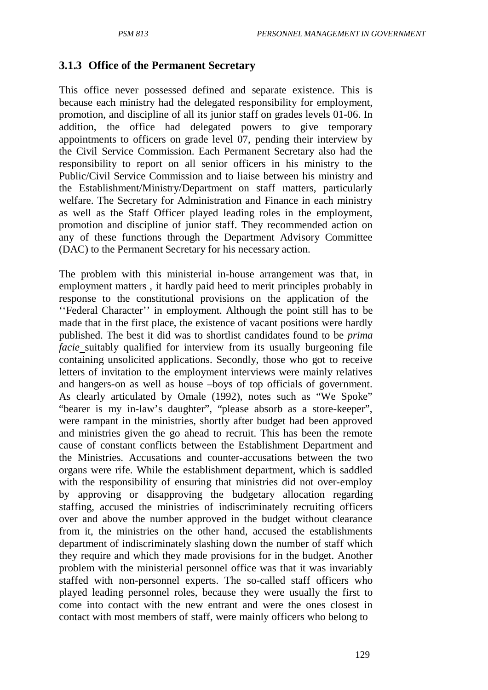### **3.1.3 Office of the Permanent Secretary**

This office never possessed defined and separate existence. This is because each ministry had the delegated responsibility for employment, promotion, and discipline of all its junior staff on grades levels 01-06. In addition, the office had delegated powers to give temporary appointments to officers on grade level 07, pending their interview by the Civil Service Commission. Each Permanent Secretary also had the responsibility to report on all senior officers in his ministry to the Public/Civil Service Commission and to liaise between his ministry and the Establishment/Ministry/Department on staff matters, particularly welfare. The Secretary for Administration and Finance in each ministry as well as the Staff Officer played leading roles in the employment, promotion and discipline of junior staff. They recommended action on any of these functions through the Department Advisory Committee (DAC) to the Permanent Secretary for his necessary action.

The problem with this ministerial in-house arrangement was that, in employment matters , it hardly paid heed to merit principles probably in response to the constitutional provisions on the application of the ''Federal Character'' in employment. Although the point still has to be made that in the first place, the existence of vacant positions were hardly published. The best it did was to shortlist candidates found to be *prima facie* suitably qualified for interview from its usually burgeoning file containing unsolicited applications. Secondly, those who got to receive letters of invitation to the employment interviews were mainly relatives and hangers-on as well as house –boys of top officials of government. As clearly articulated by Omale (1992), notes such as "We Spoke" "bearer is my in-law's daughter", "please absorb as a store-keeper", were rampant in the ministries, shortly after budget had been approved and ministries given the go ahead to recruit. This has been the remote cause of constant conflicts between the Establishment Department and the Ministries. Accusations and counter-accusations between the two organs were rife. While the establishment department, which is saddled with the responsibility of ensuring that ministries did not over-employ by approving or disapproving the budgetary allocation regarding staffing, accused the ministries of indiscriminately recruiting officers over and above the number approved in the budget without clearance from it, the ministries on the other hand, accused the establishments department of indiscriminately slashing down the number of staff which they require and which they made provisions for in the budget. Another problem with the ministerial personnel office was that it was invariably staffed with non-personnel experts. The so-called staff officers who played leading personnel roles, because they were usually the first to come into contact with the new entrant and were the ones closest in contact with most members of staff, were mainly officers who belong to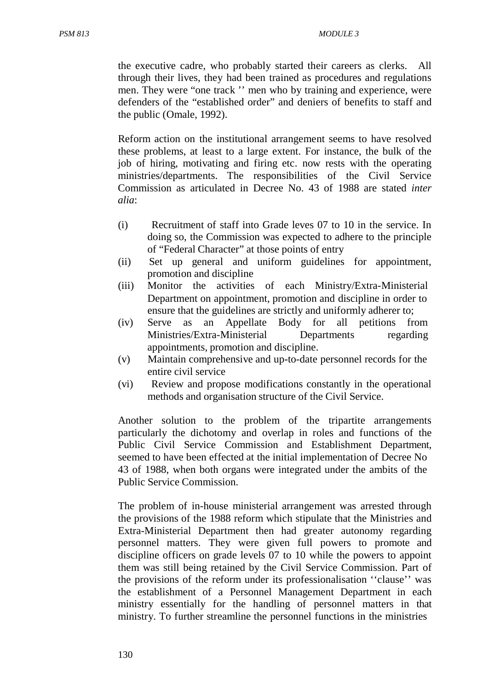the executive cadre, who probably started their careers as clerks. All through their lives, they had been trained as procedures and regulations men. They were "one track '' men who by training and experience, were defenders of the "established order" and deniers of benefits to staff and the public (Omale, 1992).

Reform action on the institutional arrangement seems to have resolved these problems, at least to a large extent. For instance, the bulk of the job of hiring, motivating and firing etc. now rests with the operating ministries/departments. The responsibilities of the Civil Service Commission as articulated in Decree No. 43 of 1988 are stated *inter alia*:

- (i) Recruitment of staff into Grade leves 07 to 10 in the service. In doing so, the Commission was expected to adhere to the principle of "Federal Character" at those points of entry
- (ii) Set up general and uniform guidelines for appointment, promotion and discipline
- (iii) Monitor the activities of each Ministry/Extra-Ministerial Department on appointment, promotion and discipline in order to ensure that the guidelines are strictly and uniformly adherer to;
- (iv) Serve as an Appellate Body for all petitions from Ministries/Extra-Ministerial Departments regarding appointments, promotion and discipline.
- (v) Maintain comprehensive and up-to-date personnel records for the entire civil service
- (vi) Review and propose modifications constantly in the operational methods and organisation structure of the Civil Service.

Another solution to the problem of the tripartite arrangements particularly the dichotomy and overlap in roles and functions of the Public Civil Service Commission and Establishment Department, seemed to have been effected at the initial implementation of Decree No 43 of 1988, when both organs were integrated under the ambits of the Public Service Commission.

The problem of in-house ministerial arrangement was arrested through the provisions of the 1988 reform which stipulate that the Ministries and Extra-Ministerial Department then had greater autonomy regarding personnel matters. They were given full powers to promote and discipline officers on grade levels 07 to 10 while the powers to appoint them was still being retained by the Civil Service Commission. Part of the provisions of the reform under its professionalisation ''clause'' was the establishment of a Personnel Management Department in each ministry essentially for the handling of personnel matters in that ministry. To further streamline the personnel functions in the ministries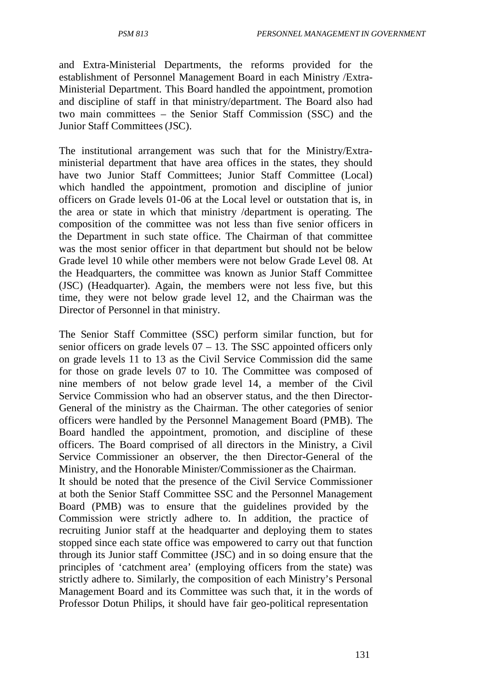and Extra-Ministerial Departments, the reforms provided for the establishment of Personnel Management Board in each Ministry /Extra-Ministerial Department. This Board handled the appointment, promotion and discipline of staff in that ministry/department. The Board also had two main committees – the Senior Staff Commission (SSC) and the Junior Staff Committees (JSC).

The institutional arrangement was such that for the Ministry/Extraministerial department that have area offices in the states, they should have two Junior Staff Committees; Junior Staff Committee (Local) which handled the appointment, promotion and discipline of junior officers on Grade levels 01-06 at the Local level or outstation that is, in the area or state in which that ministry /department is operating. The composition of the committee was not less than five senior officers in the Department in such state office. The Chairman of that committee was the most senior officer in that department but should not be below Grade level 10 while other members were not below Grade Level 08. At the Headquarters, the committee was known as Junior Staff Committee (JSC) (Headquarter). Again, the members were not less five, but this time, they were not below grade level 12, and the Chairman was the Director of Personnel in that ministry.

The Senior Staff Committee (SSC) perform similar function, but for senior officers on grade levels  $07 - 13$ . The SSC appointed officers only on grade levels 11 to 13 as the Civil Service Commission did the same for those on grade levels 07 to 10. The Committee was composed of nine members of not below grade level 14, a member of the Civil Service Commission who had an observer status, and the then Director-General of the ministry as the Chairman. The other categories of senior officers were handled by the Personnel Management Board (PMB). The Board handled the appointment, promotion, and discipline of these officers. The Board comprised of all directors in the Ministry, a Civil Service Commissioner an observer, the then Director-General of the Ministry, and the Honorable Minister/Commissioner as the Chairman. It should be noted that the presence of the Civil Service Commissioner

at both the Senior Staff Committee SSC and the Personnel Management Board (PMB) was to ensure that the guidelines provided by the Commission were strictly adhere to. In addition, the practice of recruiting Junior staff at the headquarter and deploying them to states stopped since each state office was empowered to carry out that function through its Junior staff Committee (JSC) and in so doing ensure that the principles of 'catchment area' (employing officers from the state) was strictly adhere to. Similarly, the composition of each Ministry's Personal Management Board and its Committee was such that, it in the words of Professor Dotun Philips, it should have fair geo-political representation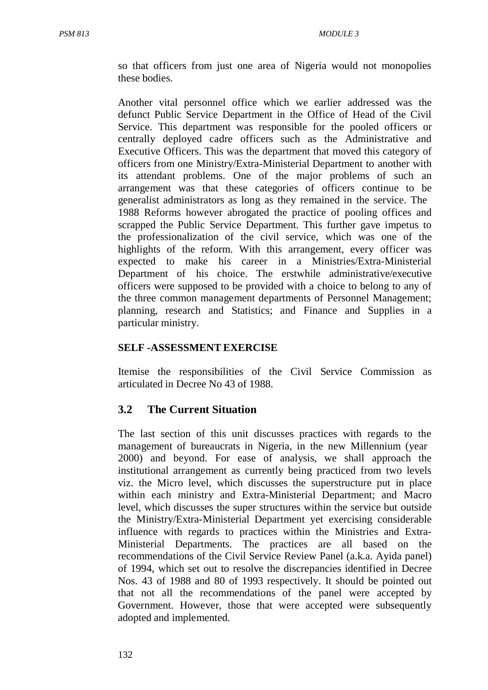so that officers from just one area of Nigeria would not monopolies these bodies.

Another vital personnel office which we earlier addressed was the defunct Public Service Department in the Office of Head of the Civil Service. This department was responsible for the pooled officers or centrally deployed cadre officers such as the Administrative and Executive Officers. This was the department that moved this category of officers from one Ministry/Extra-Ministerial Department to another with its attendant problems. One of the major problems of such an arrangement was that these categories of officers continue to be generalist administrators as long as they remained in the service. The 1988 Reforms however abrogated the practice of pooling offices and scrapped the Public Service Department. This further gave impetus to the professionalization of the civil service, which was one of the highlights of the reform. With this arrangement, every officer was expected to make his career in a Ministries/Extra-Ministerial Department of his choice. The erstwhile administrative/executive officers were supposed to be provided with a choice to belong to any of the three common management departments of Personnel Management; planning, research and Statistics; and Finance and Supplies in a particular ministry.

#### **SELF -ASSESSMENT EXERCISE**

Itemise the responsibilities of the Civil Service Commission as articulated in Decree No 43 of 1988.

## **3.2 The Current Situation**

The last section of this unit discusses practices with regards to the management of bureaucrats in Nigeria, in the new Millennium (year 2000) and beyond. For ease of analysis, we shall approach the institutional arrangement as currently being practiced from two levels viz. the Micro level, which discusses the superstructure put in place within each ministry and Extra-Ministerial Department; and Macro level, which discusses the super structures within the service but outside the Ministry/Extra-Ministerial Department yet exercising considerable influence with regards to practices within the Ministries and Extra-Ministerial Departments. The practices are all based on the recommendations of the Civil Service Review Panel (a.k.a. Ayida panel) of 1994, which set out to resolve the discrepancies identified in Decree Nos. 43 of 1988 and 80 of 1993 respectively. It should be pointed out that not all the recommendations of the panel were accepted by Government. However, those that were accepted were subsequently adopted and implemented.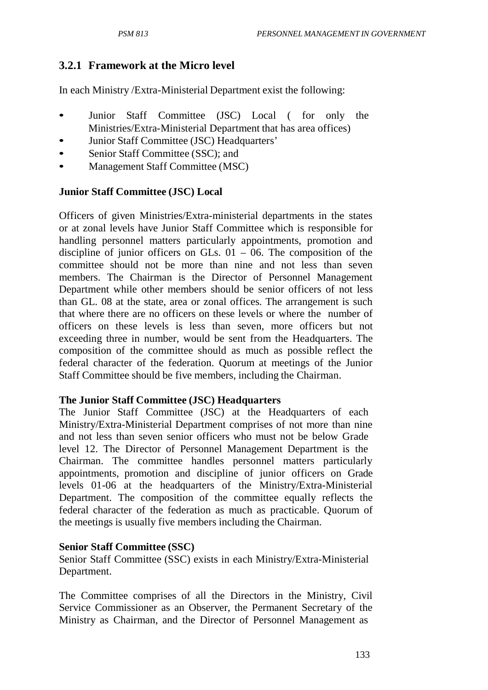# **3.2.1 Framework at the Micro level**

In each Ministry /Extra-Ministerial Department exist the following:

- Junior Staff Committee (JSC) Local ( for only the Ministries/Extra-Ministerial Department that has area offices)
- Junior Staff Committee (JSC) Headquarters'
- Senior Staff Committee (SSC); and
- Management Staff Committee (MSC)

## **Junior Staff Committee (JSC) Local**

Officers of given Ministries/Extra-ministerial departments in the states or at zonal levels have Junior Staff Committee which is responsible for handling personnel matters particularly appointments, promotion and discipline of junior officers on GLs.  $01 - 06$ . The composition of the committee should not be more than nine and not less than seven members. The Chairman is the Director of Personnel Management Department while other members should be senior officers of not less than GL. 08 at the state, area or zonal offices. The arrangement is such that where there are no officers on these levels or where the number of officers on these levels is less than seven, more officers but not exceeding three in number, would be sent from the Headquarters. The composition of the committee should as much as possible reflect the federal character of the federation. Quorum at meetings of the Junior Staff Committee should be five members, including the Chairman.

## **The Junior Staff Committee (JSC) Headquarters**

The Junior Staff Committee (JSC) at the Headquarters of each Ministry/Extra-Ministerial Department comprises of not more than nine and not less than seven senior officers who must not be below Grade level 12. The Director of Personnel Management Department is the Chairman. The committee handles personnel matters particularly appointments, promotion and discipline of junior officers on Grade levels 01-06 at the headquarters of the Ministry/Extra-Ministerial Department. The composition of the committee equally reflects the federal character of the federation as much as practicable. Quorum of the meetings is usually five members including the Chairman.

## **Senior Staff Committee (SSC)**

Senior Staff Committee (SSC) exists in each Ministry/Extra-Ministerial Department.

The Committee comprises of all the Directors in the Ministry, Civil Service Commissioner as an Observer, the Permanent Secretary of the Ministry as Chairman, and the Director of Personnel Management as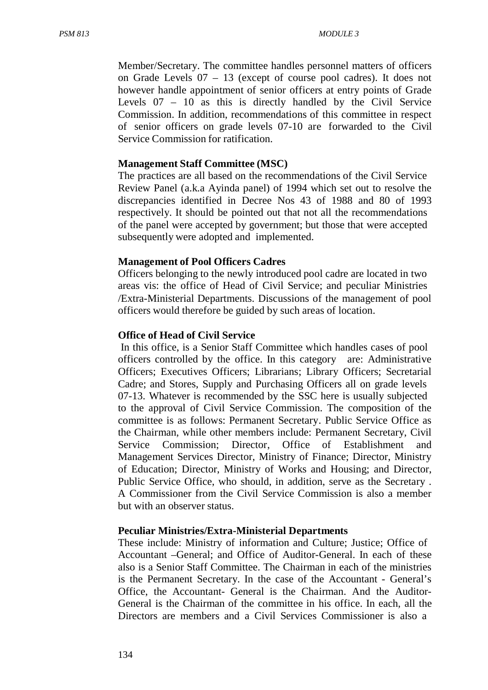Member/Secretary. The committee handles personnel matters of officers on Grade Levels 07 – 13 (except of course pool cadres). It does not however handle appointment of senior officers at entry points of Grade Levels 07 – 10 as this is directly handled by the Civil Service Commission. In addition, recommendations of this committee in respect of senior officers on grade levels 07-10 are forwarded to the Civil Service Commission for ratification.

#### **Management Staff Committee (MSC)**

The practices are all based on the recommendations of the Civil Service Review Panel (a.k.a Ayinda panel) of 1994 which set out to resolve the discrepancies identified in Decree Nos 43 of 1988 and 80 of 1993 respectively. It should be pointed out that not all the recommendations of the panel were accepted by government; but those that were accepted subsequently were adopted and implemented.

#### **Management of Pool Officers Cadres**

Officers belonging to the newly introduced pool cadre are located in two areas vis: the office of Head of Civil Service; and peculiar Ministries /Extra-Ministerial Departments. Discussions of the management of pool officers would therefore be guided by such areas of location.

#### **Office of Head of Civil Service**

In this office, is a Senior Staff Committee which handles cases of pool officers controlled by the office. In this category are: Administrative Officers; Executives Officers; Librarians; Library Officers; Secretarial Cadre; and Stores, Supply and Purchasing Officers all on grade levels 07-13. Whatever is recommended by the SSC here is usually subjected to the approval of Civil Service Commission. The composition of the committee is as follows: Permanent Secretary. Public Service Office as the Chairman, while other members include: Permanent Secretary, Civil Service Commission; Director, Office of Establishment and Management Services Director, Ministry of Finance; Director, Ministry of Education; Director, Ministry of Works and Housing; and Director, Public Service Office, who should, in addition, serve as the Secretary . A Commissioner from the Civil Service Commission is also a member but with an observer status.

#### **Peculiar Ministries/Extra-Ministerial Departments**

These include: Ministry of information and Culture; Justice; Office of Accountant –General; and Office of Auditor-General. In each of these also is a Senior Staff Committee. The Chairman in each of the ministries is the Permanent Secretary. In the case of the Accountant - General's Office, the Accountant- General is the Chairman. And the Auditor-General is the Chairman of the committee in his office. In each, all the Directors are members and a Civil Services Commissioner is also a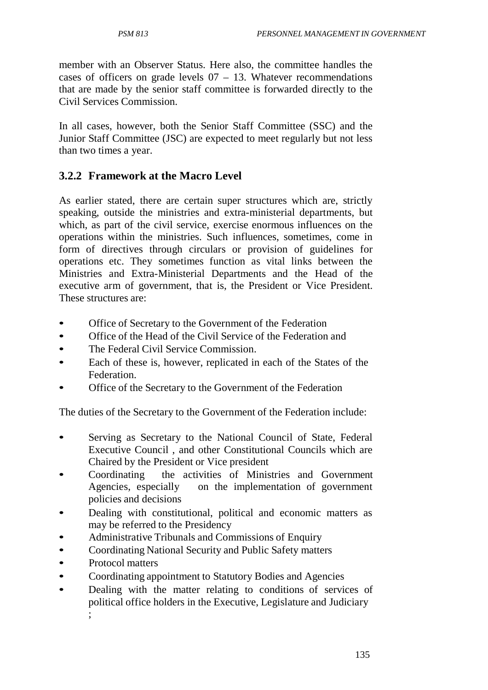member with an Observer Status. Here also, the committee handles the cases of officers on grade levels  $07 - 13$ . Whatever recommendations that are made by the senior staff committee is forwarded directly to the Civil Services Commission.

In all cases, however, both the Senior Staff Committee (SSC) and the Junior Staff Committee (JSC) are expected to meet regularly but not less than two times a year.

## **3.2.2 Framework at the Macro Level**

As earlier stated, there are certain super structures which are, strictly speaking, outside the ministries and extra-ministerial departments, but which, as part of the civil service, exercise enormous influences on the operations within the ministries. Such influences, sometimes, come in form of directives through circulars or provision of guidelines for operations etc. They sometimes function as vital links between the Ministries and Extra-Ministerial Departments and the Head of the executive arm of government, that is, the President or Vice President. These structures are:

- Office of Secretary to the Government of the Federation
- Office of the Head of the Civil Service of the Federation and
- The Federal Civil Service Commission.
- Each of these is, however, replicated in each of the States of the Federation.
- Office of the Secretary to the Government of the Federation

The duties of the Secretary to the Government of the Federation include:

- Serving as Secretary to the National Council of State, Federal Executive Council , and other Constitutional Councils which are Chaired by the President or Vice president
- Coordinating the activities of Ministries and Government Agencies, especially on the implementation of government policies and decisions
- Dealing with constitutional, political and economic matters as may be referred to the Presidency
- Administrative Tribunals and Commissions of Enquiry
- Coordinating National Security and Public Safety matters
- Protocol matters
- Coordinating appointment to Statutory Bodies and Agencies
- Dealing with the matter relating to conditions of services of political office holders in the Executive, Legislature and Judiciary ;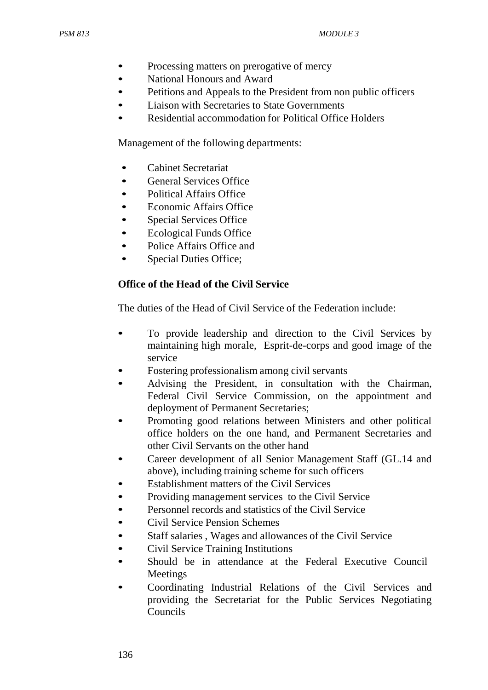- Processing matters on prerogative of mercy
- National Honours and Award
- Petitions and Appeals to the President from non public officers
- Liaison with Secretaries to State Governments
- Residential accommodation for Political Office Holders

Management of the following departments:

- Cabinet Secretariat
- General Services Office
- Political Affairs Office
- Economic Affairs Office
- Special Services Office
- Ecological Funds Office
- Police Affairs Office and
- Special Duties Office:

#### **Office of the Head of the Civil Service**

The duties of the Head of Civil Service of the Federation include:

- To provide leadership and direction to the Civil Services by maintaining high morale, Esprit-de-corps and good image of the service
- Fostering professionalism among civil servants
- Advising the President, in consultation with the Chairman, Federal Civil Service Commission, on the appointment and deployment of Permanent Secretaries;
- Promoting good relations between Ministers and other political office holders on the one hand, and Permanent Secretaries and other Civil Servants on the other hand
- Career development of all Senior Management Staff (GL.14 and above), including training scheme for such officers
- Establishment matters of the Civil Services
- Providing management services to the Civil Service
- Personnel records and statistics of the Civil Service
- Civil Service Pension Schemes
- Staff salaries, Wages and allowances of the Civil Service
- Civil Service Training Institutions
- Should be in attendance at the Federal Executive Council Meetings
- Coordinating Industrial Relations of the Civil Services and providing the Secretariat for the Public Services Negotiating Councils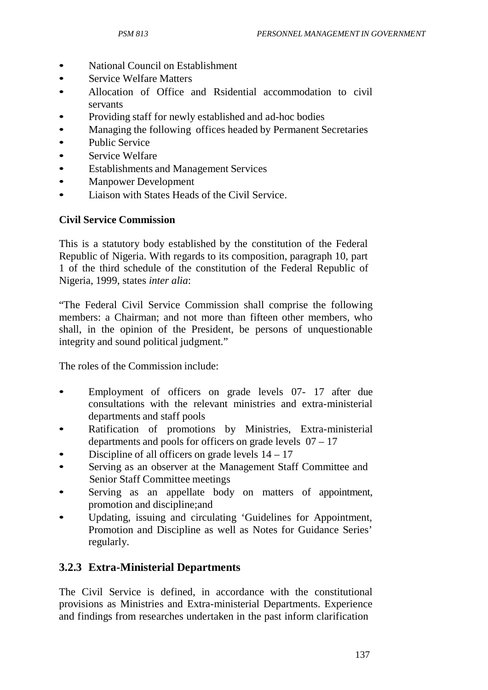- National Council on Establishment
- Service Welfare Matters
- Allocation of Office and Rsidential accommodation to civil servants
- Providing staff for newly established and ad-hoc bodies
- Managing the following offices headed by Permanent Secretaries
- Public Service
- Service Welfare
- Establishments and Management Services
- Manpower Development
- Liaison with States Heads of the Civil Service.

# **Civil Service Commission**

This is a statutory body established by the constitution of the Federal Republic of Nigeria. With regards to its composition, paragraph 10, part 1 of the third schedule of the constitution of the Federal Republic of Nigeria, 1999, states *inter alia*:

"The Federal Civil Service Commission shall comprise the following members: a Chairman; and not more than fifteen other members, who shall, in the opinion of the President, be persons of unquestionable integrity and sound political judgment."

The roles of the Commission include:

- Employment of officers on grade levels 07- 17 after due consultations with the relevant ministries and extra-ministerial departments and staff pools
- Ratification of promotions by Ministries, Extra-ministerial departments and pools for officers on grade levels 07 – 17
- Discipline of all officers on grade levels  $14 17$
- Serving as an observer at the Management Staff Committee and Senior Staff Committee meetings
- Serving as an appellate body on matters of appointment, promotion and discipline;and
- Updating, issuing and circulating 'Guidelines for Appointment, Promotion and Discipline as well as Notes for Guidance Series' regularly.

# **3.2.3 Extra-Ministerial Departments**

The Civil Service is defined, in accordance with the constitutional provisions as Ministries and Extra-ministerial Departments. Experience and findings from researches undertaken in the past inform clarification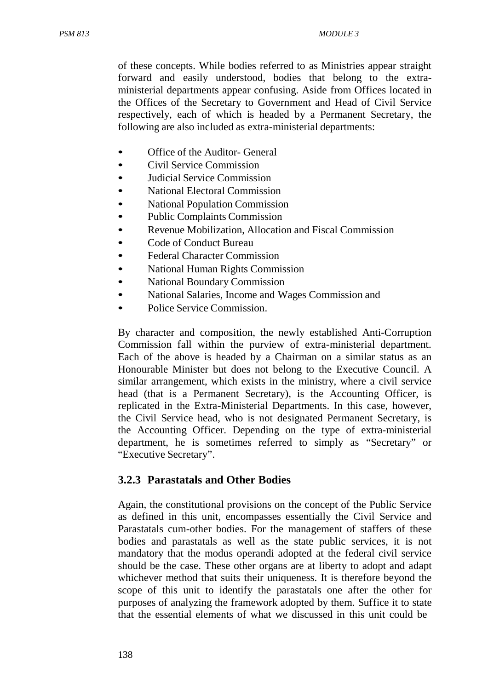of these concepts. While bodies referred to as Ministries appear straight forward and easily understood, bodies that belong to the extraministerial departments appear confusing. Aside from Offices located in the Offices of the Secretary to Government and Head of Civil Service respectively, each of which is headed by a Permanent Secretary, the following are also included as extra-ministerial departments:

- Office of the Auditor- General
- Civil Service Commission
- Judicial Service Commission
- National Electoral Commission
- National Population Commission
- Public Complaints Commission
- Revenue Mobilization, Allocation and Fiscal Commission
- Code of Conduct Bureau
- Federal Character Commission
- National Human Rights Commission
- National Boundary Commission
- National Salaries, Income and Wages Commission and
- Police Service Commission.

By character and composition, the newly established Anti-Corruption Commission fall within the purview of extra-ministerial department. Each of the above is headed by a Chairman on a similar status as an Honourable Minister but does not belong to the Executive Council. A similar arrangement, which exists in the ministry, where a civil service head (that is a Permanent Secretary), is the Accounting Officer, is replicated in the Extra-Ministerial Departments. In this case, however, the Civil Service head, who is not designated Permanent Secretary, is the Accounting Officer. Depending on the type of extra-ministerial department, he is sometimes referred to simply as "Secretary" or "Executive Secretary".

#### **3.2.3 Parastatals and Other Bodies**

Again, the constitutional provisions on the concept of the Public Service as defined in this unit, encompasses essentially the Civil Service and Parastatals cum-other bodies. For the management of staffers of these bodies and parastatals as well as the state public services, it is not mandatory that the modus operandi adopted at the federal civil service should be the case. These other organs are at liberty to adopt and adapt whichever method that suits their uniqueness. It is therefore beyond the scope of this unit to identify the parastatals one after the other for purposes of analyzing the framework adopted by them. Suffice it to state that the essential elements of what we discussed in this unit could be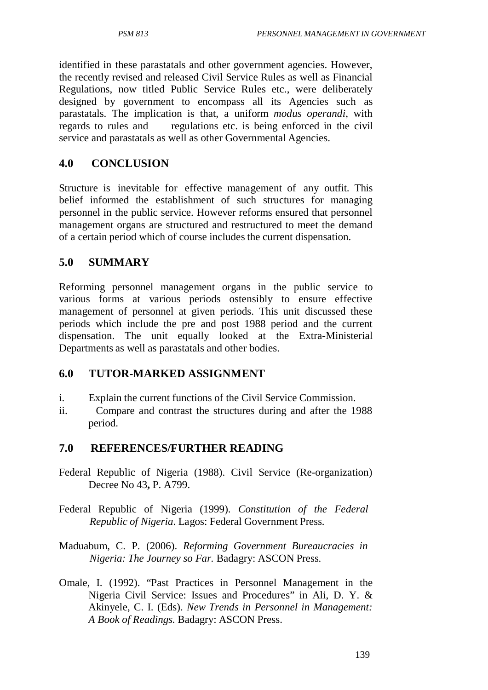identified in these parastatals and other government agencies. However, the recently revised and released Civil Service Rules as well as Financial Regulations, now titled Public Service Rules etc., were deliberately designed by government to encompass all its Agencies such as parastatals. The implication is that, a uniform *modus operandi*, with regards to rules and regulations etc. is being enforced in the civil service and parastatals as well as other Governmental Agencies.

## **4.0 CONCLUSION**

Structure is inevitable for effective management of any outfit. This belief informed the establishment of such structures for managing personnel in the public service. However reforms ensured that personnel management organs are structured and restructured to meet the demand of a certain period which of course includes the current dispensation.

## **5.0 SUMMARY**

Reforming personnel management organs in the public service to various forms at various periods ostensibly to ensure effective management of personnel at given periods. This unit discussed these periods which include the pre and post 1988 period and the current dispensation. The unit equally looked at the Extra-Ministerial Departments as well as parastatals and other bodies.

## **6.0 TUTOR-MARKED ASSIGNMENT**

- i. Explain the current functions of the Civil Service Commission.
- ii. Compare and contrast the structures during and after the 1988 period.

## **7.0 REFERENCES/FURTHER READING**

- Federal Republic of Nigeria (1988). Civil Service (Re-organization) Decree No 43**,** P. A799.
- Federal Republic of Nigeria (1999). *Constitution of the Federal Republic of Nigeria*. Lagos: Federal Government Press.
- Maduabum, C. P. (2006). *Reforming Government Bureaucracies in Nigeria: The Journey so Far.* Badagry: ASCON Press.
- Omale, I. (1992). "Past Practices in Personnel Management in the Nigeria Civil Service: Issues and Procedures" in Ali, D. Y. & Akinyele, C. I. (Eds). *New Trends in Personnel in Management: A Book of Readings.* Badagry: ASCON Press.